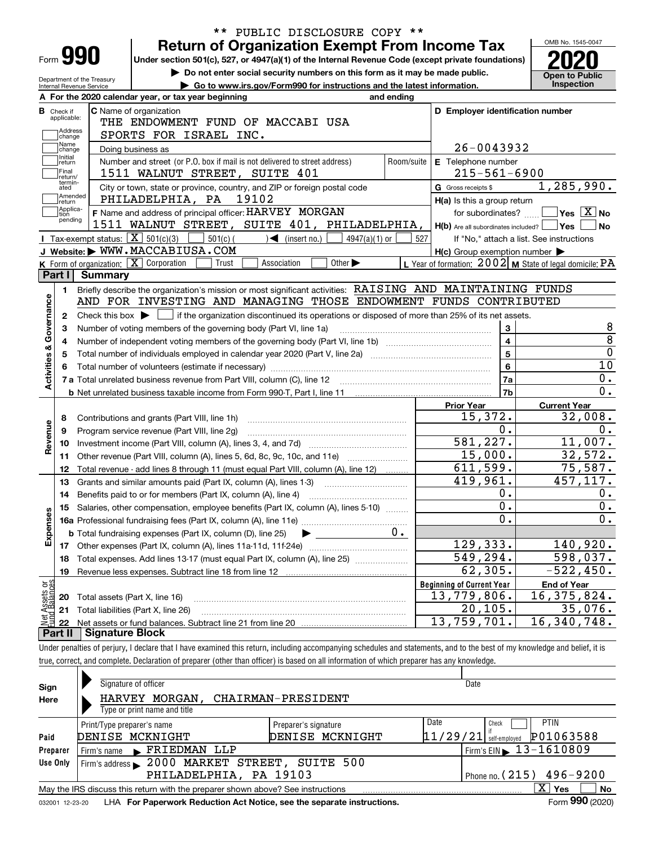|                                  |                                                        | <b>Return of Organization Exempt From Income Tax</b>                                                                                                                       |                                                           | OMB No. 1545-0047              |
|----------------------------------|--------------------------------------------------------|----------------------------------------------------------------------------------------------------------------------------------------------------------------------------|-----------------------------------------------------------|--------------------------------|
| Form <b>990</b>                  |                                                        | Under section 501(c), 527, or 4947(a)(1) of the Internal Revenue Code (except private foundations)                                                                         |                                                           |                                |
|                                  |                                                        | Do not enter social security numbers on this form as it may be made public.                                                                                                |                                                           | <b>Open to Public</b>          |
|                                  | Department of the Treasury<br>Internal Revenue Service | Go to www.irs.gov/Form990 for instructions and the latest information.                                                                                                     |                                                           | <b>Inspection</b>              |
|                                  |                                                        | A For the 2020 calendar year, or tax year beginning<br>and ending                                                                                                          |                                                           |                                |
| <b>B</b> Check if                |                                                        | <b>C</b> Name of organization                                                                                                                                              | D Employer identification number                          |                                |
| applicable:                      |                                                        | THE ENDOWMENT FUND OF MACCABI USA                                                                                                                                          |                                                           |                                |
| Address<br>change                |                                                        | SPORTS FOR ISRAEL INC.                                                                                                                                                     |                                                           |                                |
| Name<br>change                   |                                                        | Doing business as                                                                                                                                                          | 26-0043932                                                |                                |
| Initial<br>return                |                                                        | Number and street (or P.O. box if mail is not delivered to street address)<br>Room/suite                                                                                   | E Telephone number                                        |                                |
| Final<br>return/                 |                                                        | 1511 WALNUT STREET, SUITE 401                                                                                                                                              | $215 - 561 - 6900$                                        |                                |
| termin-<br>ated                  |                                                        | City or town, state or province, country, and ZIP or foreign postal code                                                                                                   | G Gross receipts \$                                       | 1, 285, 990.                   |
| Amended<br>return                |                                                        | 19102<br>PHILADELPHIA, PA                                                                                                                                                  | H(a) Is this a group return                               |                                |
| Applica-<br>tion<br>pending      |                                                        | F Name and address of principal officer: HARVEY MORGAN                                                                                                                     | for subordinates?                                         | $\sqrt{\ }$ Yes $\sqrt{\ }$ No |
|                                  |                                                        | 1511 WALNUT STREET, SUITE 401, PHILADELPHIA,                                                                                                                               | $H(b)$ Are all subordinates included? $\Box$ Yes          | l No                           |
|                                  |                                                        | Tax-exempt status: $X \overline{X}$ 501(c)(3)<br>$501(c)$ $\left( \right)$ $\left( \right)$ (insert no.)<br>$4947(a)(1)$ or                                                | 527<br>If "No," attach a list. See instructions           |                                |
|                                  |                                                        | J Website: WWW.MACCABIUSA.COM                                                                                                                                              | $H(c)$ Group exemption number $\blacktriangleright$       |                                |
|                                  |                                                        | K Form of organization: X Corporation<br>Other $\blacktriangleright$<br>Trust<br>Association                                                                               | L Year of formation: $2002$ M State of legal domicile: PA |                                |
| Part I                           | <b>Summary</b>                                         |                                                                                                                                                                            |                                                           |                                |
| 1.                               |                                                        | Briefly describe the organization's mission or most significant activities: RAISING AND MAINTAINING FUNDS                                                                  |                                                           |                                |
|                                  |                                                        | AND FOR INVESTING AND MANAGING THOSE ENDOWMENT FUNDS CONTRIBUTED                                                                                                           |                                                           |                                |
| 2                                |                                                        | Check this box $\blacktriangleright$ $\Box$ if the organization discontinued its operations or disposed of more than 25% of its net assets.                                |                                                           |                                |
| з                                |                                                        | Number of voting members of the governing body (Part VI, line 1a)                                                                                                          | 3                                                         | 8                              |
| 4                                |                                                        |                                                                                                                                                                            | $\overline{\mathbf{4}}$                                   | $\overline{8}$                 |
| 5                                |                                                        |                                                                                                                                                                            | $\overline{5}$                                            | $\mathbf 0$                    |
| Activities & Governance          |                                                        |                                                                                                                                                                            | $6\phantom{a}$                                            | 10                             |
|                                  |                                                        |                                                                                                                                                                            | 7a                                                        | 0.                             |
|                                  |                                                        |                                                                                                                                                                            | 7b                                                        | $\overline{0}$ .               |
|                                  |                                                        |                                                                                                                                                                            | <b>Prior Year</b>                                         | <b>Current Year</b>            |
| 8                                |                                                        |                                                                                                                                                                            | 15,372.                                                   | 32,008.                        |
| 9                                |                                                        | Program service revenue (Part VIII, line 2g)                                                                                                                               | 0.                                                        | 0.                             |
| Revenue<br>10                    |                                                        |                                                                                                                                                                            | 581,227.                                                  | 11,007.                        |
| 11                               |                                                        | Other revenue (Part VIII, column (A), lines 5, 6d, 8c, 9c, 10c, and 11e)                                                                                                   | 15,000.                                                   | 32,572.                        |
| 12                               |                                                        | Total revenue - add lines 8 through 11 (must equal Part VIII, column (A), line 12)                                                                                         | 611,599.                                                  | 75,587.                        |
| 13                               |                                                        | Grants and similar amounts paid (Part IX, column (A), lines 1-3)                                                                                                           | 419,961.                                                  | $\overline{457, 117}$ .        |
| 14                               |                                                        | Benefits paid to or for members (Part IX, column (A), line 4)                                                                                                              | 0.                                                        | 0.                             |
| w                                |                                                        | 15 Salaries, other compensation, employee benefits (Part IX, column (A), lines 5-10)                                                                                       | 0.                                                        | 0.                             |
| Expense                          |                                                        |                                                                                                                                                                            | $\overline{0}$                                            | $\overline{0}$ .               |
|                                  |                                                        | 0.<br><b>b</b> Total fundraising expenses (Part IX, column (D), line 25)                                                                                                   |                                                           |                                |
| 17                               |                                                        | Other expenses (Part IX, column (A), lines 11a-11d, 11f-24e)                                                                                                               | 129,333.                                                  | 140,920.                       |
| 18                               |                                                        | Total expenses. Add lines 13-17 (must equal Part IX, column (A), line 25)                                                                                                  | 549,294.                                                  | 598,037.                       |
| 19                               |                                                        |                                                                                                                                                                            | 62,305.                                                   | $-522, 450.$                   |
|                                  |                                                        |                                                                                                                                                                            | <b>Beginning of Current Year</b>                          | <b>End of Year</b>             |
| t Assets or<br>id Balances<br>20 | Total assets (Part X, line 16)                         |                                                                                                                                                                            | 13,779,806.                                               | 16, 375, 824.                  |
| 21                               |                                                        | Total liabilities (Part X, line 26)                                                                                                                                        | 20, 105.                                                  | 35,076.                        |
| 혏<br>22                          |                                                        |                                                                                                                                                                            | 13,759,701.                                               | 16, 340, 748.                  |
|                                  |                                                        |                                                                                                                                                                            |                                                           |                                |
| Part II                          |                                                        | <b>Signature Block</b>                                                                                                                                                     |                                                           |                                |
|                                  |                                                        | Under penalties of perjury, I declare that I have examined this return, including accompanying schedules and statements, and to the best of my knowledge and belief, it is |                                                           |                                |

\*\* PUBLIC DISCLOSURE COPY \*\*

| Sign            | Signature of officer                                                                               |                              | Date                                        |  |  |  |  |  |  |  |  |  |
|-----------------|----------------------------------------------------------------------------------------------------|------------------------------|---------------------------------------------|--|--|--|--|--|--|--|--|--|
| Here            | CHAIRMAN-PRESIDENT<br>MORGAN,<br><b>HARVEY</b>                                                     |                              |                                             |  |  |  |  |  |  |  |  |  |
|                 | Type or print name and title                                                                       |                              |                                             |  |  |  |  |  |  |  |  |  |
|                 | Print/Type preparer's name                                                                         | Date<br>Preparer's signature | <b>PTIN</b><br>Check                        |  |  |  |  |  |  |  |  |  |
| Paid            | DENISE MCKNIGHT                                                                                    | DENISE MCKNIGHT              | P01063588<br>11/29/21<br>self-emploved      |  |  |  |  |  |  |  |  |  |
| Preparer        | Firm's name FRIEDMAN LLP                                                                           |                              | $15$ Firm's EIN $\triangleright$ 13-1610809 |  |  |  |  |  |  |  |  |  |
| Use Only        | Firm's address > 2000 MARKET STREET, SUITE 500                                                     |                              |                                             |  |  |  |  |  |  |  |  |  |
|                 | PHILADELPHIA, PA 19103<br>Phone no. $(215)$ 496-9200                                               |                              |                                             |  |  |  |  |  |  |  |  |  |
|                 | X <br>No<br>May the IRS discuss this return with the preparer shown above? See instructions<br>Yes |                              |                                             |  |  |  |  |  |  |  |  |  |
| 032001 12-23-20 | LHA For Paperwork Reduction Act Notice, see the separate instructions.                             |                              | Form 990 (2020)                             |  |  |  |  |  |  |  |  |  |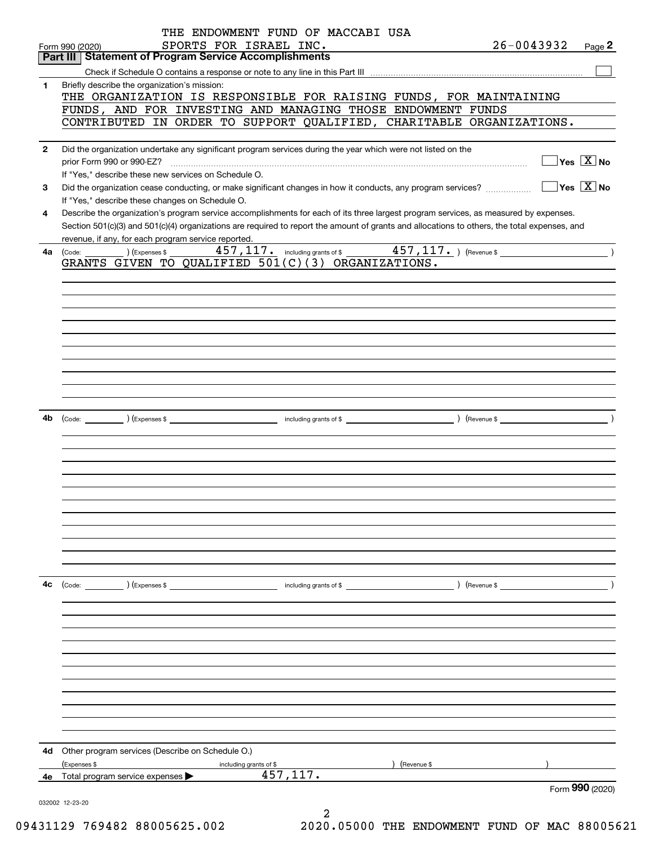|              | THE ENDOWMENT FUND OF MACCABI USA                                                                                                                                                                                       |                                                 |                 |
|--------------|-------------------------------------------------------------------------------------------------------------------------------------------------------------------------------------------------------------------------|-------------------------------------------------|-----------------|
|              | SPORTS FOR ISRAEL INC.<br>Form 990 (2020)                                                                                                                                                                               | 26-0043932                                      | Page $2$        |
|              | <b>Part III Statement of Program Service Accomplishments</b>                                                                                                                                                            |                                                 |                 |
|              |                                                                                                                                                                                                                         |                                                 |                 |
| 1            | Briefly describe the organization's mission:                                                                                                                                                                            |                                                 |                 |
|              | THE ORGANIZATION IS RESPONSIBLE FOR RAISING FUNDS, FOR MAINTAINING                                                                                                                                                      |                                                 |                 |
|              | FUNDS, AND FOR INVESTING AND MANAGING THOSE ENDOWMENT FUNDS                                                                                                                                                             |                                                 |                 |
|              | CONTRIBUTED IN ORDER TO SUPPORT QUALIFIED, CHARITABLE ORGANIZATIONS.                                                                                                                                                    |                                                 |                 |
|              |                                                                                                                                                                                                                         |                                                 |                 |
| $\mathbf{2}$ | Did the organization undertake any significant program services during the year which were not listed on the                                                                                                            | $\boxed{\phantom{1}}$ Yes $\boxed{\text{X}}$ No |                 |
|              | prior Form 990 or 990-EZ?<br>If "Yes," describe these new services on Schedule O.                                                                                                                                       |                                                 |                 |
|              |                                                                                                                                                                                                                         | $\boxed{\phantom{1}}$ Yes $\boxed{\text{X}}$ No |                 |
| 3            | Did the organization cease conducting, or make significant changes in how it conducts, any program services?                                                                                                            |                                                 |                 |
| 4            | If "Yes," describe these changes on Schedule O.<br>Describe the organization's program service accomplishments for each of its three largest program services, as measured by expenses.                                 |                                                 |                 |
|              | Section 501(c)(3) and 501(c)(4) organizations are required to report the amount of grants and allocations to others, the total expenses, and                                                                            |                                                 |                 |
|              | revenue, if any, for each program service reported.                                                                                                                                                                     |                                                 |                 |
| 4a           | $\frac{457,117.}{457,117.}$ including grants of \$ 457, 117. ) (Revenue \$<br>$\begin{pmatrix} \text{Code:} & \text{I} & \text{I} \end{pmatrix}$ $\begin{pmatrix} \text{Expenses $}\ \text{S} & \text{I} \end{pmatrix}$ |                                                 |                 |
|              | GRANTS GIVEN TO QUALIFIED 501(C)(3) ORGANIZATIONS.                                                                                                                                                                      |                                                 |                 |
|              |                                                                                                                                                                                                                         |                                                 |                 |
|              |                                                                                                                                                                                                                         |                                                 |                 |
|              |                                                                                                                                                                                                                         |                                                 |                 |
|              |                                                                                                                                                                                                                         |                                                 |                 |
|              |                                                                                                                                                                                                                         |                                                 |                 |
|              |                                                                                                                                                                                                                         |                                                 |                 |
|              |                                                                                                                                                                                                                         |                                                 |                 |
|              |                                                                                                                                                                                                                         |                                                 |                 |
|              |                                                                                                                                                                                                                         |                                                 |                 |
|              |                                                                                                                                                                                                                         |                                                 |                 |
|              |                                                                                                                                                                                                                         |                                                 |                 |
| 4b           |                                                                                                                                                                                                                         |                                                 |                 |
|              |                                                                                                                                                                                                                         |                                                 |                 |
|              |                                                                                                                                                                                                                         |                                                 |                 |
|              |                                                                                                                                                                                                                         |                                                 |                 |
|              |                                                                                                                                                                                                                         |                                                 |                 |
|              |                                                                                                                                                                                                                         |                                                 |                 |
|              |                                                                                                                                                                                                                         |                                                 |                 |
|              |                                                                                                                                                                                                                         |                                                 |                 |
|              |                                                                                                                                                                                                                         |                                                 |                 |
|              |                                                                                                                                                                                                                         |                                                 |                 |
|              |                                                                                                                                                                                                                         |                                                 |                 |
|              |                                                                                                                                                                                                                         |                                                 |                 |
|              |                                                                                                                                                                                                                         |                                                 |                 |
| 4c           |                                                                                                                                                                                                                         | $\sqrt{2}$ (Revenue \$                          |                 |
|              |                                                                                                                                                                                                                         |                                                 |                 |
|              |                                                                                                                                                                                                                         |                                                 |                 |
|              |                                                                                                                                                                                                                         |                                                 |                 |
|              |                                                                                                                                                                                                                         |                                                 |                 |
|              |                                                                                                                                                                                                                         |                                                 |                 |
|              |                                                                                                                                                                                                                         |                                                 |                 |
|              |                                                                                                                                                                                                                         |                                                 |                 |
|              |                                                                                                                                                                                                                         |                                                 |                 |
|              |                                                                                                                                                                                                                         |                                                 |                 |
|              |                                                                                                                                                                                                                         |                                                 |                 |
|              |                                                                                                                                                                                                                         |                                                 |                 |
|              |                                                                                                                                                                                                                         |                                                 |                 |
| 4d           | Other program services (Describe on Schedule O.)                                                                                                                                                                        |                                                 |                 |
|              | (Expenses \$<br>) (Revenue \$<br>including grants of \$<br>457, 117.                                                                                                                                                    |                                                 |                 |
|              | 4e Total program service expenses $\blacktriangleright$                                                                                                                                                                 |                                                 | Form 990 (2020) |
|              |                                                                                                                                                                                                                         |                                                 |                 |
|              | 032002 12-23-20                                                                                                                                                                                                         |                                                 |                 |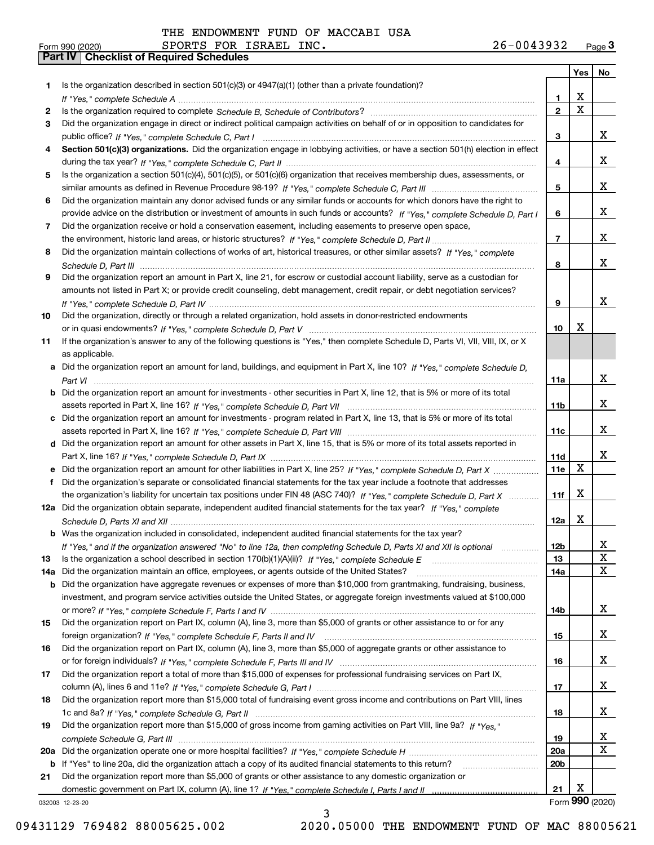|     |                                                                                                                                                                                                                                                    |                 | Yes                     | No              |
|-----|----------------------------------------------------------------------------------------------------------------------------------------------------------------------------------------------------------------------------------------------------|-----------------|-------------------------|-----------------|
| 1.  | Is the organization described in section $501(c)(3)$ or $4947(a)(1)$ (other than a private foundation)?                                                                                                                                            |                 |                         |                 |
|     |                                                                                                                                                                                                                                                    | 1               | X                       |                 |
| 2   |                                                                                                                                                                                                                                                    | $\overline{2}$  | $\overline{\mathbf{x}}$ |                 |
| 3   | Did the organization engage in direct or indirect political campaign activities on behalf of or in opposition to candidates for                                                                                                                    |                 |                         |                 |
|     |                                                                                                                                                                                                                                                    | 3               |                         | x               |
| 4   | Section 501(c)(3) organizations. Did the organization engage in lobbying activities, or have a section 501(h) election in effect                                                                                                                   |                 |                         | x               |
|     |                                                                                                                                                                                                                                                    | 4               |                         |                 |
| 5   | Is the organization a section 501(c)(4), 501(c)(5), or 501(c)(6) organization that receives membership dues, assessments, or                                                                                                                       | 5               |                         | x               |
| 6   | Did the organization maintain any donor advised funds or any similar funds or accounts for which donors have the right to                                                                                                                          |                 |                         |                 |
|     | provide advice on the distribution or investment of amounts in such funds or accounts? If "Yes," complete Schedule D, Part I                                                                                                                       | 6               |                         | x               |
| 7   | Did the organization receive or hold a conservation easement, including easements to preserve open space,                                                                                                                                          |                 |                         |                 |
|     |                                                                                                                                                                                                                                                    | $\overline{7}$  |                         | x               |
| 8   | Did the organization maintain collections of works of art, historical treasures, or other similar assets? If "Yes," complete                                                                                                                       |                 |                         |                 |
|     |                                                                                                                                                                                                                                                    | 8               |                         | x               |
| 9   | Did the organization report an amount in Part X, line 21, for escrow or custodial account liability, serve as a custodian for                                                                                                                      |                 |                         |                 |
|     | amounts not listed in Part X; or provide credit counseling, debt management, credit repair, or debt negotiation services?                                                                                                                          |                 |                         |                 |
|     |                                                                                                                                                                                                                                                    | 9               |                         | x               |
| 10  | Did the organization, directly or through a related organization, hold assets in donor-restricted endowments                                                                                                                                       |                 |                         |                 |
|     |                                                                                                                                                                                                                                                    | 10              | x                       |                 |
| 11  | If the organization's answer to any of the following questions is "Yes," then complete Schedule D, Parts VI, VIII, VIII, IX, or X                                                                                                                  |                 |                         |                 |
|     | as applicable.                                                                                                                                                                                                                                     |                 |                         |                 |
|     | a Did the organization report an amount for land, buildings, and equipment in Part X, line 10? If "Yes," complete Schedule D.                                                                                                                      |                 |                         |                 |
|     |                                                                                                                                                                                                                                                    | 11a             |                         | x               |
|     | <b>b</b> Did the organization report an amount for investments - other securities in Part X, line 12, that is 5% or more of its total                                                                                                              |                 |                         |                 |
|     |                                                                                                                                                                                                                                                    | 11 <sub>b</sub> |                         | x               |
|     | c Did the organization report an amount for investments - program related in Part X, line 13, that is 5% or more of its total                                                                                                                      |                 |                         |                 |
|     |                                                                                                                                                                                                                                                    | 11c             |                         | x               |
|     | d Did the organization report an amount for other assets in Part X, line 15, that is 5% or more of its total assets reported in                                                                                                                    |                 |                         | x               |
|     |                                                                                                                                                                                                                                                    | 11d<br>11e      | X                       |                 |
| f   | e Did the organization report an amount for other liabilities in Part X, line 25? If "Yes," complete Schedule D, Part X<br>Did the organization's separate or consolidated financial statements for the tax year include a footnote that addresses |                 |                         |                 |
|     | the organization's liability for uncertain tax positions under FIN 48 (ASC 740)? If "Yes," complete Schedule D, Part X                                                                                                                             | 11f             | X                       |                 |
|     | 12a Did the organization obtain separate, independent audited financial statements for the tax year? If "Yes," complete                                                                                                                            |                 |                         |                 |
|     |                                                                                                                                                                                                                                                    | 12a             | х                       |                 |
|     | b Was the organization included in consolidated, independent audited financial statements for the tax year?                                                                                                                                        |                 |                         |                 |
|     | If "Yes," and if the organization answered "No" to line 12a, then completing Schedule D, Parts XI and XII is optional                                                                                                                              | 12b             |                         | Δ.              |
| 13  |                                                                                                                                                                                                                                                    | 13              |                         | X               |
| 14a | Did the organization maintain an office, employees, or agents outside of the United States?                                                                                                                                                        | 14a             |                         | $\mathbf X$     |
|     | <b>b</b> Did the organization have aggregate revenues or expenses of more than \$10,000 from grantmaking, fundraising, business,                                                                                                                   |                 |                         |                 |
|     | investment, and program service activities outside the United States, or aggregate foreign investments valued at \$100,000                                                                                                                         |                 |                         |                 |
|     |                                                                                                                                                                                                                                                    | 14b             |                         | x               |
| 15  | Did the organization report on Part IX, column (A), line 3, more than \$5,000 of grants or other assistance to or for any                                                                                                                          |                 |                         |                 |
|     |                                                                                                                                                                                                                                                    | 15              |                         | X               |
| 16  | Did the organization report on Part IX, column (A), line 3, more than \$5,000 of aggregate grants or other assistance to                                                                                                                           |                 |                         |                 |
|     |                                                                                                                                                                                                                                                    | 16              |                         | X               |
| 17  | Did the organization report a total of more than \$15,000 of expenses for professional fundraising services on Part IX,                                                                                                                            |                 |                         |                 |
|     |                                                                                                                                                                                                                                                    | 17              |                         | X               |
| 18  | Did the organization report more than \$15,000 total of fundraising event gross income and contributions on Part VIII, lines                                                                                                                       |                 |                         | x               |
|     | Did the organization report more than \$15,000 of gross income from gaming activities on Part VIII, line 9a? If "Yes."                                                                                                                             | 18              |                         |                 |
| 19  |                                                                                                                                                                                                                                                    | 19              |                         | X               |
|     |                                                                                                                                                                                                                                                    | 20a             |                         | $\mathbf X$     |
|     | b If "Yes" to line 20a, did the organization attach a copy of its audited financial statements to this return?                                                                                                                                     | 20 <sub>b</sub> |                         |                 |
| 21  | Did the organization report more than \$5,000 of grants or other assistance to any domestic organization or                                                                                                                                        |                 |                         |                 |
|     |                                                                                                                                                                                                                                                    | 21              | X                       |                 |
|     | 032003 12-23-20                                                                                                                                                                                                                                    |                 |                         | Form 990 (2020) |

032003 12-23-20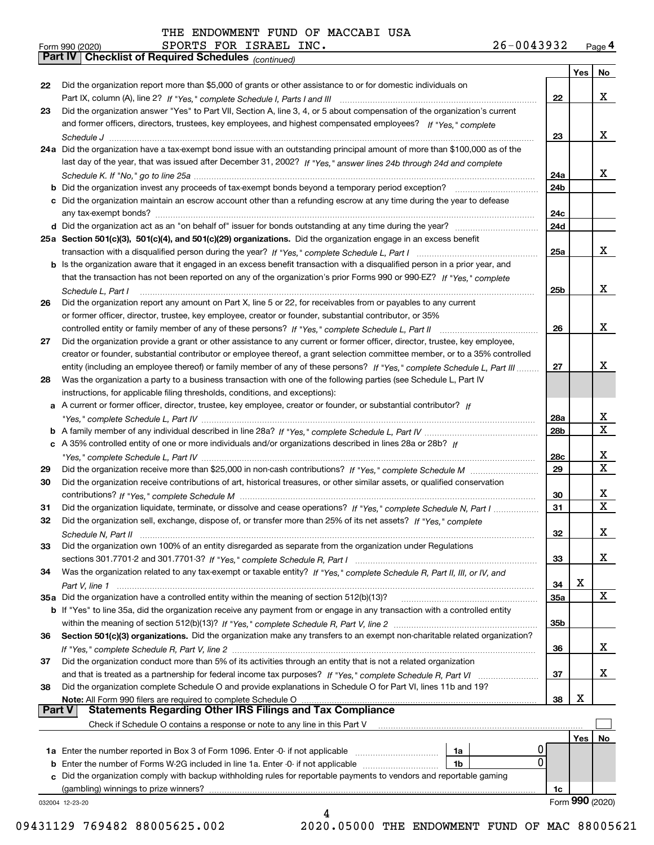*(continued)*

| Form 990 (2020) |                                                              |  | SPORTS FOR ISRAEL INC. | $26 - 0043932$ | Page 4 |
|-----------------|--------------------------------------------------------------|--|------------------------|----------------|--------|
|                 | <b>Part IV   Checklist of Required Schedules</b> (continued) |  |                        |                |        |

|               |                                                                                                                              |                 | Yes | No               |
|---------------|------------------------------------------------------------------------------------------------------------------------------|-----------------|-----|------------------|
| 22            | Did the organization report more than \$5,000 of grants or other assistance to or for domestic individuals on                |                 |     |                  |
|               |                                                                                                                              | 22              |     | x                |
| 23            | Did the organization answer "Yes" to Part VII, Section A, line 3, 4, or 5 about compensation of the organization's current   |                 |     |                  |
|               | and former officers, directors, trustees, key employees, and highest compensated employees? If "Yes," complete               |                 |     |                  |
|               |                                                                                                                              | 23              |     | x                |
|               | 24a Did the organization have a tax-exempt bond issue with an outstanding principal amount of more than \$100,000 as of the  |                 |     |                  |
|               | last day of the year, that was issued after December 31, 2002? If "Yes," answer lines 24b through 24d and complete           |                 |     |                  |
|               |                                                                                                                              | 24a             |     | x                |
|               |                                                                                                                              | 24 <sub>b</sub> |     |                  |
|               | c Did the organization maintain an escrow account other than a refunding escrow at any time during the year to defease       |                 |     |                  |
|               |                                                                                                                              | 24c             |     |                  |
|               |                                                                                                                              | 24d             |     |                  |
|               | 25a Section 501(c)(3), 501(c)(4), and 501(c)(29) organizations. Did the organization engage in an excess benefit             |                 |     |                  |
|               |                                                                                                                              | 25a             |     | x                |
|               | b Is the organization aware that it engaged in an excess benefit transaction with a disqualified person in a prior year, and |                 |     |                  |
|               | that the transaction has not been reported on any of the organization's prior Forms 990 or 990-EZ? If "Yes," complete        |                 |     |                  |
|               | Schedule L, Part I                                                                                                           | 25b             |     | x                |
| 26            | Did the organization report any amount on Part X, line 5 or 22, for receivables from or payables to any current              |                 |     |                  |
|               | or former officer, director, trustee, key employee, creator or founder, substantial contributor, or 35%                      |                 |     |                  |
|               | controlled entity or family member of any of these persons? If "Yes," complete Schedule L, Part II                           | 26              |     | x                |
| 27            | Did the organization provide a grant or other assistance to any current or former officer, director, trustee, key employee,  |                 |     |                  |
|               | creator or founder, substantial contributor or employee thereof, a grant selection committee member, or to a 35% controlled  |                 |     |                  |
|               | entity (including an employee thereof) or family member of any of these persons? If "Yes," complete Schedule L, Part III     | 27              |     | x                |
| 28            | Was the organization a party to a business transaction with one of the following parties (see Schedule L, Part IV            |                 |     |                  |
|               | instructions, for applicable filing thresholds, conditions, and exceptions):                                                 |                 |     |                  |
|               | a A current or former officer, director, trustee, key employee, creator or founder, or substantial contributor? If           |                 |     |                  |
|               |                                                                                                                              | 28a             |     | x<br>$\mathbf X$ |
|               |                                                                                                                              | 28 <sub>b</sub> |     |                  |
|               | c A 35% controlled entity of one or more individuals and/or organizations described in lines 28a or 28b? If                  |                 |     | х                |
|               |                                                                                                                              | 28c<br>29       |     | X                |
| 29<br>30      | Did the organization receive contributions of art, historical treasures, or other similar assets, or qualified conservation  |                 |     |                  |
|               |                                                                                                                              | 30              |     | x                |
| 31            | Did the organization liquidate, terminate, or dissolve and cease operations? If "Yes," complete Schedule N, Part I           | 31              |     | $\mathbf X$      |
| 32            | Did the organization sell, exchange, dispose of, or transfer more than 25% of its net assets? If "Yes," complete             |                 |     |                  |
|               |                                                                                                                              | 32              |     | x                |
| 33            | Did the organization own 100% of an entity disregarded as separate from the organization under Regulations                   |                 |     |                  |
|               |                                                                                                                              | 33              |     | x                |
| 34            | Was the organization related to any tax-exempt or taxable entity? If "Yes," complete Schedule R, Part II, III, or IV, and    |                 |     |                  |
|               |                                                                                                                              | 34              | х   |                  |
|               | 35a Did the organization have a controlled entity within the meaning of section 512(b)(13)?                                  | 35a             |     | x                |
|               | b If "Yes" to line 35a, did the organization receive any payment from or engage in any transaction with a controlled entity  |                 |     |                  |
|               |                                                                                                                              | 35 <sub>b</sub> |     |                  |
| 36            | Section 501(c)(3) organizations. Did the organization make any transfers to an exempt non-charitable related organization?   |                 |     |                  |
|               |                                                                                                                              | 36              |     | X.               |
| 37            | Did the organization conduct more than 5% of its activities through an entity that is not a related organization             |                 |     |                  |
|               |                                                                                                                              | 37              |     | х                |
| 38            | Did the organization complete Schedule O and provide explanations in Schedule O for Part VI, lines 11b and 19?               |                 |     |                  |
|               |                                                                                                                              | 38              | х   |                  |
| <b>Part V</b> | <b>Statements Regarding Other IRS Filings and Tax Compliance</b>                                                             |                 |     |                  |
|               | Check if Schedule O contains a response or note to any line in this Part V                                                   |                 |     |                  |
|               |                                                                                                                              |                 | Yes | No               |
|               | 0<br>1a Enter the number reported in Box 3 of Form 1096. Enter -0- if not applicable<br>1a                                   |                 |     |                  |
|               | 0<br><b>b</b> Enter the number of Forms W-2G included in line 1a. Enter -0- if not applicable<br>1b                          |                 |     |                  |
|               | c Did the organization comply with backup withholding rules for reportable payments to vendors and reportable gaming         |                 |     |                  |
|               |                                                                                                                              | 1c              |     |                  |
|               | 032004 12-23-20                                                                                                              |                 |     | Form 990 (2020)  |
|               | 4                                                                                                                            |                 |     |                  |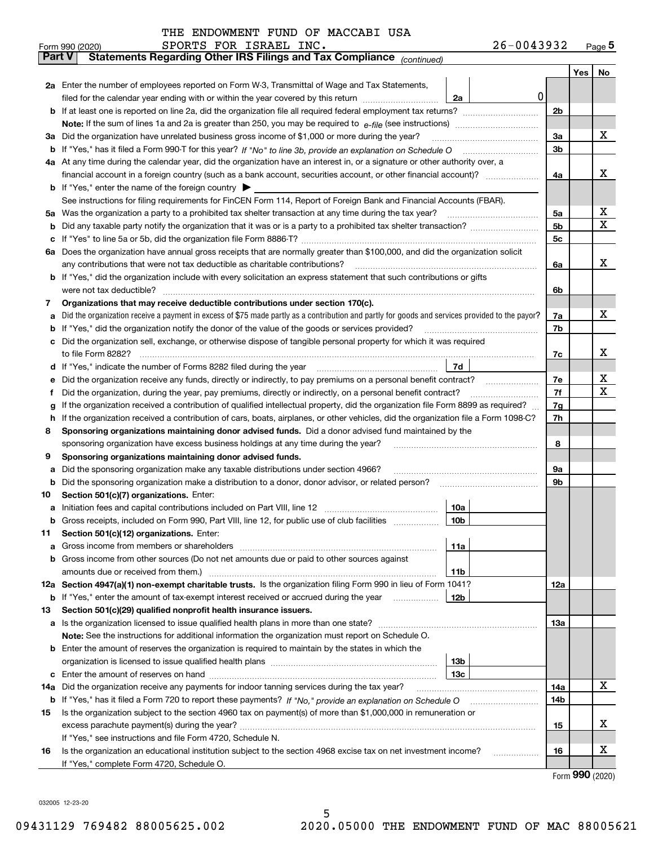| THE ENDOWMENT FUND OF MACCABI USA |  |  |
|-----------------------------------|--|--|
|-----------------------------------|--|--|

|               | 26-0043932<br>SPORTS FOR ISRAEL INC.<br>Form 990 (2020)                                                                                         |     |         | $Page$ <sup>5</sup> |  |  |  |  |  |  |  |
|---------------|-------------------------------------------------------------------------------------------------------------------------------------------------|-----|---------|---------------------|--|--|--|--|--|--|--|
| <b>Part V</b> | Statements Regarding Other IRS Filings and Tax Compliance (continued)                                                                           |     |         |                     |  |  |  |  |  |  |  |
|               |                                                                                                                                                 |     | Yes $ $ | No                  |  |  |  |  |  |  |  |
|               | 2a Enter the number of employees reported on Form W-3, Transmittal of Wage and Tax Statements,                                                  |     |         |                     |  |  |  |  |  |  |  |
|               | 0<br>filed for the calendar year ending with or within the year covered by this return<br>2a                                                    |     |         |                     |  |  |  |  |  |  |  |
|               |                                                                                                                                                 |     |         |                     |  |  |  |  |  |  |  |
|               |                                                                                                                                                 |     |         |                     |  |  |  |  |  |  |  |
|               | 3a Did the organization have unrelated business gross income of \$1,000 or more during the year?                                                |     |         |                     |  |  |  |  |  |  |  |
|               |                                                                                                                                                 | 3b  |         |                     |  |  |  |  |  |  |  |
|               | 4a At any time during the calendar year, did the organization have an interest in, or a signature or other authority over, a                    |     |         |                     |  |  |  |  |  |  |  |
|               |                                                                                                                                                 | 4a  |         | х                   |  |  |  |  |  |  |  |
|               | <b>b</b> If "Yes," enter the name of the foreign country $\blacktriangleright$                                                                  |     |         |                     |  |  |  |  |  |  |  |
|               | See instructions for filing requirements for FinCEN Form 114, Report of Foreign Bank and Financial Accounts (FBAR).                             |     |         |                     |  |  |  |  |  |  |  |
|               | 5a Was the organization a party to a prohibited tax shelter transaction at any time during the tax year?                                        | 5a  |         | x                   |  |  |  |  |  |  |  |
| b             |                                                                                                                                                 | 5b  |         | X                   |  |  |  |  |  |  |  |
| c             |                                                                                                                                                 | 5c  |         |                     |  |  |  |  |  |  |  |
|               | 6a Does the organization have annual gross receipts that are normally greater than \$100,000, and did the organization solicit                  |     |         |                     |  |  |  |  |  |  |  |
|               | any contributions that were not tax deductible as charitable contributions?                                                                     | 6a  |         | x                   |  |  |  |  |  |  |  |
|               | <b>b</b> If "Yes," did the organization include with every solicitation an express statement that such contributions or gifts                   |     |         |                     |  |  |  |  |  |  |  |
|               | were not tax deductible?                                                                                                                        | 6b  |         |                     |  |  |  |  |  |  |  |
| 7             | Organizations that may receive deductible contributions under section 170(c).                                                                   |     |         |                     |  |  |  |  |  |  |  |
| а             | Did the organization receive a payment in excess of \$75 made partly as a contribution and partly for goods and services provided to the payor? | 7a  |         | х                   |  |  |  |  |  |  |  |
|               | <b>b</b> If "Yes," did the organization notify the donor of the value of the goods or services provided?                                        | 7b  |         |                     |  |  |  |  |  |  |  |
|               | c Did the organization sell, exchange, or otherwise dispose of tangible personal property for which it was required                             |     |         |                     |  |  |  |  |  |  |  |
|               |                                                                                                                                                 | 7c  |         | х                   |  |  |  |  |  |  |  |
|               | 7d                                                                                                                                              |     |         |                     |  |  |  |  |  |  |  |
| е             | Did the organization receive any funds, directly or indirectly, to pay premiums on a personal benefit contract?                                 | 7е  |         | х                   |  |  |  |  |  |  |  |
| f             | Did the organization, during the year, pay premiums, directly or indirectly, on a personal benefit contract?                                    | 7f  |         | х                   |  |  |  |  |  |  |  |
| g             | If the organization received a contribution of qualified intellectual property, did the organization file Form 8899 as required?                | 7g  |         |                     |  |  |  |  |  |  |  |
| h.            | If the organization received a contribution of cars, boats, airplanes, or other vehicles, did the organization file a Form 1098-C?              | 7h  |         |                     |  |  |  |  |  |  |  |
| 8             | Sponsoring organizations maintaining donor advised funds. Did a donor advised fund maintained by the                                            |     |         |                     |  |  |  |  |  |  |  |
|               | sponsoring organization have excess business holdings at any time during the year?                                                              | 8   |         |                     |  |  |  |  |  |  |  |
| 9             | Sponsoring organizations maintaining donor advised funds.                                                                                       |     |         |                     |  |  |  |  |  |  |  |
| а             | Did the sponsoring organization make any taxable distributions under section 4966?                                                              | 9а  |         |                     |  |  |  |  |  |  |  |
| b             | Did the sponsoring organization make a distribution to a donor, donor advisor, or related person?                                               | 9b  |         |                     |  |  |  |  |  |  |  |
| 10            | Section 501(c)(7) organizations. Enter:                                                                                                         |     |         |                     |  |  |  |  |  |  |  |
|               | 10a<br> 10b                                                                                                                                     |     |         |                     |  |  |  |  |  |  |  |
|               | Gross receipts, included on Form 990, Part VIII, line 12, for public use of club facilities                                                     |     |         |                     |  |  |  |  |  |  |  |
| 11            | Section 501(c)(12) organizations. Enter:                                                                                                        |     |         |                     |  |  |  |  |  |  |  |
| a             | Gross income from members or shareholders<br>11a<br>b Gross income from other sources (Do not net amounts due or paid to other sources against  |     |         |                     |  |  |  |  |  |  |  |
|               | 11b                                                                                                                                             |     |         |                     |  |  |  |  |  |  |  |
|               | 12a Section 4947(a)(1) non-exempt charitable trusts. Is the organization filing Form 990 in lieu of Form 1041?                                  | 12a |         |                     |  |  |  |  |  |  |  |
|               | 12b<br><b>b</b> If "Yes," enter the amount of tax-exempt interest received or accrued during the year <i>manument</i>                           |     |         |                     |  |  |  |  |  |  |  |
| 13            | Section 501(c)(29) qualified nonprofit health insurance issuers.                                                                                |     |         |                     |  |  |  |  |  |  |  |
| a             | Is the organization licensed to issue qualified health plans in more than one state?                                                            | 13а |         |                     |  |  |  |  |  |  |  |
|               | Note: See the instructions for additional information the organization must report on Schedule O.                                               |     |         |                     |  |  |  |  |  |  |  |
|               | <b>b</b> Enter the amount of reserves the organization is required to maintain by the states in which the                                       |     |         |                     |  |  |  |  |  |  |  |
|               | 13b                                                                                                                                             |     |         |                     |  |  |  |  |  |  |  |
|               | 13с                                                                                                                                             |     |         |                     |  |  |  |  |  |  |  |
|               | 14a Did the organization receive any payments for indoor tanning services during the tax year?                                                  | 14a |         | х                   |  |  |  |  |  |  |  |
|               | <b>b</b> If "Yes," has it filed a Form 720 to report these payments? If "No," provide an explanation on Schedule O                              | 14b |         |                     |  |  |  |  |  |  |  |
| 15            | Is the organization subject to the section 4960 tax on payment(s) of more than \$1,000,000 in remuneration or                                   |     |         |                     |  |  |  |  |  |  |  |
|               |                                                                                                                                                 | 15  |         | x                   |  |  |  |  |  |  |  |
|               | If "Yes," see instructions and file Form 4720, Schedule N.                                                                                      |     |         |                     |  |  |  |  |  |  |  |
| 16            | Is the organization an educational institution subject to the section 4968 excise tax on net investment income?                                 | 16  |         | x                   |  |  |  |  |  |  |  |
|               | If "Yes," complete Form 4720, Schedule O.                                                                                                       |     |         |                     |  |  |  |  |  |  |  |

Form (2020) **990**

032005 12-23-20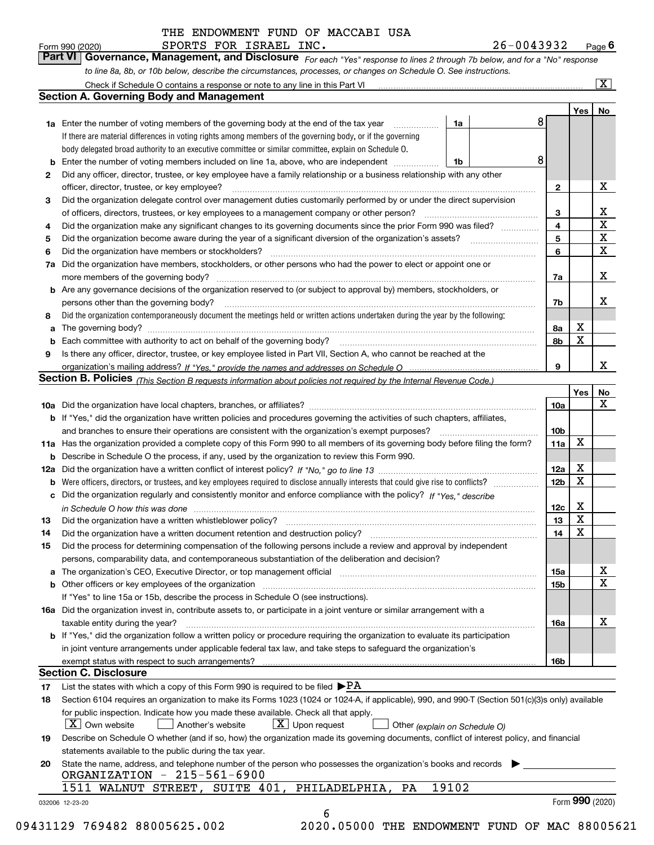SPORTS FOR ISRAEL INC. 26-0043932

*For each "Yes" response to lines 2 through 7b below, and for a "No" response to line 8a, 8b, or 10b below, describe the circumstances, processes, or changes on Schedule O. See instructions.* Form 990 (2020) **CONEY BEORTS FOR LEGALE ENC.**<br>**Part VI Governance, Management, and Disclosure** For each "Yes" response to lines 2 through 7b below, and for a "No" response

|    |                                                                                                                                                                                                                                |         |                              | Yes | No                      |
|----|--------------------------------------------------------------------------------------------------------------------------------------------------------------------------------------------------------------------------------|---------|------------------------------|-----|-------------------------|
|    | <b>1a</b> Enter the number of voting members of the governing body at the end of the tax year                                                                                                                                  | 8<br>1a |                              |     |                         |
|    | If there are material differences in voting rights among members of the governing body, or if the governing                                                                                                                    |         |                              |     |                         |
|    | body delegated broad authority to an executive committee or similar committee, explain on Schedule O.                                                                                                                          |         |                              |     |                         |
| b  | Enter the number of voting members included on line 1a, above, who are independent                                                                                                                                             | 8<br>1b |                              |     |                         |
| 2  | Did any officer, director, trustee, or key employee have a family relationship or a business relationship with any other                                                                                                       |         |                              |     | X                       |
|    | officer, director, trustee, or key employee?                                                                                                                                                                                   |         | $\mathbf{2}$                 |     |                         |
| З  | Did the organization delegate control over management duties customarily performed by or under the direct supervision                                                                                                          |         |                              |     | X                       |
|    | of officers, directors, trustees, or key employees to a management company or other person?<br>Did the organization make any significant changes to its governing documents since the prior Form 990 was filed?                |         | 3<br>$\overline{\mathbf{4}}$ |     | $\overline{\mathbf{x}}$ |
| 4  |                                                                                                                                                                                                                                |         | 5                            |     | $\overline{\mathbf{x}}$ |
| 5  | Did the organization have members or stockholders?                                                                                                                                                                             |         | 6                            |     | $\mathbf x$             |
| 6  | Did the organization have members, stockholders, or other persons who had the power to elect or appoint one or                                                                                                                 |         |                              |     |                         |
| 7a |                                                                                                                                                                                                                                |         | 7a                           |     | X                       |
|    | <b>b</b> Are any governance decisions of the organization reserved to (or subject to approval by) members, stockholders, or                                                                                                    |         |                              |     |                         |
|    | persons other than the governing body?                                                                                                                                                                                         |         | 7b                           |     | х                       |
| 8  | Did the organization contemporaneously document the meetings held or written actions undertaken during the year by the following:                                                                                              |         |                              |     |                         |
| a  |                                                                                                                                                                                                                                |         | 8а                           | X   |                         |
| b  |                                                                                                                                                                                                                                |         | 8b                           | X   |                         |
| 9  | Is there any officer, director, trustee, or key employee listed in Part VII, Section A, who cannot be reached at the                                                                                                           |         |                              |     |                         |
|    |                                                                                                                                                                                                                                |         | 9                            |     | X                       |
|    | Section B. Policies (This Section B requests information about policies not required by the Internal Revenue Code.)                                                                                                            |         |                              |     |                         |
|    |                                                                                                                                                                                                                                |         |                              | Yes | No                      |
|    |                                                                                                                                                                                                                                |         | 10a                          |     | X                       |
|    | <b>b</b> If "Yes," did the organization have written policies and procedures governing the activities of such chapters, affiliates,                                                                                            |         |                              |     |                         |
|    |                                                                                                                                                                                                                                |         | 10 <sub>b</sub>              |     |                         |
|    | 11a Has the organization provided a complete copy of this Form 990 to all members of its governing body before filing the form?                                                                                                |         | 11a                          | X   |                         |
|    | <b>b</b> Describe in Schedule O the process, if any, used by the organization to review this Form 990.                                                                                                                         |         |                              |     |                         |
|    |                                                                                                                                                                                                                                |         | 12a                          | X   |                         |
|    |                                                                                                                                                                                                                                |         | 12 <sub>b</sub>              | х   |                         |
|    | c Did the organization regularly and consistently monitor and enforce compliance with the policy? If "Yes," describe                                                                                                           |         |                              |     |                         |
|    | in Schedule O how this was done manufactured and continuum control of the Schedule O how this was done manufactured and continuum control of the Schedule O how this was done                                                  |         | 12c                          | X   |                         |
| 13 |                                                                                                                                                                                                                                |         | 13                           | X   |                         |
| 14 |                                                                                                                                                                                                                                |         | 14                           | X   |                         |
| 15 | Did the process for determining compensation of the following persons include a review and approval by independent                                                                                                             |         |                              |     |                         |
|    | persons, comparability data, and contemporaneous substantiation of the deliberation and decision?                                                                                                                              |         |                              |     |                         |
|    | a The organization's CEO, Executive Director, or top management official manufactured content content of the organization's CEO, Executive Director, or top management official manufactured content of the state of the state |         | 15a                          |     | х                       |
|    |                                                                                                                                                                                                                                |         | 15b                          |     | X                       |
|    | If "Yes" to line 15a or 15b, describe the process in Schedule O (see instructions).                                                                                                                                            |         |                              |     |                         |
|    | 16a Did the organization invest in, contribute assets to, or participate in a joint venture or similar arrangement with a                                                                                                      |         |                              |     |                         |
|    | taxable entity during the year?                                                                                                                                                                                                |         | 16a                          |     | X                       |
|    | b If "Yes," did the organization follow a written policy or procedure requiring the organization to evaluate its participation                                                                                                 |         |                              |     |                         |
|    | in joint venture arrangements under applicable federal tax law, and take steps to safequard the organization's                                                                                                                 |         |                              |     |                         |
|    | exempt status with respect to such arrangements?                                                                                                                                                                               |         | 16b                          |     |                         |
|    | <b>Section C. Disclosure</b>                                                                                                                                                                                                   |         |                              |     |                         |
| 17 | List the states with which a copy of this Form 990 is required to be filed $\blacktriangleright$ PA                                                                                                                            |         |                              |     |                         |
| 18 | Section 6104 requires an organization to make its Forms 1023 (1024 or 1024-A, if applicable), 990, and 990-T (Section 501(c)(3)s only) available                                                                               |         |                              |     |                         |
|    | for public inspection. Indicate how you made these available. Check all that apply.                                                                                                                                            |         |                              |     |                         |
|    | $X$ Upon request<br>$\lfloor x \rfloor$ Own website<br>Another's website<br>Other (explain on Schedule O)                                                                                                                      |         |                              |     |                         |
| 19 | Describe on Schedule O whether (and if so, how) the organization made its governing documents, conflict of interest policy, and financial                                                                                      |         |                              |     |                         |
|    | statements available to the public during the tax year.                                                                                                                                                                        |         |                              |     |                         |
| 20 | State the name, address, and telephone number of the person who possesses the organization's books and records                                                                                                                 |         |                              |     |                         |
|    | ORGANIZATION - 215-561-6900                                                                                                                                                                                                    |         |                              |     |                         |
|    | 19102<br>1511 WALNUT STREET, SUITE 401,<br>PHILADELPHIA,<br>PA                                                                                                                                                                 |         |                              |     |                         |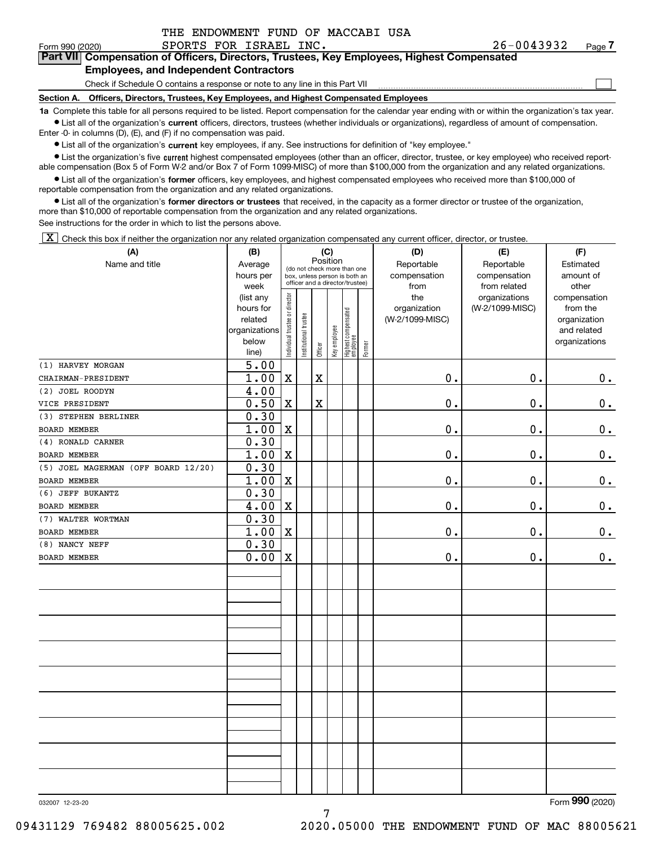| THE ENDOWMENT FUND OF MACCABI USA |  |  |
|-----------------------------------|--|--|
|                                   |  |  |

 $\mathcal{L}^{\text{max}}$ 

#### Form 990 (2020) SPORTS FOR ISRAEL INC. 26-0 0 4 3 9 3 2 <sub>Page</sub> **7Part VII Compensation of Officers, Directors, Trustees, Key Employees, Highest Compensated Employees, and Independent Contractors**

## Check if Schedule O contains a response or note to any line in this Part VII

**Section A. Officers, Directors, Trustees, Key Employees, and Highest Compensated Employees**

**1a**  Complete this table for all persons required to be listed. Report compensation for the calendar year ending with or within the organization's tax year. **•** List all of the organization's current officers, directors, trustees (whether individuals or organizations), regardless of amount of compensation. Enter -0- in columns (D), (E), and (F) if no compensation was paid.

 $\bullet$  List all of the organization's  $\,$ current key employees, if any. See instructions for definition of "key employee."

**•** List the organization's five current highest compensated employees (other than an officer, director, trustee, or key employee) who received reportable compensation (Box 5 of Form W-2 and/or Box 7 of Form 1099-MISC) of more than \$100,000 from the organization and any related organizations.

**•** List all of the organization's former officers, key employees, and highest compensated employees who received more than \$100,000 of reportable compensation from the organization and any related organizations.

**former directors or trustees**  ¥ List all of the organization's that received, in the capacity as a former director or trustee of the organization, more than \$10,000 of reportable compensation from the organization and any related organizations.

See instructions for the order in which to list the persons above.

 $\boxed{\textbf{X}}$  Check this box if neither the organization nor any related organization compensated any current officer, director, or trustee.

| (A)                                 | (B)                        |                               |                      |             | (C)          |                                                                  |        | (D)                  | (E)                          | (F)                |  |  |
|-------------------------------------|----------------------------|-------------------------------|----------------------|-------------|--------------|------------------------------------------------------------------|--------|----------------------|------------------------------|--------------------|--|--|
| Name and title                      | Average                    |                               |                      | Position    |              | (do not check more than one                                      |        | Reportable           | Reportable                   | Estimated          |  |  |
|                                     | hours per<br>week          |                               |                      |             |              | box, unless person is both an<br>officer and a director/trustee) |        | compensation<br>from | compensation<br>from related | amount of<br>other |  |  |
|                                     | (list any                  |                               |                      |             |              |                                                                  |        | the                  | organizations                | compensation       |  |  |
|                                     | hours for                  |                               |                      |             |              |                                                                  |        | organization         | (W-2/1099-MISC)              | from the           |  |  |
|                                     | related                    |                               |                      |             |              |                                                                  |        | (W-2/1099-MISC)      |                              | organization       |  |  |
|                                     | organizations              |                               |                      |             |              |                                                                  |        |                      |                              | and related        |  |  |
|                                     | below                      | ndividual trustee or director | nstitutional trustee | Officer     | Key employee | Highest compensated<br>employee                                  | Former |                      |                              | organizations      |  |  |
| (1) HARVEY MORGAN                   | line)<br>$\overline{5.00}$ |                               |                      |             |              |                                                                  |        |                      |                              |                    |  |  |
| CHAIRMAN-PRESIDENT                  | 1.00                       | $\mathbf X$                   |                      | $\mathbf X$ |              |                                                                  |        | $\mathbf 0$ .        | $\mathbf 0$ .                |                    |  |  |
| (2) JOEL ROODYN                     |                            |                               |                      |             |              |                                                                  |        |                      |                              | $0_{.}$            |  |  |
| VICE PRESIDENT                      | 4.00<br>0.50               | $\mathbf X$                   |                      | $\mathbf X$ |              |                                                                  |        | 0.                   | $\mathbf 0$ .                | $\mathbf 0$ .      |  |  |
| (3) STEPHEN BERLINER                | 0.30                       |                               |                      |             |              |                                                                  |        |                      |                              |                    |  |  |
| <b>BOARD MEMBER</b>                 | 1.00                       | $\mathbf X$                   |                      |             |              |                                                                  |        | $\mathbf 0$ .        | $\mathbf 0$ .                | $\mathbf 0$ .      |  |  |
| (4) RONALD CARNER                   | 0.30                       |                               |                      |             |              |                                                                  |        |                      |                              |                    |  |  |
| <b>BOARD MEMBER</b>                 | 1.00                       | $\mathbf X$                   |                      |             |              |                                                                  |        | $\mathbf 0$ .        | $\mathbf 0$ .                | $\mathbf 0$ .      |  |  |
| (5) JOEL MAGERMAN (OFF BOARD 12/20) | 0.30                       |                               |                      |             |              |                                                                  |        |                      |                              |                    |  |  |
| <b>BOARD MEMBER</b>                 | 1.00                       | $\mathbf X$                   |                      |             |              |                                                                  |        | $\mathbf 0$ .        | $\mathbf 0$ .                | $\pmb{0}$ .        |  |  |
| (6) JEFF BUKANTZ                    | 0.30                       |                               |                      |             |              |                                                                  |        |                      |                              |                    |  |  |
| <b>BOARD MEMBER</b>                 | 4.00                       | $\mathbf X$                   |                      |             |              |                                                                  |        | 0.                   | $\mathbf 0$ .                | $\mathbf 0$ .      |  |  |
| (7) WALTER WORTMAN                  | 0.30                       |                               |                      |             |              |                                                                  |        |                      |                              |                    |  |  |
| BOARD MEMBER                        | 1.00                       | $\mathbf X$                   |                      |             |              |                                                                  |        | $\mathbf 0$ .        | $\mathbf 0$ .                | 0.                 |  |  |
| (8) NANCY NEFF                      | 0.30                       |                               |                      |             |              |                                                                  |        |                      |                              |                    |  |  |
| BOARD MEMBER                        | 0.00                       | $\mathbf X$                   |                      |             |              |                                                                  |        | $\mathbf 0$ .        | $\mathbf 0$ .                | 0.                 |  |  |
|                                     |                            |                               |                      |             |              |                                                                  |        |                      |                              |                    |  |  |
|                                     |                            |                               |                      |             |              |                                                                  |        |                      |                              |                    |  |  |
|                                     |                            |                               |                      |             |              |                                                                  |        |                      |                              |                    |  |  |
|                                     |                            |                               |                      |             |              |                                                                  |        |                      |                              |                    |  |  |
|                                     |                            |                               |                      |             |              |                                                                  |        |                      |                              |                    |  |  |
|                                     |                            |                               |                      |             |              |                                                                  |        |                      |                              |                    |  |  |
|                                     |                            |                               |                      |             |              |                                                                  |        |                      |                              |                    |  |  |
|                                     |                            |                               |                      |             |              |                                                                  |        |                      |                              |                    |  |  |
|                                     |                            |                               |                      |             |              |                                                                  |        |                      |                              |                    |  |  |
|                                     |                            |                               |                      |             |              |                                                                  |        |                      |                              |                    |  |  |
|                                     |                            |                               |                      |             |              |                                                                  |        |                      |                              |                    |  |  |
|                                     |                            |                               |                      |             |              |                                                                  |        |                      |                              |                    |  |  |
|                                     |                            |                               |                      |             |              |                                                                  |        |                      |                              |                    |  |  |
|                                     |                            |                               |                      |             |              |                                                                  |        |                      |                              |                    |  |  |
|                                     |                            |                               |                      |             |              |                                                                  |        |                      |                              |                    |  |  |
|                                     |                            |                               |                      |             |              |                                                                  |        |                      |                              |                    |  |  |

032007 12-23-20

Form (2020) **990**

7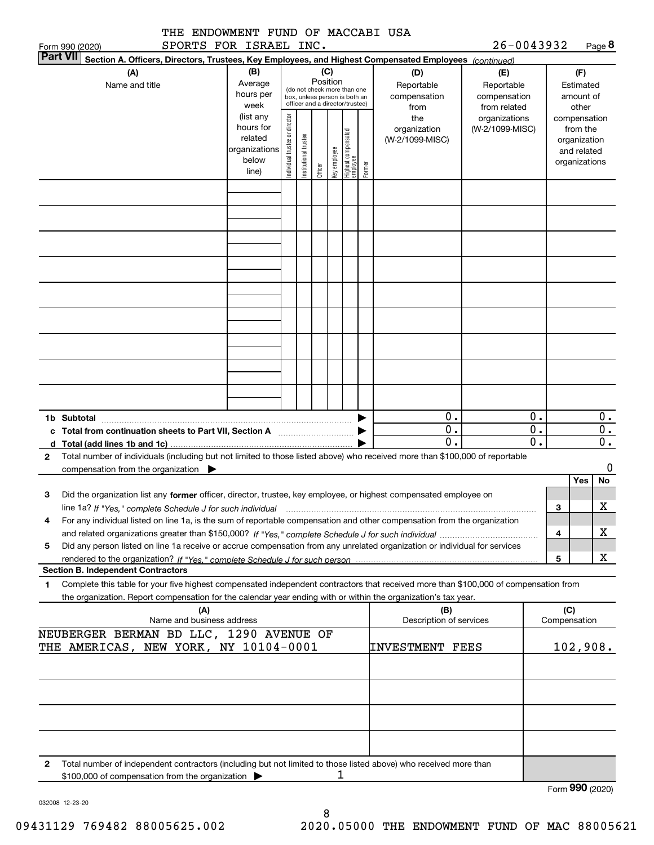| THE ENDOWMENT FUND OF MACCABI USA<br>SPORTS FOR ISRAEL INC.                                                                                                                                                                                                 |                                                                      |                                                                                                                                                                                                                      |                       |         |              |                                 |        |                                        | 26-0043932                       |                        |                                        |                                                                          |
|-------------------------------------------------------------------------------------------------------------------------------------------------------------------------------------------------------------------------------------------------------------|----------------------------------------------------------------------|----------------------------------------------------------------------------------------------------------------------------------------------------------------------------------------------------------------------|-----------------------|---------|--------------|---------------------------------|--------|----------------------------------------|----------------------------------|------------------------|----------------------------------------|--------------------------------------------------------------------------|
| Form 990 (2020)<br><b>Part VII</b><br>Section A. Officers, Directors, Trustees, Key Employees, and Highest Compensated Employees (continued)                                                                                                                |                                                                      |                                                                                                                                                                                                                      |                       |         |              |                                 |        |                                        |                                  |                        |                                        | Page 8                                                                   |
| (A)<br>Name and title                                                                                                                                                                                                                                       | (B)<br>Average<br>hours per<br>week                                  | (C)<br>(D)<br>(E)<br>Position<br>Reportable<br>Reportable<br>(do not check more than one<br>compensation<br>compensation<br>box, unless person is both an<br>officer and a director/trustee)<br>from related<br>from |                       |         |              |                                 |        |                                        |                                  |                        | (F)<br>Estimated<br>amount of<br>other |                                                                          |
|                                                                                                                                                                                                                                                             | (list any<br>hours for<br>related<br>organizations<br>below<br>line) | Individual trustee or director                                                                                                                                                                                       | Institutional trustee | Officer | key employee | Highest compensated<br>employee | Former | the<br>organization<br>(W-2/1099-MISC) | organizations<br>(W-2/1099-MISC) |                        |                                        | compensation<br>from the<br>organization<br>and related<br>organizations |
|                                                                                                                                                                                                                                                             |                                                                      |                                                                                                                                                                                                                      |                       |         |              |                                 |        |                                        |                                  |                        |                                        |                                                                          |
|                                                                                                                                                                                                                                                             |                                                                      |                                                                                                                                                                                                                      |                       |         |              |                                 |        |                                        |                                  |                        |                                        |                                                                          |
|                                                                                                                                                                                                                                                             |                                                                      |                                                                                                                                                                                                                      |                       |         |              |                                 |        |                                        |                                  |                        |                                        |                                                                          |
|                                                                                                                                                                                                                                                             |                                                                      |                                                                                                                                                                                                                      |                       |         |              |                                 |        |                                        |                                  |                        |                                        |                                                                          |
| 1b Subtotal                                                                                                                                                                                                                                                 |                                                                      |                                                                                                                                                                                                                      |                       |         |              |                                 |        | 0.                                     |                                  | 0.                     |                                        | $0$ .                                                                    |
|                                                                                                                                                                                                                                                             |                                                                      |                                                                                                                                                                                                                      |                       |         |              |                                 |        | $\mathbf 0$ .<br>0.                    |                                  | 0.<br>$\overline{0}$ . |                                        | $\overline{0}$ .<br>$\overline{0}$ .                                     |
| Total number of individuals (including but not limited to those listed above) who received more than \$100,000 of reportable<br>2                                                                                                                           |                                                                      |                                                                                                                                                                                                                      |                       |         |              |                                 |        |                                        |                                  |                        |                                        |                                                                          |
| compensation from the organization $\blacktriangleright$                                                                                                                                                                                                    |                                                                      |                                                                                                                                                                                                                      |                       |         |              |                                 |        |                                        |                                  |                        | <b>Yes</b>                             | 0<br>No                                                                  |
| Did the organization list any former officer, director, trustee, key employee, or highest compensated employee on<br>з<br>line 1a? If "Yes," complete Schedule J for such individual manumental contents and the new manumental complete                    |                                                                      |                                                                                                                                                                                                                      |                       |         |              |                                 |        |                                        |                                  |                        | з                                      | X                                                                        |
| For any individual listed on line 1a, is the sum of reportable compensation and other compensation from the organization<br>4                                                                                                                               |                                                                      |                                                                                                                                                                                                                      |                       |         |              |                                 |        |                                        |                                  |                        |                                        | x                                                                        |
| Did any person listed on line 1a receive or accrue compensation from any unrelated organization or individual for services<br>5                                                                                                                             |                                                                      |                                                                                                                                                                                                                      |                       |         |              |                                 |        |                                        |                                  |                        | 4                                      |                                                                          |
| <b>Section B. Independent Contractors</b>                                                                                                                                                                                                                   |                                                                      |                                                                                                                                                                                                                      |                       |         |              |                                 |        |                                        |                                  |                        | 5                                      | X                                                                        |
| Complete this table for your five highest compensated independent contractors that received more than \$100,000 of compensation from<br>1<br>the organization. Report compensation for the calendar year ending with or within the organization's tax year. |                                                                      |                                                                                                                                                                                                                      |                       |         |              |                                 |        |                                        |                                  |                        |                                        |                                                                          |
| (A)<br>Name and business address                                                                                                                                                                                                                            |                                                                      |                                                                                                                                                                                                                      |                       |         |              |                                 |        | (B)<br>Description of services         |                                  |                        | (C)<br>Compensation                    |                                                                          |
| NEUBERGER BERMAN BD LLC, 1290 AVENUE OF<br>THE AMERICAS, NEW YORK, NY 10104-0001                                                                                                                                                                            |                                                                      |                                                                                                                                                                                                                      |                       |         |              |                                 |        | INVESTMENT FEES                        |                                  |                        |                                        | 102,908.                                                                 |
|                                                                                                                                                                                                                                                             |                                                                      |                                                                                                                                                                                                                      |                       |         |              |                                 |        |                                        |                                  |                        |                                        |                                                                          |
|                                                                                                                                                                                                                                                             |                                                                      |                                                                                                                                                                                                                      |                       |         |              |                                 |        |                                        |                                  |                        |                                        |                                                                          |
| Total number of independent contractors (including but not limited to those listed above) who received more than<br>2<br>\$100,000 of compensation from the organization                                                                                    |                                                                      |                                                                                                                                                                                                                      |                       |         | 1            |                                 |        |                                        |                                  |                        |                                        |                                                                          |
|                                                                                                                                                                                                                                                             |                                                                      |                                                                                                                                                                                                                      |                       |         |              |                                 |        |                                        |                                  |                        |                                        | Form 990 (2020)                                                          |

8

032008 12-23-20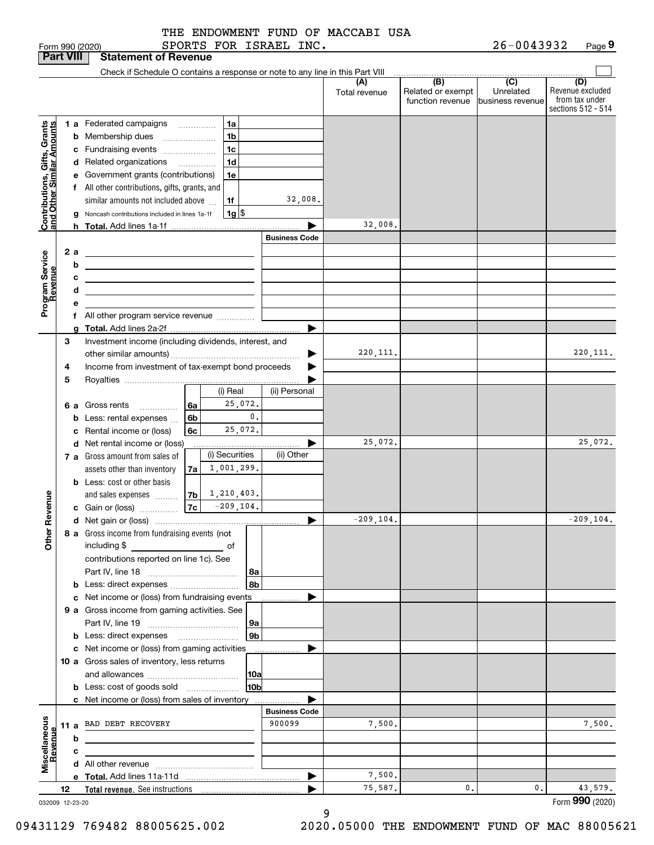|                        |  |  | THE ENDOWMENT FUND OF MACCABI USA |  |
|------------------------|--|--|-----------------------------------|--|
| SPORTS FOR ISRAEL INC. |  |  |                                   |  |

|                                                                                                                                                                          |    |   | <b>Statement of Revenue</b>                                                                                           |    |   |                     |                      |                      |                                              |                                          |                                                                 |
|--------------------------------------------------------------------------------------------------------------------------------------------------------------------------|----|---|-----------------------------------------------------------------------------------------------------------------------|----|---|---------------------|----------------------|----------------------|----------------------------------------------|------------------------------------------|-----------------------------------------------------------------|
|                                                                                                                                                                          |    |   | Check if Schedule O contains a response or note to any line in this Part VIII                                         |    |   |                     |                      |                      |                                              |                                          |                                                                 |
|                                                                                                                                                                          |    |   |                                                                                                                       |    |   |                     |                      | (A)<br>Total revenue | (B)<br>Related or exempt<br>function revenue | Unrelated                                | (D)<br>Revenue excluded<br>from tax under<br>sections 512 - 514 |
|                                                                                                                                                                          |    |   | <b>1 a</b> Federated campaigns                                                                                        |    |   | 1a                  |                      |                      |                                              |                                          |                                                                 |
|                                                                                                                                                                          |    |   | <b>b</b> Membership dues<br>$\ldots \ldots \ldots \ldots \ldots$                                                      |    |   | 1 <sub>b</sub>      |                      |                      |                                              |                                          |                                                                 |
|                                                                                                                                                                          |    |   | c Fundraising events                                                                                                  |    |   | 1c                  |                      |                      |                                              |                                          |                                                                 |
|                                                                                                                                                                          |    |   | d Related organizations                                                                                               |    | . | 1 <sub>d</sub>      |                      |                      |                                              |                                          |                                                                 |
|                                                                                                                                                                          |    |   | e Government grants (contributions)                                                                                   |    |   | 1e                  |                      |                      |                                              |                                          |                                                                 |
|                                                                                                                                                                          |    |   | f All other contributions, gifts, grants, and                                                                         |    |   |                     |                      |                      |                                              |                                          |                                                                 |
|                                                                                                                                                                          |    |   | similar amounts not included above                                                                                    |    |   | 1f                  | 32,008.              |                      |                                              |                                          |                                                                 |
|                                                                                                                                                                          |    |   | g Noncash contributions included in lines 1a-1f                                                                       |    |   | $1g$ $\frac{1}{3}$  |                      |                      |                                              |                                          |                                                                 |
|                                                                                                                                                                          |    |   |                                                                                                                       |    |   |                     |                      | 32,008.              |                                              |                                          |                                                                 |
|                                                                                                                                                                          |    |   |                                                                                                                       |    |   |                     | <b>Business Code</b> |                      |                                              |                                          |                                                                 |
|                                                                                                                                                                          | 2a |   | <u> 1989 - Johann Barn, mars ann an t-Amhain Aonaich an t-Aonaich an t-Aonaich an t-Aonaich an t-Aonaich an t-Aon</u> |    |   |                     |                      |                      |                                              |                                          |                                                                 |
|                                                                                                                                                                          |    | b | <u> 1989 - Johann Barn, mars ann an t-Amhain Aonaich ann an t-Aonaich ann an t-Aonaich ann an t-Aonaich ann an t-</u> |    |   |                     |                      |                      |                                              |                                          |                                                                 |
|                                                                                                                                                                          |    | с | <u> 1989 - Johann Stein, marwolaethau a bhann an t-Amhainn an t-Amhainn an t-Amhainn an t-Amhainn an t-Amhainn an</u> |    |   |                     |                      |                      |                                              |                                          |                                                                 |
| <b>Part VIII</b><br>Contributions, Gifts, Grants<br>Iand Other Similar Amounts<br>Program Service<br>Revenue<br>Revenue<br>늦<br><b>Other</b><br>Miscellaneous<br>Revenue |    | d | the contract of the contract of the contract of the contract of the contract of                                       |    |   |                     |                      |                      |                                              |                                          |                                                                 |
|                                                                                                                                                                          |    | е | f All other program service revenue                                                                                   |    |   |                     |                      |                      |                                              |                                          |                                                                 |
|                                                                                                                                                                          |    |   |                                                                                                                       |    |   |                     |                      |                      |                                              |                                          |                                                                 |
|                                                                                                                                                                          | 3  |   | Investment income (including dividends, interest, and                                                                 |    |   |                     |                      |                      |                                              |                                          |                                                                 |
|                                                                                                                                                                          |    |   |                                                                                                                       |    |   |                     |                      | 220, 111.            |                                              |                                          | 220, 111.                                                       |
|                                                                                                                                                                          | 4  |   | Income from investment of tax-exempt bond proceeds                                                                    |    |   |                     |                      |                      |                                              |                                          |                                                                 |
|                                                                                                                                                                          | 5  |   |                                                                                                                       |    |   |                     |                      |                      |                                              |                                          |                                                                 |
|                                                                                                                                                                          |    |   |                                                                                                                       |    |   | (i) Real            | (ii) Personal        |                      |                                              |                                          |                                                                 |
|                                                                                                                                                                          |    |   | 6 a Gross rents                                                                                                       | 6a |   | 25,072.             |                      |                      |                                              |                                          |                                                                 |
|                                                                                                                                                                          |    |   | <b>b</b> Less: rental expenses                                                                                        | 6b |   | 0.                  |                      |                      |                                              |                                          |                                                                 |
|                                                                                                                                                                          |    |   | c Rental income or (loss)                                                                                             | 6c |   | 25,072.             |                      |                      |                                              |                                          |                                                                 |
|                                                                                                                                                                          |    |   | d Net rental income or (loss)                                                                                         |    |   |                     |                      | 25,072.              |                                              |                                          | 25,072.                                                         |
|                                                                                                                                                                          |    |   | 7 a Gross amount from sales of                                                                                        |    |   | (i) Securities      | (ii) Other           |                      |                                              |                                          |                                                                 |
|                                                                                                                                                                          |    |   | assets other than inventory                                                                                           | 7a |   | 1,001,299.          |                      |                      |                                              |                                          |                                                                 |
|                                                                                                                                                                          |    |   | <b>b</b> Less: cost or other basis                                                                                    |    |   | $ 7b $ 1, 210, 403. |                      |                      |                                              |                                          |                                                                 |
|                                                                                                                                                                          |    |   | and sales expenses                                                                                                    |    |   | $ 7c $ -209, 104.   |                      |                      |                                              |                                          |                                                                 |
|                                                                                                                                                                          |    |   | c Gain or (loss)                                                                                                      |    |   |                     | ▶                    | $-209, 104.$         |                                              |                                          | $-209, 104.$                                                    |
|                                                                                                                                                                          |    |   | 8 a Gross income from fundraising events (not                                                                         |    |   |                     |                      |                      |                                              |                                          |                                                                 |
|                                                                                                                                                                          |    |   | including \$                                                                                                          |    |   |                     |                      |                      |                                              |                                          |                                                                 |
|                                                                                                                                                                          |    |   | contributions reported on line 1c). See                                                                               |    |   |                     |                      |                      |                                              |                                          |                                                                 |
|                                                                                                                                                                          |    |   |                                                                                                                       |    |   | 8a                  |                      |                      |                                              |                                          |                                                                 |
|                                                                                                                                                                          |    |   |                                                                                                                       |    |   | 8b                  |                      |                      |                                              |                                          |                                                                 |
|                                                                                                                                                                          |    |   | c Net income or (loss) from fundraising events                                                                        |    |   |                     |                      |                      |                                              |                                          |                                                                 |
|                                                                                                                                                                          |    |   | 9 a Gross income from gaming activities. See                                                                          |    |   |                     |                      |                      |                                              |                                          |                                                                 |
|                                                                                                                                                                          |    |   |                                                                                                                       |    |   | 9a                  |                      |                      |                                              |                                          |                                                                 |
|                                                                                                                                                                          |    |   | <b>b</b> Less: direct expenses                                                                                        |    |   | 9b                  |                      |                      |                                              |                                          |                                                                 |
|                                                                                                                                                                          |    |   | c Net income or (loss) from gaming activities                                                                         |    |   |                     | .                    |                      |                                              |                                          |                                                                 |
|                                                                                                                                                                          |    |   | 10 a Gross sales of inventory, less returns                                                                           |    |   |                     |                      |                      |                                              |                                          |                                                                 |
|                                                                                                                                                                          |    |   |                                                                                                                       |    |   | 10a                 |                      |                      |                                              |                                          |                                                                 |
|                                                                                                                                                                          |    |   | <b>b</b> Less: cost of goods sold                                                                                     |    |   | 10b                 |                      |                      |                                              |                                          |                                                                 |
|                                                                                                                                                                          |    |   | <b>c</b> Net income or (loss) from sales of inventory                                                                 |    |   |                     | <b>Business Code</b> |                      |                                              |                                          |                                                                 |
|                                                                                                                                                                          |    |   | 11 a BAD DEBT RECOVERY                                                                                                |    |   |                     | 900099               | 7,500.               |                                              |                                          | 7,500.                                                          |
|                                                                                                                                                                          |    | b |                                                                                                                       |    |   |                     |                      |                      |                                              |                                          |                                                                 |
|                                                                                                                                                                          |    | c |                                                                                                                       |    |   |                     |                      |                      |                                              |                                          |                                                                 |
|                                                                                                                                                                          |    |   |                                                                                                                       |    |   |                     |                      |                      |                                              |                                          |                                                                 |
|                                                                                                                                                                          |    |   |                                                                                                                       |    |   |                     | ▶                    | 7,500.               |                                              |                                          |                                                                 |
|                                                                                                                                                                          | 12 |   |                                                                                                                       |    |   |                     |                      | 75,587.              | 0.                                           | $\overline{C}$<br>business revenue<br>0. | 43,579.                                                         |
| 032009 12-23-20                                                                                                                                                          |    |   |                                                                                                                       |    |   |                     |                      |                      |                                              |                                          | Form 990 (2020)                                                 |

032009 12-23-20

9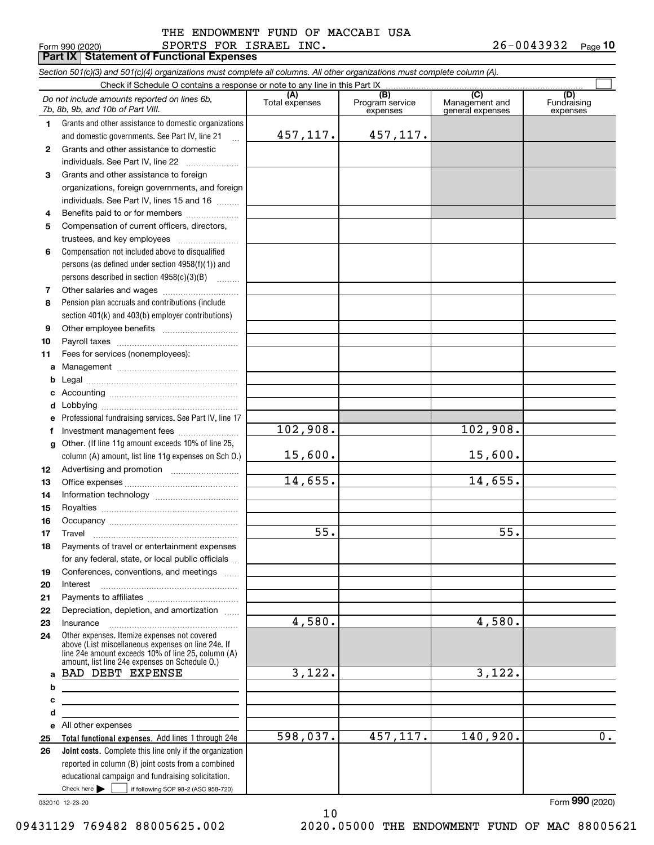#### Form 990 (2020) SPORTS FOR ISRAEL INC. 2 6-0 0 4 3 9 3 2 Page **Part IX Statement of Functional Expenses** THE ENDOWMENT FUND OF MACCABI USA

26-0043932 Page 10

Check here  $\bullet$  if following SOP 98-2 (ASC 958-720) **Total functional expenses.**  Add lines 1 through 24e **Joint costs.** Complete this line only if the organization **(A)**<br>Total expenses **(B) (C) (D) 1234567891011abcdefg12131415161718192021222324abcde2526***Section 501(c)(3) and 501(c)(4) organizations must complete all columns. All other organizations must complete column (A).* Grants and other assistance to domestic organizations and domestic governments. See Part IV, line 21 Compensation not included above to disqualified persons (as defined under section 4958(f)(1)) and persons described in section 4958(c)(3)(B)  $\quad \ldots \ldots \ldots$ Pension plan accruals and contributions (include section 401(k) and 403(b) employer contributions) Professional fundraising services. See Part IV, line 17 Other. (If line 11g amount exceeds 10% of line 25, column (A) amount, list line 11g expenses on Sch O.) Other expenses. Itemize expenses not covered above (List miscellaneous expenses on line 24e. If line 24e amount exceeds 10% of line 25, column (A) amount, list line 24e expenses on Schedule O.) reported in column (B) joint costs from a combined educational campaign and fundraising solicitation. Check if Schedule O contains a response or note to any line in this Part IX (C) (C) (C) (C) (C) (C) Program service expensesManagement and general expenses Fundraising expensesGrants and other assistance to domestic individuals. See Part IV, line 22 ...................... Grants and other assistance to foreign organizations, foreign governments, and foreign individuals. See Part IV, lines 15 and 16  $\ldots$ Benefits paid to or for members ..................... Compensation of current officers, directors, trustees, and key employees  $\ldots$   $\ldots$   $\ldots$   $\ldots$   $\ldots$   $\ldots$ Other salaries and wages ~~~~~~~~~~ Other employee benefits ~~~~~~~~~~ Payroll taxes ~~~~~~~~~~~~~~~~ Fees for services (nonemployees): Management ~~~~~~~~~~~~~~~~ Legal ~~~~~~~~~~~~~~~~~~~~Accounting ~~~~~~~~~~~~~~~~~ Lobbying ~~~~~~~~~~~~~~~~~~ lnvestment management fees ....................... Advertising and promotion \_\_\_\_\_\_\_\_\_\_\_\_\_\_\_\_\_\_\_ Office expenses ~~~~~~~~~~~~~~~ Information technology ~~~~~~~~~~~ Royalties ~~~~~~~~~~~~~~~~~~ Occupancy ~~~~~~~~~~~~~~~~~ Travel ……………………………………………… Payments of travel or entertainment expenses for any federal, state, or local public officials ... Conferences, conventions, and meetings Interest ……………………………………………… Payments to affiliates ~~~~~~~~~~~~ Depreciation, depletion, and amortization  $\,\,\ldots\,\,$ InsuranceAll other expenses Check here  $\blacktriangleright$ *Do not include amounts reported on lines 6b, 7b, 8b, 9b, and 10b of Part VIII.*  $\mathcal{L}^{\text{max}}$ 457,117. 15,600. 14,655. 55. 4,580. 3,122. 598,037. 102,908. 457,117. 102,908. 15,600. 14,655. 55. 4,580. 3,122. 457,117. 140,920. 0. BAD DEBT EXPENSE

10

032010 12-23-20

Form (2020) **990**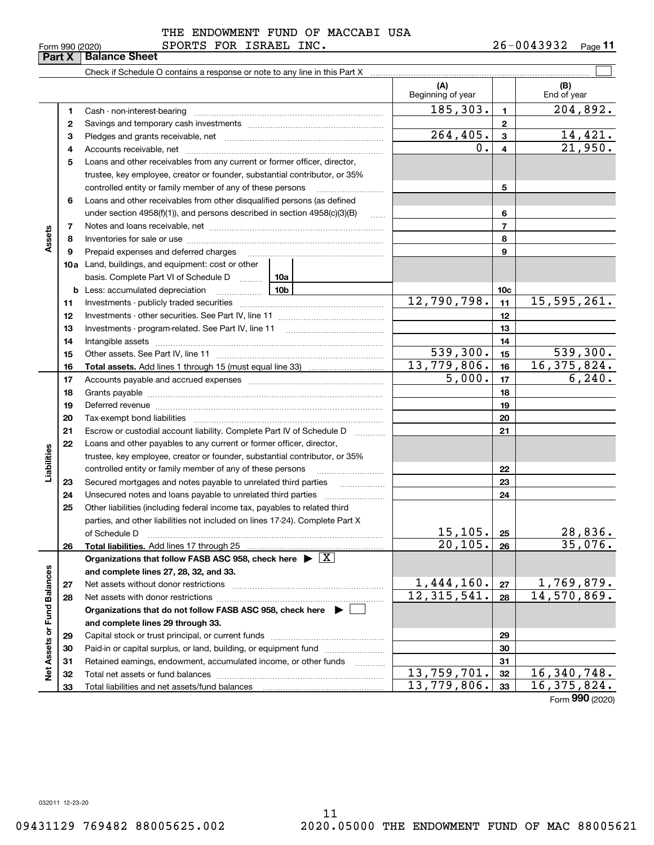|                             | <b>UIIII JJU</b><br>Part X | cucu<br><b>Balance Sheet</b>                                                                                                                                                                                                                                                                                                                                                                                                                                                 |                                |                         |                                  |
|-----------------------------|----------------------------|------------------------------------------------------------------------------------------------------------------------------------------------------------------------------------------------------------------------------------------------------------------------------------------------------------------------------------------------------------------------------------------------------------------------------------------------------------------------------|--------------------------------|-------------------------|----------------------------------|
|                             |                            |                                                                                                                                                                                                                                                                                                                                                                                                                                                                              |                                |                         |                                  |
|                             |                            |                                                                                                                                                                                                                                                                                                                                                                                                                                                                              | (A)<br>Beginning of year       |                         | (B)<br>End of year               |
|                             | 1                          | Cash - non-interest-bearing                                                                                                                                                                                                                                                                                                                                                                                                                                                  | 185, 303.                      | $\mathbf{1}$            | $\overline{204}$ , 892.          |
|                             | 2                          |                                                                                                                                                                                                                                                                                                                                                                                                                                                                              |                                | $\mathbf{2}$            |                                  |
|                             | 3                          |                                                                                                                                                                                                                                                                                                                                                                                                                                                                              | $\overline{264, 405}$ .        | $\mathbf{3}$            |                                  |
|                             | 4                          |                                                                                                                                                                                                                                                                                                                                                                                                                                                                              | 0.                             | 4                       | $\frac{14,421}{21,950}$          |
|                             | 5                          | Loans and other receivables from any current or former officer, director,                                                                                                                                                                                                                                                                                                                                                                                                    |                                |                         |                                  |
|                             |                            | trustee, key employee, creator or founder, substantial contributor, or 35%                                                                                                                                                                                                                                                                                                                                                                                                   |                                |                         |                                  |
|                             |                            | controlled entity or family member of any of these persons                                                                                                                                                                                                                                                                                                                                                                                                                   |                                | 5                       |                                  |
|                             | 6                          | Loans and other receivables from other disqualified persons (as defined                                                                                                                                                                                                                                                                                                                                                                                                      |                                |                         |                                  |
|                             |                            | under section $4958(f)(1)$ , and persons described in section $4958(c)(3)(B)$<br>$\ldots$                                                                                                                                                                                                                                                                                                                                                                                    |                                | 6                       |                                  |
|                             | 7                          |                                                                                                                                                                                                                                                                                                                                                                                                                                                                              |                                | $\overline{\mathbf{r}}$ |                                  |
| Assets                      | 8                          |                                                                                                                                                                                                                                                                                                                                                                                                                                                                              |                                | 8                       |                                  |
|                             | 9                          | Prepaid expenses and deferred charges                                                                                                                                                                                                                                                                                                                                                                                                                                        |                                | 9                       |                                  |
|                             |                            | <b>10a</b> Land, buildings, and equipment: cost or other                                                                                                                                                                                                                                                                                                                                                                                                                     |                                |                         |                                  |
|                             |                            | basis. Complete Part VI of Schedule D  10a                                                                                                                                                                                                                                                                                                                                                                                                                                   |                                |                         |                                  |
|                             |                            | 10b<br><b>b</b> Less: accumulated depreciation                                                                                                                                                                                                                                                                                                                                                                                                                               |                                | <u>10c</u>              |                                  |
|                             | 11                         |                                                                                                                                                                                                                                                                                                                                                                                                                                                                              | 12,790,798.                    | 11                      | 15, 595, 261.                    |
|                             | 12                         |                                                                                                                                                                                                                                                                                                                                                                                                                                                                              |                                | 12                      |                                  |
|                             | 13                         | Investments - program-related. See Part IV, line 11                                                                                                                                                                                                                                                                                                                                                                                                                          |                                | 13                      |                                  |
|                             | 14                         |                                                                                                                                                                                                                                                                                                                                                                                                                                                                              |                                | 14                      |                                  |
|                             | 15                         |                                                                                                                                                                                                                                                                                                                                                                                                                                                                              | $\overline{539}, 300.$         | 15                      | $\overline{539,300}$ .           |
|                             | 16                         |                                                                                                                                                                                                                                                                                                                                                                                                                                                                              | 13,779,806.                    | 16                      | 16, 375, 824.                    |
|                             | 17                         |                                                                                                                                                                                                                                                                                                                                                                                                                                                                              | 5,000.                         | 17                      | 6, 240.                          |
|                             | 18                         |                                                                                                                                                                                                                                                                                                                                                                                                                                                                              |                                | 18                      |                                  |
|                             | 19                         | Deferred revenue manual contracts and contracts are all the manual contracts and contracts are all the contracts of the contracts of the contracts of the contracts of the contracts of the contracts of the contracts of the                                                                                                                                                                                                                                                |                                | 19                      |                                  |
|                             | 20                         | Tax-exempt bond liabilities<br>$\begin{minipage}{0.5\textwidth} \begin{tabular}{ l l l } \hline & \multicolumn{1}{ l l } \hline & \multicolumn{1}{ l } \multicolumn{1}{ l } \multicolumn{1}{ l } \multicolumn{1}{ l } \multicolumn{1}{ l } \multicolumn{1}{ l } \multicolumn{1}{ l } \multicolumn{1}{ l } \multicolumn{1}{ l } \multicolumn{1}{ l } \multicolumn{1}{ l } \multicolumn{1}{ l } \multicolumn{1}{ l } \multicolumn{1}{ l } \multicolumn{1}{ l } \multicolumn{1$ |                                | 20                      |                                  |
|                             | 21                         | Escrow or custodial account liability. Complete Part IV of Schedule D<br>.                                                                                                                                                                                                                                                                                                                                                                                                   |                                | 21                      |                                  |
|                             | 22                         | Loans and other payables to any current or former officer, director,                                                                                                                                                                                                                                                                                                                                                                                                         |                                |                         |                                  |
|                             |                            | trustee, key employee, creator or founder, substantial contributor, or 35%                                                                                                                                                                                                                                                                                                                                                                                                   |                                |                         |                                  |
| Liabilities                 |                            | controlled entity or family member of any of these persons                                                                                                                                                                                                                                                                                                                                                                                                                   |                                | 22                      |                                  |
|                             | 23                         | Secured mortgages and notes payable to unrelated third parties<br>.                                                                                                                                                                                                                                                                                                                                                                                                          |                                | 23                      |                                  |
|                             | 24                         |                                                                                                                                                                                                                                                                                                                                                                                                                                                                              |                                | 24                      |                                  |
|                             | 25                         | Other liabilities (including federal income tax, payables to related third                                                                                                                                                                                                                                                                                                                                                                                                   |                                |                         |                                  |
|                             |                            | parties, and other liabilities not included on lines 17-24). Complete Part X                                                                                                                                                                                                                                                                                                                                                                                                 |                                |                         |                                  |
|                             |                            | of Schedule D                                                                                                                                                                                                                                                                                                                                                                                                                                                                | <u>15,105.</u>                 | 25                      | <u>28,836.</u>                   |
|                             | 26                         | Total liabilities. Add lines 17 through 25                                                                                                                                                                                                                                                                                                                                                                                                                                   | 20, 105.                       | 26                      | 35,076.                          |
|                             |                            | Organizations that follow FASB ASC 958, check here $\blacktriangleright \boxed{X}$                                                                                                                                                                                                                                                                                                                                                                                           |                                |                         |                                  |
|                             |                            | and complete lines 27, 28, 32, and 33.                                                                                                                                                                                                                                                                                                                                                                                                                                       |                                |                         |                                  |
|                             | 27                         | Net assets without donor restrictions                                                                                                                                                                                                                                                                                                                                                                                                                                        | $\frac{1,444,160}{12,315,541}$ | 27                      | $\frac{1,769,879.}{14,570,869.}$ |
|                             | 28                         |                                                                                                                                                                                                                                                                                                                                                                                                                                                                              |                                | 28                      |                                  |
|                             |                            | Organizations that do not follow FASB ASC 958, check here $\blacktriangleright$                                                                                                                                                                                                                                                                                                                                                                                              |                                |                         |                                  |
|                             |                            | and complete lines 29 through 33.                                                                                                                                                                                                                                                                                                                                                                                                                                            |                                |                         |                                  |
|                             | 29                         |                                                                                                                                                                                                                                                                                                                                                                                                                                                                              |                                | 29                      |                                  |
|                             | 30                         | Paid-in or capital surplus, or land, building, or equipment fund                                                                                                                                                                                                                                                                                                                                                                                                             |                                | 30                      |                                  |
|                             | 31                         | Retained earnings, endowment, accumulated income, or other funds<br>.                                                                                                                                                                                                                                                                                                                                                                                                        |                                | 31                      |                                  |
| Net Assets or Fund Balances | 32                         | Total net assets or fund balances                                                                                                                                                                                                                                                                                                                                                                                                                                            | 13,759,701.                    | 32                      | 16, 340, 748.                    |
|                             | 33                         |                                                                                                                                                                                                                                                                                                                                                                                                                                                                              | 13,779,806.                    | 33                      | 16,375,824.                      |

Form (2020) **990**

032011 12-23-20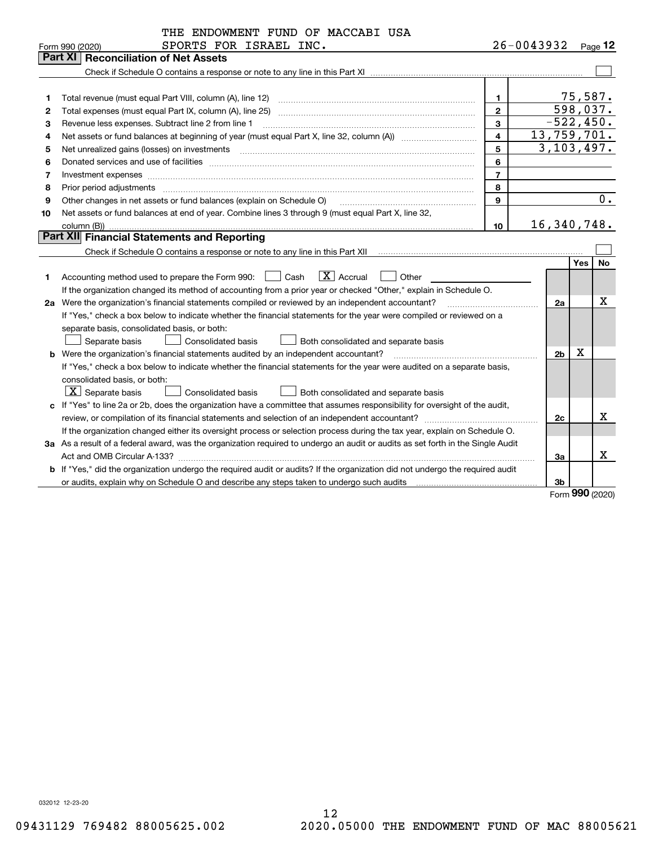|    | THE ENDOWMENT FUND OF MACCABI USA                                                                                               |                |                |                  |                  |
|----|---------------------------------------------------------------------------------------------------------------------------------|----------------|----------------|------------------|------------------|
|    | SPORTS FOR ISRAEL INC.<br>Form 990 (2020)                                                                                       |                | 26-0043932     |                  | Page $12$        |
|    | <b>Reconciliation of Net Assets</b><br>Part XI                                                                                  |                |                |                  |                  |
|    |                                                                                                                                 |                |                |                  |                  |
|    |                                                                                                                                 |                |                |                  |                  |
| 1  | Total revenue (must equal Part VIII, column (A), line 12)                                                                       | $\mathbf{1}$   |                | 75,587.          |                  |
| 2  | Total expenses (must equal Part IX, column (A), line 25)                                                                        | $\overline{2}$ | 598,037.       |                  |                  |
| 3  | Revenue less expenses. Subtract line 2 from line 1                                                                              | 3              | $-522, 450.$   |                  |                  |
| 4  |                                                                                                                                 | $\overline{4}$ | 13,759,701.    |                  |                  |
| 5  |                                                                                                                                 | 5              | 3, 103, 497.   |                  |                  |
| 6  |                                                                                                                                 | 6              |                |                  |                  |
| 7  | Investment expenses www.communication.com/www.communication.com/www.communication.com/www.communication.com/ww                  | $\overline{7}$ |                |                  |                  |
| 8  | Prior period adjustments                                                                                                        | 8              |                |                  |                  |
| 9  | Other changes in net assets or fund balances (explain on Schedule O)                                                            | $\mathbf{q}$   |                |                  | $\overline{0}$ . |
| 10 | Net assets or fund balances at end of year. Combine lines 3 through 9 (must equal Part X, line 32,                              |                |                |                  |                  |
|    | column (B))                                                                                                                     | 10             | 16,340,748.    |                  |                  |
|    | Part XII Financial Statements and Reporting                                                                                     |                |                |                  |                  |
|    |                                                                                                                                 |                |                |                  |                  |
|    |                                                                                                                                 |                |                | <b>Yes</b>       | <b>No</b>        |
| 1  | $ X $ Accrual<br>Accounting method used to prepare the Form 990: <u>[16</u> ] Cash<br>Other                                     |                |                |                  |                  |
|    | If the organization changed its method of accounting from a prior year or checked "Other," explain in Schedule O.               |                |                |                  |                  |
|    | 2a Were the organization's financial statements compiled or reviewed by an independent accountant?                              |                | 2a             |                  | х                |
|    | If "Yes," check a box below to indicate whether the financial statements for the year were compiled or reviewed on a            |                |                |                  |                  |
|    | separate basis, consolidated basis, or both:                                                                                    |                |                |                  |                  |
|    | Separate basis<br>Consolidated basis<br>Both consolidated and separate basis                                                    |                |                |                  |                  |
|    | <b>b</b> Were the organization's financial statements audited by an independent accountant?                                     |                | 2 <sub>b</sub> | Χ                |                  |
|    | If "Yes," check a box below to indicate whether the financial statements for the year were audited on a separate basis,         |                |                |                  |                  |
|    | consolidated basis, or both:                                                                                                    |                |                |                  |                  |
|    | $ \mathbf{X} $ Separate basis<br>Consolidated basis<br>Both consolidated and separate basis                                     |                |                |                  |                  |
|    | c If "Yes" to line 2a or 2b, does the organization have a committee that assumes responsibility for oversight of the audit,     |                |                |                  |                  |
|    |                                                                                                                                 |                | 2c             |                  | х                |
|    | If the organization changed either its oversight process or selection process during the tax year, explain on Schedule O.       |                |                |                  |                  |
|    | 3a As a result of a federal award, was the organization required to undergo an audit or audits as set forth in the Single Audit |                |                |                  |                  |
|    |                                                                                                                                 |                | 3a             |                  | x                |
|    | b If "Yes," did the organization undergo the required audit or audits? If the organization did not undergo the required audit   |                |                |                  |                  |
|    |                                                                                                                                 |                | 3b             | $000 \text{ cm}$ |                  |

Form (2020) **990**

032012 12-23-20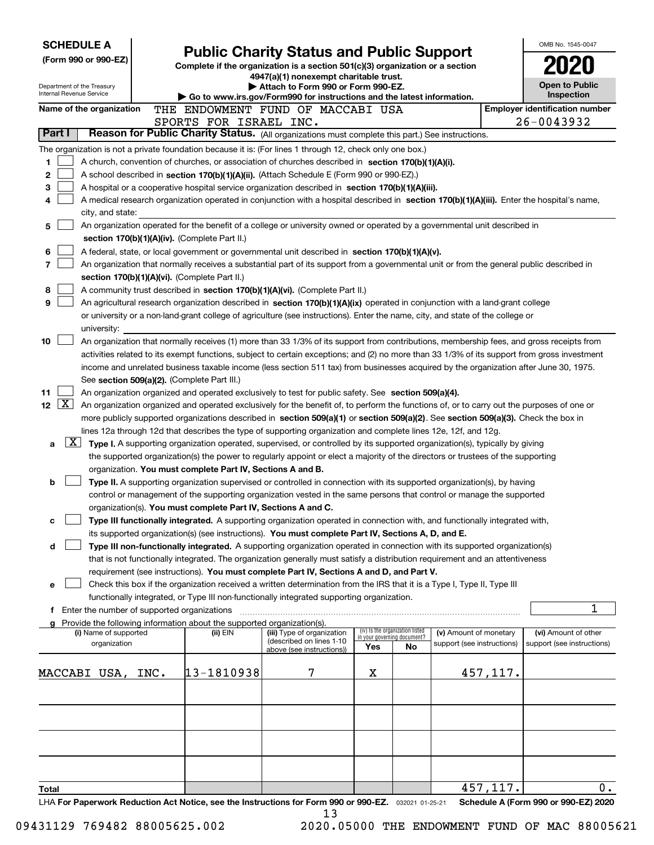| <b>SCHEDULE A</b><br>(Form 990 or 990-EZ)<br>Department of the Treasury<br>Internal Revenue Service                                                                                                                                                  | <b>Public Charity Status and Public Support</b><br>Complete if the organization is a section 501(c)(3) organization or a section<br>4947(a)(1) nonexempt charitable trust.<br>Attach to Form 990 or Form 990-EZ.<br>$\blacktriangleright$ Go to www.irs.gov/Form990 for instructions and the latest information. | OMB No. 1545-0047<br>Open to Public<br>Inspection      |                             |                                 |                            |          |                                       |
|------------------------------------------------------------------------------------------------------------------------------------------------------------------------------------------------------------------------------------------------------|------------------------------------------------------------------------------------------------------------------------------------------------------------------------------------------------------------------------------------------------------------------------------------------------------------------|--------------------------------------------------------|-----------------------------|---------------------------------|----------------------------|----------|---------------------------------------|
| Name of the organization                                                                                                                                                                                                                             |                                                                                                                                                                                                                                                                                                                  | THE ENDOWMENT FUND OF MACCABI USA                      |                             |                                 |                            |          | <b>Employer identification number</b> |
|                                                                                                                                                                                                                                                      | SPORTS FOR ISRAEL INC.                                                                                                                                                                                                                                                                                           |                                                        |                             |                                 |                            |          | 26-0043932                            |
| Part I<br>Reason for Public Charity Status. (All organizations must complete this part.) See instructions.                                                                                                                                           |                                                                                                                                                                                                                                                                                                                  |                                                        |                             |                                 |                            |          |                                       |
| The organization is not a private foundation because it is: (For lines 1 through 12, check only one box.)                                                                                                                                            |                                                                                                                                                                                                                                                                                                                  |                                                        |                             |                                 |                            |          |                                       |
| 1<br>A church, convention of churches, or association of churches described in section 170(b)(1)(A)(i).<br>2<br>A school described in section 170(b)(1)(A)(ii). (Attach Schedule E (Form 990 or 990-EZ).)                                            |                                                                                                                                                                                                                                                                                                                  |                                                        |                             |                                 |                            |          |                                       |
| 3<br>A hospital or a cooperative hospital service organization described in section 170(b)(1)(A)(iii).                                                                                                                                               |                                                                                                                                                                                                                                                                                                                  |                                                        |                             |                                 |                            |          |                                       |
| A medical research organization operated in conjunction with a hospital described in section 170(b)(1)(A)(iii). Enter the hospital's name,<br>4                                                                                                      |                                                                                                                                                                                                                                                                                                                  |                                                        |                             |                                 |                            |          |                                       |
| city, and state:                                                                                                                                                                                                                                     |                                                                                                                                                                                                                                                                                                                  |                                                        |                             |                                 |                            |          |                                       |
| An organization operated for the benefit of a college or university owned or operated by a governmental unit described in<br>5                                                                                                                       |                                                                                                                                                                                                                                                                                                                  |                                                        |                             |                                 |                            |          |                                       |
| section 170(b)(1)(A)(iv). (Complete Part II.)                                                                                                                                                                                                        |                                                                                                                                                                                                                                                                                                                  |                                                        |                             |                                 |                            |          |                                       |
| 6<br>A federal, state, or local government or governmental unit described in section 170(b)(1)(A)(v).                                                                                                                                                |                                                                                                                                                                                                                                                                                                                  |                                                        |                             |                                 |                            |          |                                       |
| 7<br>An organization that normally receives a substantial part of its support from a governmental unit or from the general public described in<br>section 170(b)(1)(A)(vi). (Complete Part II.)                                                      |                                                                                                                                                                                                                                                                                                                  |                                                        |                             |                                 |                            |          |                                       |
| 8<br>A community trust described in section 170(b)(1)(A)(vi). (Complete Part II.)                                                                                                                                                                    |                                                                                                                                                                                                                                                                                                                  |                                                        |                             |                                 |                            |          |                                       |
| 9<br>An agricultural research organization described in section 170(b)(1)(A)(ix) operated in conjunction with a land-grant college                                                                                                                   |                                                                                                                                                                                                                                                                                                                  |                                                        |                             |                                 |                            |          |                                       |
| or university or a non-land-grant college of agriculture (see instructions). Enter the name, city, and state of the college or                                                                                                                       |                                                                                                                                                                                                                                                                                                                  |                                                        |                             |                                 |                            |          |                                       |
| university:                                                                                                                                                                                                                                          |                                                                                                                                                                                                                                                                                                                  |                                                        |                             |                                 |                            |          |                                       |
| 10<br>An organization that normally receives (1) more than 33 1/3% of its support from contributions, membership fees, and gross receipts from                                                                                                       |                                                                                                                                                                                                                                                                                                                  |                                                        |                             |                                 |                            |          |                                       |
| activities related to its exempt functions, subject to certain exceptions; and (2) no more than 33 1/3% of its support from gross investment                                                                                                         |                                                                                                                                                                                                                                                                                                                  |                                                        |                             |                                 |                            |          |                                       |
| income and unrelated business taxable income (less section 511 tax) from businesses acquired by the organization after June 30, 1975.<br>See section 509(a)(2). (Complete Part III.)                                                                 |                                                                                                                                                                                                                                                                                                                  |                                                        |                             |                                 |                            |          |                                       |
| 11<br>An organization organized and operated exclusively to test for public safety. See section 509(a)(4).                                                                                                                                           |                                                                                                                                                                                                                                                                                                                  |                                                        |                             |                                 |                            |          |                                       |
| $\sqrt{\mathbf{X}}$<br>12 <sub>2</sub><br>An organization organized and operated exclusively for the benefit of, to perform the functions of, or to carry out the purposes of one or                                                                 |                                                                                                                                                                                                                                                                                                                  |                                                        |                             |                                 |                            |          |                                       |
| more publicly supported organizations described in section 509(a)(1) or section 509(a)(2). See section 509(a)(3). Check the box in                                                                                                                   |                                                                                                                                                                                                                                                                                                                  |                                                        |                             |                                 |                            |          |                                       |
| lines 12a through 12d that describes the type of supporting organization and complete lines 12e, 12f, and 12g.                                                                                                                                       |                                                                                                                                                                                                                                                                                                                  |                                                        |                             |                                 |                            |          |                                       |
| $\lfloor x \rfloor$<br>Type I. A supporting organization operated, supervised, or controlled by its supported organization(s), typically by giving<br>a                                                                                              |                                                                                                                                                                                                                                                                                                                  |                                                        |                             |                                 |                            |          |                                       |
| the supported organization(s) the power to regularly appoint or elect a majority of the directors or trustees of the supporting                                                                                                                      |                                                                                                                                                                                                                                                                                                                  |                                                        |                             |                                 |                            |          |                                       |
| organization. You must complete Part IV, Sections A and B.                                                                                                                                                                                           |                                                                                                                                                                                                                                                                                                                  |                                                        |                             |                                 |                            |          |                                       |
| Type II. A supporting organization supervised or controlled in connection with its supported organization(s), by having<br>b<br>control or management of the supporting organization vested in the same persons that control or manage the supported |                                                                                                                                                                                                                                                                                                                  |                                                        |                             |                                 |                            |          |                                       |
| organization(s). You must complete Part IV, Sections A and C.                                                                                                                                                                                        |                                                                                                                                                                                                                                                                                                                  |                                                        |                             |                                 |                            |          |                                       |
| Type III functionally integrated. A supporting organization operated in connection with, and functionally integrated with,                                                                                                                           |                                                                                                                                                                                                                                                                                                                  |                                                        |                             |                                 |                            |          |                                       |
| its supported organization(s) (see instructions). You must complete Part IV, Sections A, D, and E.                                                                                                                                                   |                                                                                                                                                                                                                                                                                                                  |                                                        |                             |                                 |                            |          |                                       |
| Type III non-functionally integrated. A supporting organization operated in connection with its supported organization(s)<br>d                                                                                                                       |                                                                                                                                                                                                                                                                                                                  |                                                        |                             |                                 |                            |          |                                       |
| that is not functionally integrated. The organization generally must satisfy a distribution requirement and an attentiveness                                                                                                                         |                                                                                                                                                                                                                                                                                                                  |                                                        |                             |                                 |                            |          |                                       |
| requirement (see instructions). You must complete Part IV, Sections A and D, and Part V.                                                                                                                                                             |                                                                                                                                                                                                                                                                                                                  |                                                        |                             |                                 |                            |          |                                       |
| Check this box if the organization received a written determination from the IRS that it is a Type I, Type II, Type III<br>е<br>functionally integrated, or Type III non-functionally integrated supporting organization.                            |                                                                                                                                                                                                                                                                                                                  |                                                        |                             |                                 |                            |          |                                       |
| f Enter the number of supported organizations                                                                                                                                                                                                        |                                                                                                                                                                                                                                                                                                                  |                                                        |                             |                                 |                            |          | 1                                     |
| g Provide the following information about the supported organization(s).                                                                                                                                                                             |                                                                                                                                                                                                                                                                                                                  |                                                        |                             |                                 |                            |          |                                       |
| (i) Name of supported                                                                                                                                                                                                                                | (ii) EIN                                                                                                                                                                                                                                                                                                         | (iii) Type of organization<br>(described on lines 1-10 | in your governing document? | (iv) Is the organization listed | (v) Amount of monetary     |          | (vi) Amount of other                  |
| organization                                                                                                                                                                                                                                         |                                                                                                                                                                                                                                                                                                                  | above (see instructions))                              | Yes                         | No                              | support (see instructions) |          | support (see instructions)            |
|                                                                                                                                                                                                                                                      |                                                                                                                                                                                                                                                                                                                  |                                                        |                             |                                 |                            |          |                                       |
| MACCABI USA, INC.                                                                                                                                                                                                                                    | 13-1810938                                                                                                                                                                                                                                                                                                       | 7                                                      | х                           |                                 |                            | 457,117. |                                       |
|                                                                                                                                                                                                                                                      |                                                                                                                                                                                                                                                                                                                  |                                                        |                             |                                 |                            |          |                                       |
|                                                                                                                                                                                                                                                      |                                                                                                                                                                                                                                                                                                                  |                                                        |                             |                                 |                            |          |                                       |
|                                                                                                                                                                                                                                                      |                                                                                                                                                                                                                                                                                                                  |                                                        |                             |                                 |                            |          |                                       |
|                                                                                                                                                                                                                                                      |                                                                                                                                                                                                                                                                                                                  |                                                        |                             |                                 |                            |          |                                       |
|                                                                                                                                                                                                                                                      |                                                                                                                                                                                                                                                                                                                  |                                                        |                             |                                 |                            |          |                                       |
|                                                                                                                                                                                                                                                      |                                                                                                                                                                                                                                                                                                                  |                                                        |                             |                                 |                            |          |                                       |
| Total                                                                                                                                                                                                                                                |                                                                                                                                                                                                                                                                                                                  |                                                        |                             |                                 |                            | 457,117. | $0$ .                                 |
| LHA For Paperwork Reduction Act Notice, see the Instructions for Form 990 or 990-EZ. 032021 01-25-21                                                                                                                                                 |                                                                                                                                                                                                                                                                                                                  |                                                        |                             |                                 |                            |          | Schedule A (Form 990 or 990-EZ) 2020  |
|                                                                                                                                                                                                                                                      |                                                                                                                                                                                                                                                                                                                  | 13                                                     |                             |                                 |                            |          |                                       |

<sup>2020.05000</sup> THE ENDOWMENT FUND OF MAC 88005621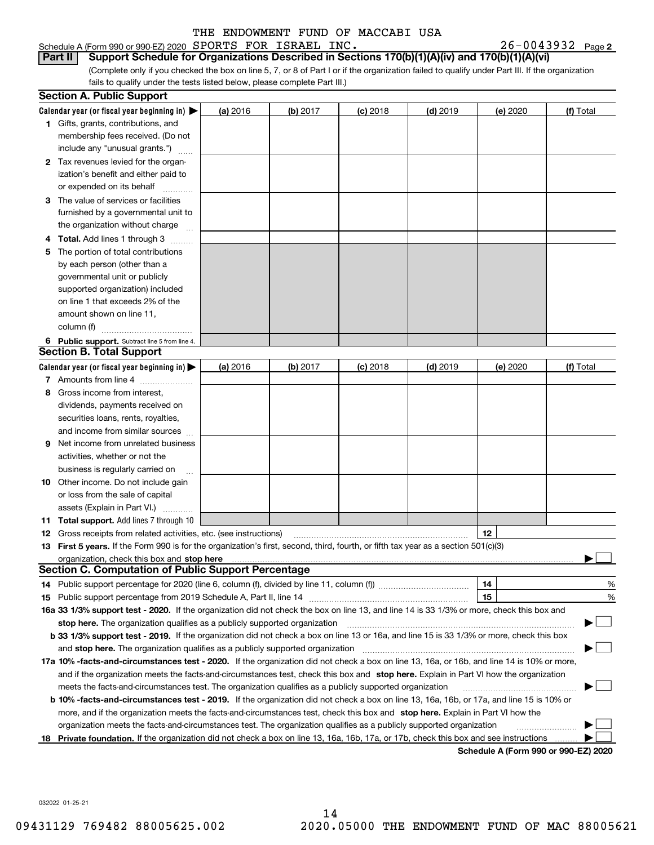**Calendar year (or fiscal year beginning in)**  | **(a)** 2016 **(b)** 2017 **(c)** 2018 **(d)** 2019 **(e)** 2020 **(f)** Total **1**Gifts, grants, contributions, and Schedule A (Form 990 or 990-EZ) 2020 Page SPORTS FOR ISRAEL INC. 26-0043932 (Complete only if you checked the box on line 5, 7, or 8 of Part I or if the organization failed to qualify under Part III. If the organization fails to qualify under the tests listed below, please complete Part III.) (a) 2016 membership fees received. (Do not **Part II** Support Schedule for Organizations Described in Sections 170(b)(1)(A)(iv) and 170(b)(1)(A)(vi) **Section A. Public Support**

|              | include any "unusual grants.")                                    |          |          |            |            |          |           |
|--------------|-------------------------------------------------------------------|----------|----------|------------|------------|----------|-----------|
| $\mathbf{2}$ | Tax revenues levied for the organ-                                |          |          |            |            |          |           |
|              | ization's benefit and either paid to                              |          |          |            |            |          |           |
|              | or expended on its behalf                                         |          |          |            |            |          |           |
| 3            | The value of services or facilities                               |          |          |            |            |          |           |
|              | furnished by a governmental unit to                               |          |          |            |            |          |           |
|              | the organization without charge                                   |          |          |            |            |          |           |
| 4            | Total. Add lines 1 through 3                                      |          |          |            |            |          |           |
| 5.           | The portion of total contributions                                |          |          |            |            |          |           |
|              | by each person (other than a                                      |          |          |            |            |          |           |
|              | governmental unit or publicly                                     |          |          |            |            |          |           |
|              | supported organization) included                                  |          |          |            |            |          |           |
|              | on line 1 that exceeds 2% of the                                  |          |          |            |            |          |           |
|              | amount shown on line 11,                                          |          |          |            |            |          |           |
|              | column (f)                                                        |          |          |            |            |          |           |
|              | 6 Public support. Subtract line 5 from line 4.                    |          |          |            |            |          |           |
|              | <b>Section B. Total Support</b>                                   |          |          |            |            |          |           |
|              | Calendar year (or fiscal year beginning in) $\blacktriangleright$ | (a) 2016 | (b) 2017 | $(c)$ 2018 | $(d)$ 2019 | (e) 2020 | (f) Total |
|              | <b>7</b> Amounts from line 4                                      |          |          |            |            |          |           |
|              | <b>8</b> Gross income from interest                               |          |          |            |            |          |           |

|     | Amounts from line 4                                                                                                                             |  |  |                                      |                                |               |
|-----|-------------------------------------------------------------------------------------------------------------------------------------------------|--|--|--------------------------------------|--------------------------------|---------------|
|     | Gross income from interest.                                                                                                                     |  |  |                                      |                                |               |
|     | dividends, payments received on                                                                                                                 |  |  |                                      |                                |               |
|     | securities loans, rents, royalties,                                                                                                             |  |  |                                      |                                |               |
|     | and income from similar sources                                                                                                                 |  |  |                                      |                                |               |
| 9   | Net income from unrelated business                                                                                                              |  |  |                                      |                                |               |
|     | activities, whether or not the                                                                                                                  |  |  |                                      |                                |               |
|     | business is regularly carried on                                                                                                                |  |  |                                      |                                |               |
| 10. | Other income. Do not include gain                                                                                                               |  |  |                                      |                                |               |
|     | or loss from the sale of capital                                                                                                                |  |  |                                      |                                |               |
|     | assets (Explain in Part VI.)                                                                                                                    |  |  |                                      |                                |               |
|     | <b>11 Total support.</b> Add lines 7 through 10                                                                                                 |  |  |                                      |                                |               |
| 12  | Gross receipts from related activities, etc. (see instructions)                                                                                 |  |  | 12                                   |                                |               |
|     | 13 First 5 years. If the Form 990 is for the organization's first, second, third, fourth, or fifth tax year as a section 501(c)(3)              |  |  |                                      |                                |               |
|     | organization, check this box and stop here manufactured and and the content of the state of the content of the                                  |  |  |                                      |                                |               |
|     | <b>Section C. Computation of Public Support Percentage</b>                                                                                      |  |  |                                      |                                |               |
|     |                                                                                                                                                 |  |  |                                      |                                | %             |
| 15  |                                                                                                                                                 |  |  | 15                                   |                                | $\frac{0}{0}$ |
|     | 16a 33 1/3% support test - 2020. If the organization did not check the box on line 13, and line 14 is 33 1/3% or more, check this box and       |  |  |                                      |                                |               |
|     |                                                                                                                                                 |  |  |                                      | $\blacktriangleright$ $\sqcup$ |               |
|     | <b>b 33 1/3% support test - 2019.</b> If the organization did not check a box on line 13 or 16a, and line 15 is 33 1/3% or more, check this box |  |  |                                      |                                |               |
|     | and stop here. The organization qualifies as a publicly supported organization                                                                  |  |  |                                      | $\blacktriangleright$ $\vdash$ |               |
|     | 17a 10% -facts-and-circumstances test - 2020. If the organization did not check a box on line 13, 16a, or 16b, and line 14 is 10% or more,      |  |  |                                      |                                |               |
|     | and if the organization meets the facts-and-circumstances test, check this box and stop here. Explain in Part VI how the organization           |  |  |                                      |                                |               |
|     | meets the facts-and-circumstances test. The organization qualifies as a publicly supported organization                                         |  |  |                                      |                                |               |
|     | <b>b 10% -facts-and-circumstances test - 2019.</b> If the organization did not check a box on line 13, 16a, 16b, or 17a, and line 15 is 10% or  |  |  |                                      |                                |               |
|     | more, and if the organization meets the facts-and-circumstances test, check this box and stop here. Explain in Part VI how the                  |  |  |                                      |                                |               |
|     | organization meets the facts-and-circumstances test. The organization qualifies as a publicly supported organization                            |  |  |                                      |                                |               |
|     | 18 Private foundation. If the organization did not check a box on line 13, 16a, 16b, 17a, or 17b, check this box and see instructions           |  |  |                                      |                                |               |
|     |                                                                                                                                                 |  |  | Schodule A (Ferm 000 or 000 FZ) 2020 |                                |               |

**Schedule A (Form 990 or 990-EZ) 2020**

032022 01-25-21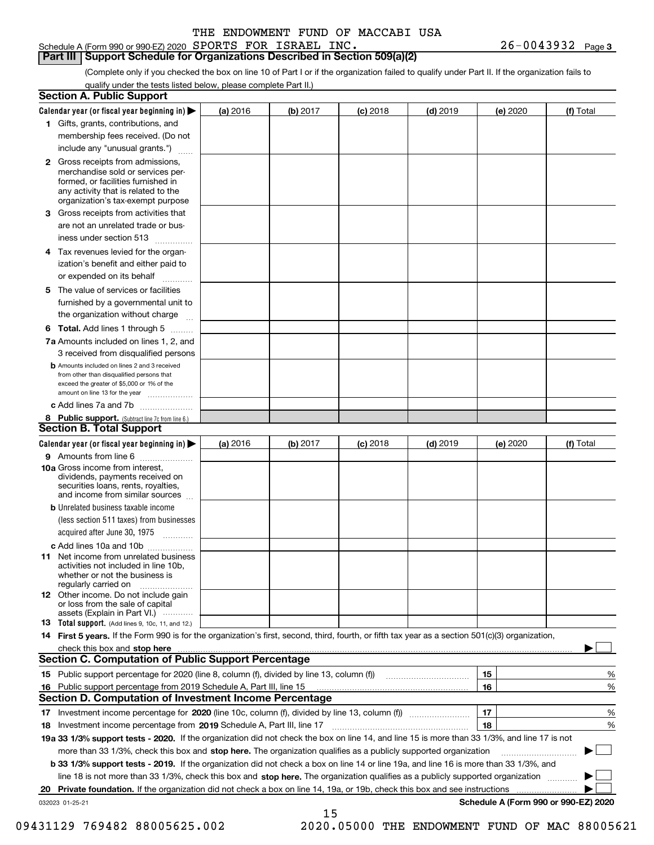Schedule A (Form 990 or 990-EZ) 2020 Page SPORTS FOR ISRAEL INC. 26-0043932

**Part III Support Schedule for Organizations Described in Section 509(a)(2)** 

(Complete only if you checked the box on line 10 of Part I or if the organization failed to qualify under Part II. If the organization fails to qualify under the tests listed below, please complete Part II.)

| <b>Section A. Public Support</b>                                                                                                                                                         |          |          |            |            |          |                                      |
|------------------------------------------------------------------------------------------------------------------------------------------------------------------------------------------|----------|----------|------------|------------|----------|--------------------------------------|
| Calendar year (or fiscal year beginning in) $\blacktriangleright$                                                                                                                        | (a) 2016 | (b) 2017 | $(c)$ 2018 | $(d)$ 2019 | (e) 2020 | (f) Total                            |
| 1 Gifts, grants, contributions, and                                                                                                                                                      |          |          |            |            |          |                                      |
| membership fees received. (Do not                                                                                                                                                        |          |          |            |            |          |                                      |
| include any "unusual grants.")                                                                                                                                                           |          |          |            |            |          |                                      |
| 2 Gross receipts from admissions,<br>merchandise sold or services per-<br>formed, or facilities furnished in<br>any activity that is related to the<br>organization's tax-exempt purpose |          |          |            |            |          |                                      |
| 3 Gross receipts from activities that<br>are not an unrelated trade or bus-                                                                                                              |          |          |            |            |          |                                      |
| iness under section 513                                                                                                                                                                  |          |          |            |            |          |                                      |
| 4 Tax revenues levied for the organ-<br>ization's benefit and either paid to<br>or expended on its behalf<br>.                                                                           |          |          |            |            |          |                                      |
| 5 The value of services or facilities<br>furnished by a governmental unit to<br>the organization without charge                                                                          |          |          |            |            |          |                                      |
| <b>6 Total.</b> Add lines 1 through 5                                                                                                                                                    |          |          |            |            |          |                                      |
| 7a Amounts included on lines 1, 2, and<br>3 received from disqualified persons                                                                                                           |          |          |            |            |          |                                      |
| <b>b</b> Amounts included on lines 2 and 3 received<br>from other than disqualified persons that<br>exceed the greater of \$5,000 or 1% of the<br>amount on line 13 for the year         |          |          |            |            |          |                                      |
| c Add lines 7a and 7b                                                                                                                                                                    |          |          |            |            |          |                                      |
| 8 Public support. (Subtract line 7c from line 6.)<br><b>Section B. Total Support</b>                                                                                                     |          |          |            |            |          |                                      |
| Calendar year (or fiscal year beginning in) $\blacktriangleright$                                                                                                                        | (a) 2016 | (b) 2017 | $(c)$ 2018 | $(d)$ 2019 | (e) 2020 | (f) Total                            |
| 9 Amounts from line 6                                                                                                                                                                    |          |          |            |            |          |                                      |
| 10a Gross income from interest,<br>dividends, payments received on<br>securities loans, rents, royalties,<br>and income from similar sources                                             |          |          |            |            |          |                                      |
| <b>b</b> Unrelated business taxable income<br>(less section 511 taxes) from businesses<br>acquired after June 30, 1975<br>1.1.1.1.1.1.1.1.1.1                                            |          |          |            |            |          |                                      |
| c Add lines 10a and 10b                                                                                                                                                                  |          |          |            |            |          |                                      |
| <b>11</b> Net income from unrelated business<br>activities not included in line 10b.<br>whether or not the business is<br>regularly carried on                                           |          |          |            |            |          |                                      |
| <b>12</b> Other income. Do not include gain<br>or loss from the sale of capital<br>assets (Explain in Part VI.)                                                                          |          |          |            |            |          |                                      |
| <b>13</b> Total support. (Add lines 9, 10c, 11, and 12.)                                                                                                                                 |          |          |            |            |          |                                      |
| 14 First 5 years. If the Form 990 is for the organization's first, second, third, fourth, or fifth tax year as a section 501(c)(3) organization,                                         |          |          |            |            |          |                                      |
| check this box and stop here <b>contained the contained and an interventional contained and stop here</b> contained an                                                                   |          |          |            |            |          |                                      |
| <b>Section C. Computation of Public Support Percentage</b>                                                                                                                               |          |          |            |            |          |                                      |
|                                                                                                                                                                                          |          |          |            |            | 15       | %                                    |
| 16 Public support percentage from 2019 Schedule A, Part III, line 15                                                                                                                     |          |          |            |            | 16       | %                                    |
| <b>Section D. Computation of Investment Income Percentage</b>                                                                                                                            |          |          |            |            |          |                                      |
| 17 Investment income percentage for 2020 (line 10c, column (f), divided by line 13, column (f))                                                                                          |          |          |            |            | 17       | %                                    |
| 18 Investment income percentage from 2019 Schedule A, Part III, line 17                                                                                                                  |          |          |            |            | 18       | %                                    |
| 19a 33 1/3% support tests - 2020. If the organization did not check the box on line 14, and line 15 is more than 33 1/3%, and line 17 is not                                             |          |          |            |            |          |                                      |
| more than 33 1/3%, check this box and stop here. The organization qualifies as a publicly supported organization                                                                         |          |          |            |            |          |                                      |
| b 33 1/3% support tests - 2019. If the organization did not check a box on line 14 or line 19a, and line 16 is more than 33 1/3%, and                                                    |          |          |            |            |          |                                      |
| line 18 is not more than 33 1/3%, check this box and stop here. The organization qualifies as a publicly supported organization                                                          |          |          |            |            |          |                                      |
| 20 Private foundation. If the organization did not check a box on line 14, 19a, or 19b, check this box and see instructions                                                              |          |          |            |            |          | .                                    |
| 032023 01-25-21                                                                                                                                                                          |          | 15       |            |            |          | Schedule A (Form 990 or 990-EZ) 2020 |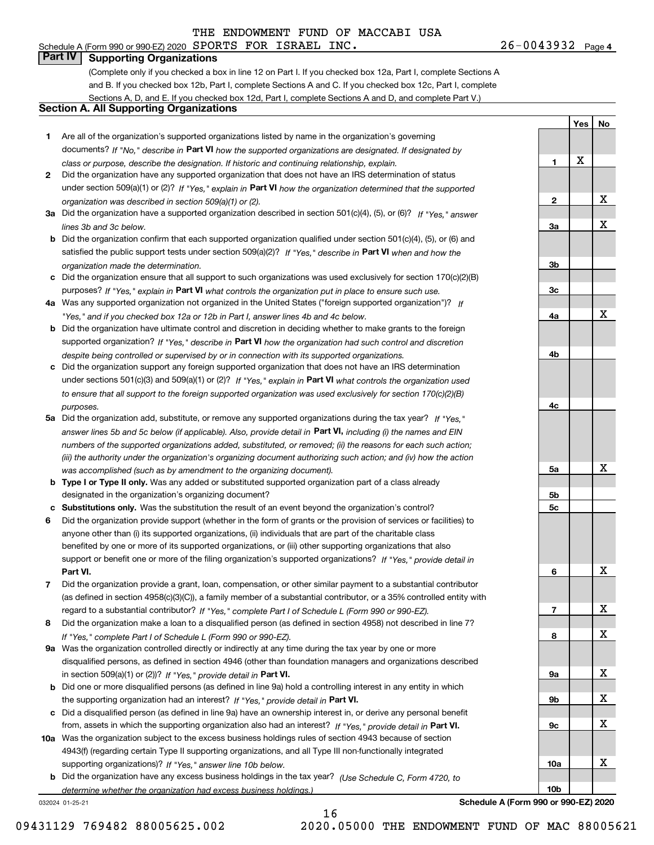**1**

**2**

**3a**

**3b**

**3c**

**4a**

**4b**

**4c**

**5a**

**5b5c**

**6**

**7**

**8**

**9a**

**9b**

**9c**

**10a**

**10b**

**Yes**

X

**No**

X

X

X

X

X

X

X

X

X

X

X

# **Part IV Supporting Organizations**

(Complete only if you checked a box in line 12 on Part I. If you checked box 12a, Part I, complete Sections A and B. If you checked box 12b, Part I, complete Sections A and C. If you checked box 12c, Part I, complete Sections A, D, and E. If you checked box 12d, Part I, complete Sections A and D, and complete Part V.)

### **Section A. All Supporting Organizations**

- **1** Are all of the organization's supported organizations listed by name in the organization's governing documents? If "No," describe in **Part VI** how the supported organizations are designated. If designated by *class or purpose, describe the designation. If historic and continuing relationship, explain.*
- **2** Did the organization have any supported organization that does not have an IRS determination of status under section 509(a)(1) or (2)? If "Yes," explain in Part VI how the organization determined that the supported *organization was described in section 509(a)(1) or (2).*
- **3a** Did the organization have a supported organization described in section 501(c)(4), (5), or (6)? If "Yes," answer *lines 3b and 3c below.*
- **b** Did the organization confirm that each supported organization qualified under section 501(c)(4), (5), or (6) and satisfied the public support tests under section 509(a)(2)? If "Yes," describe in **Part VI** when and how the *organization made the determination.*
- **c**Did the organization ensure that all support to such organizations was used exclusively for section 170(c)(2)(B) purposes? If "Yes," explain in **Part VI** what controls the organization put in place to ensure such use.
- **4a***If* Was any supported organization not organized in the United States ("foreign supported organization")? *"Yes," and if you checked box 12a or 12b in Part I, answer lines 4b and 4c below.*
- **b** Did the organization have ultimate control and discretion in deciding whether to make grants to the foreign supported organization? If "Yes," describe in **Part VI** how the organization had such control and discretion *despite being controlled or supervised by or in connection with its supported organizations.*
- **c** Did the organization support any foreign supported organization that does not have an IRS determination under sections 501(c)(3) and 509(a)(1) or (2)? If "Yes," explain in **Part VI** what controls the organization used *to ensure that all support to the foreign supported organization was used exclusively for section 170(c)(2)(B) purposes.*
- **5a** Did the organization add, substitute, or remove any supported organizations during the tax year? If "Yes," answer lines 5b and 5c below (if applicable). Also, provide detail in **Part VI,** including (i) the names and EIN *numbers of the supported organizations added, substituted, or removed; (ii) the reasons for each such action; (iii) the authority under the organization's organizing document authorizing such action; and (iv) how the action was accomplished (such as by amendment to the organizing document).*
- **b** Type I or Type II only. Was any added or substituted supported organization part of a class already designated in the organization's organizing document?
- **cSubstitutions only.**  Was the substitution the result of an event beyond the organization's control?
- **6** Did the organization provide support (whether in the form of grants or the provision of services or facilities) to **Part VI.** *If "Yes," provide detail in* support or benefit one or more of the filing organization's supported organizations? anyone other than (i) its supported organizations, (ii) individuals that are part of the charitable class benefited by one or more of its supported organizations, or (iii) other supporting organizations that also
- **7**Did the organization provide a grant, loan, compensation, or other similar payment to a substantial contributor *If "Yes," complete Part I of Schedule L (Form 990 or 990-EZ).* regard to a substantial contributor? (as defined in section 4958(c)(3)(C)), a family member of a substantial contributor, or a 35% controlled entity with
- **8** Did the organization make a loan to a disqualified person (as defined in section 4958) not described in line 7? *If "Yes," complete Part I of Schedule L (Form 990 or 990-EZ).*
- **9a** Was the organization controlled directly or indirectly at any time during the tax year by one or more in section 509(a)(1) or (2))? If "Yes," *provide detail in* <code>Part VI.</code> disqualified persons, as defined in section 4946 (other than foundation managers and organizations described
- **b**the supporting organization had an interest? If "Yes," provide detail in P**art VI**. Did one or more disqualified persons (as defined in line 9a) hold a controlling interest in any entity in which
- **c**Did a disqualified person (as defined in line 9a) have an ownership interest in, or derive any personal benefit from, assets in which the supporting organization also had an interest? If "Yes," provide detail in P**art VI.**
- **10a** Was the organization subject to the excess business holdings rules of section 4943 because of section supporting organizations)? If "Yes," answer line 10b below. 4943(f) (regarding certain Type II supporting organizations, and all Type III non-functionally integrated
- **b** Did the organization have any excess business holdings in the tax year? (Use Schedule C, Form 4720, to *determine whether the organization had excess business holdings.)*

16

032024 01-25-21

**Schedule A (Form 990 or 990-EZ) 2020**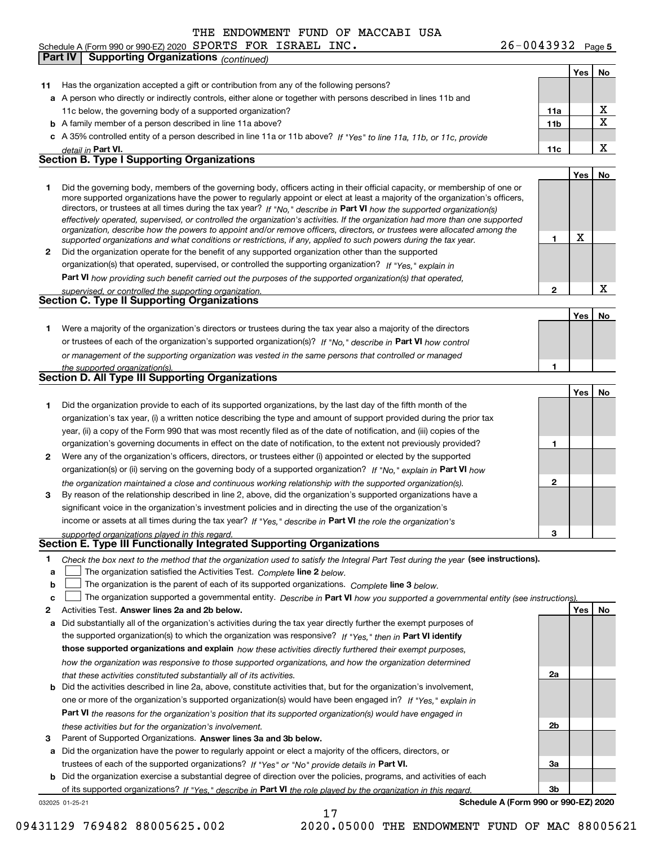**Yes No 11** Has the organization accepted a gift or contribution from any of the following persons? **a**A person who directly or indirectly controls, either alone or together with persons described in lines 11b and **b** A family member of a person described in line 11a above? **c** A 35% controlled entity of a person described in line 11a or 11b above? If "Yes" to line 11a, 11b, or 11c, provide **11a11bPart VI. 11c Yes No 12** Did the organization operate for the benefit of any supported organization other than the supported directors, or trustees at all times during the tax year? If "No," describe in **Part VI** how the supported organization(s) **12Part VI**  *how providing such benefit carried out the purposes of the supported organization(s) that operated,* **Yes No 1** Were a majority of the organization's directors or trustees during the tax year also a majority of the directors or trustees of each of the organization's supported organization(s)? If "No," describe in **Part VI** how control **1Yes No 1** Did the organization provide to each of its supported organizations, by the last day of the fifth month of the **2** Were any of the organization's officers, directors, or trustees either (i) appointed or elected by the supported **3123**organization(s) or (ii) serving on the governing body of a supported organization? If "No," explain in **Part VI** how income or assets at all times during the tax year? If "Yes," describe in **Part VI** the role the organization's **12Answer lines 2a and 2b below. Yes No** Activities Test. Check the box next to the method that the organization used to satisfy the Integral Part Test during the year (see instructions). **abclinupy** The organization satisfied the Activities Test. Complete line 2 below. The organization is the parent of each of its supported organizations. *Complete* line 3 *below.* The organization supported a governmental entity. *Describe in* Part **VI** *how you supported a governmental entity (see instruction<u>s).</u>* **a** Did substantially all of the organization's activities during the tax year directly further the exempt purposes of **b** Did the activities described in line 2a, above, constitute activities that, but for the organization's involvement, the supported organization(s) to which the organization was responsive? If "Yes," then in **Part VI identify those supported organizations and explain**  *how these activities directly furthered their exempt purposes,* **2a 2bPart VI**  *the reasons for the organization's position that its supported organization(s) would have engaged in detail in effectively operated, supervised, or controlled the organization's activities. If the organization had more than one supported organization, describe how the powers to appoint and/or remove officers, directors, or trustees were allocated among the supported organizations and what conditions or restrictions, if any, applied to such powers during the tax year. If "Yes," explain in* organization(s) that operated, supervised, or controlled the supporting organization? *supervised, or controlled the supporting organization. or management of the supporting organization was vested in the same persons that controlled or managed the supported organization(s). the organization maintained a close and continuous working relationship with the supported organization(s). supported organizations played in this regard. how the organization was responsive to those supported organizations, and how the organization determined that these activities constituted substantially all of its activities.* one or more of the organization's supported organization(s) would have been engaged in? If "Yes," e*xplain in these activities but for the organization's involvement.* Schedule A (Form 990 or 990-EZ) 2020 Page SPORTS FOR ISRAEL INC. 26-0043932 11c below, the governing body of a supported organization? Did the governing body, members of the governing body, officers acting in their official capacity, or membership of one or more supported organizations have the power to regularly appoint or elect at least a majority of the organization's officers, organization's tax year, (i) a written notice describing the type and amount of support provided during the prior tax year, (ii) a copy of the Form 990 that was most recently filed as of the date of notification, and (iii) copies of the organization's governing documents in effect on the date of notification, to the extent not previously provided? By reason of the relationship described in line 2, above, did the organization's supported organizations have a significant voice in the organization's investment policies and in directing the use of the organization's **Part IV Supporting Organizations** *(continued)* **Section B. Type I Supporting Organizations Section C. Type II Supporting Organizations Section D. All Type III Supporting Organizations Section E. Type III Functionally Integrated Supporting Organizations**  $\mathcal{L}^{\text{max}}$  $\mathcal{L}^{\text{max}}$ X X X X X

**3**Parent of Supported Organizations. Answer lines 3a and 3b below.

**a** Did the organization have the power to regularly appoint or elect a majority of the officers, directors, or trustees of each of the supported organizations? If "Yes" or "No" provide details in **Part VI.** 

**b** Did the organization exercise a substantial degree of direction over the policies, programs, and activities of each of its supported organizations? If "Yes," describe in Part VI the role played by the organization in this regard.

032025 01-25-21

**Schedule A (Form 990 or 990-EZ) 2020**

**3a**

**3b**

17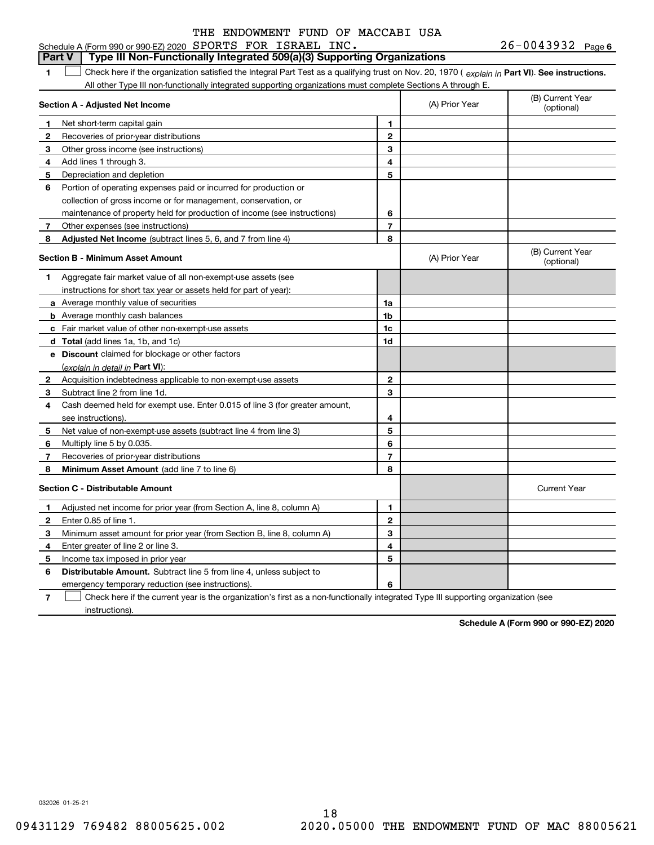#### **1Part VI** Check here if the organization satisfied the Integral Part Test as a qualifying trust on Nov. 20, 1970 ( explain in Part **VI**). See instructions. **Section A - Adjusted Net Income 123** Other gross income (see instructions) **456** Portion of operating expenses paid or incurred for production or **7** Other expenses (see instructions) **8** Adjusted Net Income (subtract lines 5, 6, and 7 from line 4) **8 8 1234567Section B - Minimum Asset Amount 1**Aggregate fair market value of all non-exempt-use assets (see **2**Acquisition indebtedness applicable to non-exempt-use assets **3** Subtract line 2 from line 1d. **4**Cash deemed held for exempt use. Enter 0.015 of line 3 (for greater amount, **5** Net value of non-exempt-use assets (subtract line 4 from line 3) **678a** Average monthly value of securities **b** Average monthly cash balances **c**Fair market value of other non-exempt-use assets **dTotal**  (add lines 1a, 1b, and 1c) **eDiscount** claimed for blockage or other factors **1a1b1c1d2345678**(explain in detail in Part VI): **Minimum Asset Amount**  (add line 7 to line 6) **Section C - Distributable Amount 12**Enter 0.85 of line 1. **3456123456Distributable Amount.** Subtract line 5 from line 4, unless subject to Schedule A (Form 990 or 990-EZ) 2020 Page SPORTS FOR ISRAEL INC. 26-0043932 All other Type III non-functionally integrated supporting organizations must complete Sections A through E. (B) Current Year (optional)(A) Prior Year Net short-term capital gain Recoveries of prior-year distributions Add lines 1 through 3. Depreciation and depletion collection of gross income or for management, conservation, or maintenance of property held for production of income (see instructions) (B) Current Year (optional)(A) Prior Year instructions for short tax year or assets held for part of year): see instructions). Multiply line 5 by 0.035. Recoveries of prior-year distributions Current Year Adjusted net income for prior year (from Section A, line 8, column A) Minimum asset amount for prior year (from Section B, line 8, column A) Enter greater of line 2 or line 3. Income tax imposed in prior year emergency temporary reduction (see instructions). **Part V** Type III Non-Functionally Integrated 509(a)(3) Supporting Organizations  $\mathcal{L}^{\text{max}}$

**7**Check here if the current year is the organization's first as a non-functionally integrated Type III supporting organization (see instructions). $\mathcal{L}^{\text{max}}$ 

**Schedule A (Form 990 or 990-EZ) 2020**

032026 01-25-21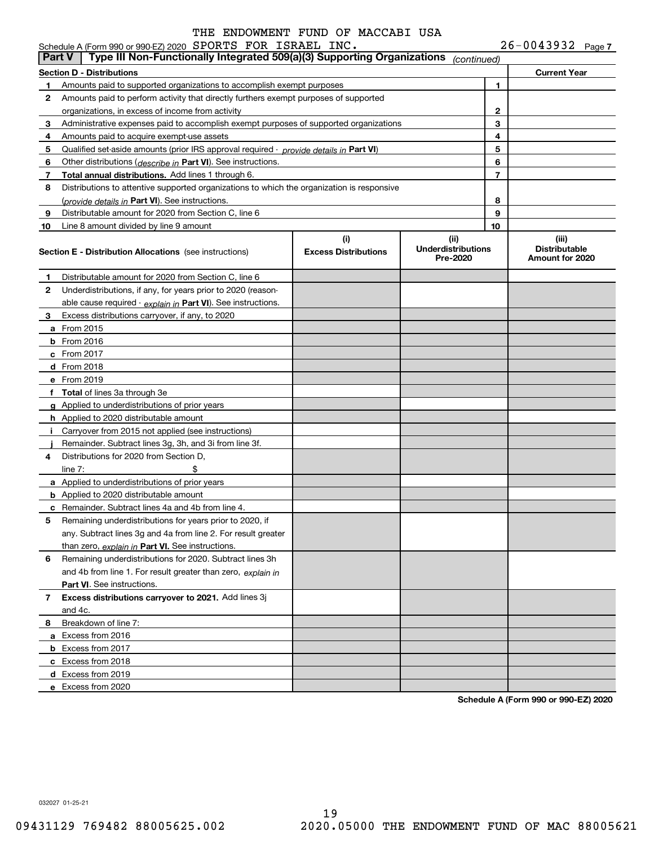|               | Schedule A (Form 990 or 990-EZ) 2020 SPORTS FOR ISRAEL INC.<br>Type III Non-Functionally Integrated 509(a)(3) Supporting Organizations                        |                             |                                       |        | $26 - 0043932$ Page 7                   |  |
|---------------|---------------------------------------------------------------------------------------------------------------------------------------------------------------|-----------------------------|---------------------------------------|--------|-----------------------------------------|--|
| <b>Part V</b> |                                                                                                                                                               |                             | (continued)                           |        |                                         |  |
|               | <b>Section D - Distributions</b>                                                                                                                              |                             |                                       |        | <b>Current Year</b>                     |  |
| 1             | Amounts paid to supported organizations to accomplish exempt purposes                                                                                         |                             |                                       | 1      |                                         |  |
| 2             | Amounts paid to perform activity that directly furthers exempt purposes of supported                                                                          |                             |                                       |        |                                         |  |
|               | organizations, in excess of income from activity                                                                                                              |                             | 2                                     |        |                                         |  |
| 3             | Administrative expenses paid to accomplish exempt purposes of supported organizations                                                                         |                             |                                       | 3      |                                         |  |
| 4             | Amounts paid to acquire exempt-use assets                                                                                                                     |                             |                                       | 4<br>5 |                                         |  |
| 5<br>6        | Qualified set-aside amounts (prior IRS approval required - <i>provide details in</i> Part VI)<br>Other distributions (describe in Part VI). See instructions. |                             |                                       | 6      |                                         |  |
| 7             | Total annual distributions. Add lines 1 through 6.                                                                                                            |                             |                                       | 7      |                                         |  |
| 8             | Distributions to attentive supported organizations to which the organization is responsive                                                                    |                             |                                       |        |                                         |  |
|               | (provide details in Part VI). See instructions.                                                                                                               |                             |                                       | 8      |                                         |  |
| 9             | Distributable amount for 2020 from Section C, line 6                                                                                                          |                             |                                       | 9      |                                         |  |
| 10            | Line 8 amount divided by line 9 amount                                                                                                                        |                             |                                       | 10     |                                         |  |
|               |                                                                                                                                                               | (i)                         | (ii)                                  |        | (iii)                                   |  |
|               | <b>Section E - Distribution Allocations</b> (see instructions)                                                                                                | <b>Excess Distributions</b> | <b>Underdistributions</b><br>Pre-2020 |        | <b>Distributable</b><br>Amount for 2020 |  |
| 1             | Distributable amount for 2020 from Section C, line 6                                                                                                          |                             |                                       |        |                                         |  |
| 2             | Underdistributions, if any, for years prior to 2020 (reason-                                                                                                  |                             |                                       |        |                                         |  |
|               | able cause required $\cdot$ explain in Part VI). See instructions.                                                                                            |                             |                                       |        |                                         |  |
| 3             | Excess distributions carryover, if any, to 2020                                                                                                               |                             |                                       |        |                                         |  |
|               | <b>a</b> From 2015                                                                                                                                            |                             |                                       |        |                                         |  |
|               | $b$ From 2016                                                                                                                                                 |                             |                                       |        |                                         |  |
|               | c From 2017                                                                                                                                                   |                             |                                       |        |                                         |  |
|               | <b>d</b> From 2018                                                                                                                                            |                             |                                       |        |                                         |  |
|               | e From 2019                                                                                                                                                   |                             |                                       |        |                                         |  |
|               | f Total of lines 3a through 3e                                                                                                                                |                             |                                       |        |                                         |  |
|               | g Applied to underdistributions of prior years                                                                                                                |                             |                                       |        |                                         |  |
|               | <b>h</b> Applied to 2020 distributable amount                                                                                                                 |                             |                                       |        |                                         |  |
|               | i Carryover from 2015 not applied (see instructions)                                                                                                          |                             |                                       |        |                                         |  |
|               | Remainder. Subtract lines 3g, 3h, and 3i from line 3f.                                                                                                        |                             |                                       |        |                                         |  |
| 4             | Distributions for 2020 from Section D.                                                                                                                        |                             |                                       |        |                                         |  |
|               | \$<br>line $7:$                                                                                                                                               |                             |                                       |        |                                         |  |
|               | a Applied to underdistributions of prior years                                                                                                                |                             |                                       |        |                                         |  |
|               | <b>b</b> Applied to 2020 distributable amount                                                                                                                 |                             |                                       |        |                                         |  |
|               | <b>c</b> Remainder. Subtract lines 4a and 4b from line 4.                                                                                                     |                             |                                       |        |                                         |  |
|               | Remaining underdistributions for years prior to 2020, if                                                                                                      |                             |                                       |        |                                         |  |
|               | any. Subtract lines 3g and 4a from line 2. For result greater                                                                                                 |                             |                                       |        |                                         |  |
|               | than zero, explain in Part VI. See instructions.                                                                                                              |                             |                                       |        |                                         |  |
| 6             | Remaining underdistributions for 2020. Subtract lines 3h                                                                                                      |                             |                                       |        |                                         |  |
|               | and 4b from line 1. For result greater than zero, explain in                                                                                                  |                             |                                       |        |                                         |  |
|               | Part VI. See instructions.                                                                                                                                    |                             |                                       |        |                                         |  |
| 7             | Excess distributions carryover to 2021. Add lines 3j                                                                                                          |                             |                                       |        |                                         |  |
|               | and 4c.                                                                                                                                                       |                             |                                       |        |                                         |  |
| 8             | Breakdown of line 7:                                                                                                                                          |                             |                                       |        |                                         |  |
|               | a Excess from 2016                                                                                                                                            |                             |                                       |        |                                         |  |
|               | <b>b</b> Excess from 2017                                                                                                                                     |                             |                                       |        |                                         |  |
|               | c Excess from 2018                                                                                                                                            |                             |                                       |        |                                         |  |
|               | d Excess from 2019                                                                                                                                            |                             |                                       |        |                                         |  |
|               | e Excess from 2020                                                                                                                                            |                             |                                       |        |                                         |  |

**Schedule A (Form 990 or 990-EZ) 2020**

032027 01-25-21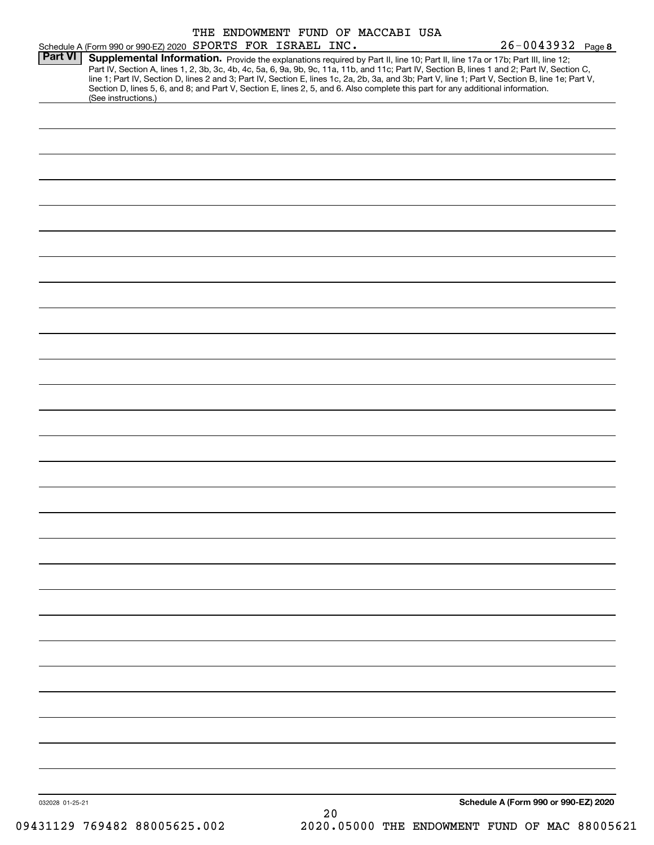|                                                             |  |  | THE ENDOWMENT FUND OF MACCABI USA |                       |                                                                                                                                                                                                                                                                                                                                                                                                                                                                                                                                                                      |
|-------------------------------------------------------------|--|--|-----------------------------------|-----------------------|----------------------------------------------------------------------------------------------------------------------------------------------------------------------------------------------------------------------------------------------------------------------------------------------------------------------------------------------------------------------------------------------------------------------------------------------------------------------------------------------------------------------------------------------------------------------|
| Schedule A (Form 990 or 990-EZ) 2020 SPORTS FOR ISRAEL INC. |  |  |                                   | $26 - 0043932$ Page 8 |                                                                                                                                                                                                                                                                                                                                                                                                                                                                                                                                                                      |
|                                                             |  |  |                                   |                       |                                                                                                                                                                                                                                                                                                                                                                                                                                                                                                                                                                      |
| (See instructions.)                                         |  |  |                                   |                       |                                                                                                                                                                                                                                                                                                                                                                                                                                                                                                                                                                      |
|                                                             |  |  |                                   |                       |                                                                                                                                                                                                                                                                                                                                                                                                                                                                                                                                                                      |
|                                                             |  |  |                                   |                       |                                                                                                                                                                                                                                                                                                                                                                                                                                                                                                                                                                      |
|                                                             |  |  |                                   |                       |                                                                                                                                                                                                                                                                                                                                                                                                                                                                                                                                                                      |
|                                                             |  |  |                                   |                       |                                                                                                                                                                                                                                                                                                                                                                                                                                                                                                                                                                      |
|                                                             |  |  |                                   |                       |                                                                                                                                                                                                                                                                                                                                                                                                                                                                                                                                                                      |
|                                                             |  |  |                                   |                       |                                                                                                                                                                                                                                                                                                                                                                                                                                                                                                                                                                      |
|                                                             |  |  |                                   |                       |                                                                                                                                                                                                                                                                                                                                                                                                                                                                                                                                                                      |
|                                                             |  |  |                                   |                       |                                                                                                                                                                                                                                                                                                                                                                                                                                                                                                                                                                      |
|                                                             |  |  |                                   |                       |                                                                                                                                                                                                                                                                                                                                                                                                                                                                                                                                                                      |
|                                                             |  |  |                                   |                       |                                                                                                                                                                                                                                                                                                                                                                                                                                                                                                                                                                      |
|                                                             |  |  |                                   |                       |                                                                                                                                                                                                                                                                                                                                                                                                                                                                                                                                                                      |
|                                                             |  |  |                                   |                       |                                                                                                                                                                                                                                                                                                                                                                                                                                                                                                                                                                      |
|                                                             |  |  |                                   |                       |                                                                                                                                                                                                                                                                                                                                                                                                                                                                                                                                                                      |
|                                                             |  |  |                                   |                       |                                                                                                                                                                                                                                                                                                                                                                                                                                                                                                                                                                      |
|                                                             |  |  |                                   |                       |                                                                                                                                                                                                                                                                                                                                                                                                                                                                                                                                                                      |
|                                                             |  |  |                                   |                       |                                                                                                                                                                                                                                                                                                                                                                                                                                                                                                                                                                      |
|                                                             |  |  |                                   |                       |                                                                                                                                                                                                                                                                                                                                                                                                                                                                                                                                                                      |
|                                                             |  |  |                                   |                       |                                                                                                                                                                                                                                                                                                                                                                                                                                                                                                                                                                      |
|                                                             |  |  |                                   |                       |                                                                                                                                                                                                                                                                                                                                                                                                                                                                                                                                                                      |
|                                                             |  |  |                                   |                       |                                                                                                                                                                                                                                                                                                                                                                                                                                                                                                                                                                      |
|                                                             |  |  |                                   |                       |                                                                                                                                                                                                                                                                                                                                                                                                                                                                                                                                                                      |
|                                                             |  |  |                                   |                       |                                                                                                                                                                                                                                                                                                                                                                                                                                                                                                                                                                      |
|                                                             |  |  |                                   |                       |                                                                                                                                                                                                                                                                                                                                                                                                                                                                                                                                                                      |
|                                                             |  |  |                                   |                       |                                                                                                                                                                                                                                                                                                                                                                                                                                                                                                                                                                      |
|                                                             |  |  |                                   |                       |                                                                                                                                                                                                                                                                                                                                                                                                                                                                                                                                                                      |
|                                                             |  |  |                                   |                       |                                                                                                                                                                                                                                                                                                                                                                                                                                                                                                                                                                      |
|                                                             |  |  |                                   |                       |                                                                                                                                                                                                                                                                                                                                                                                                                                                                                                                                                                      |
|                                                             |  |  |                                   |                       |                                                                                                                                                                                                                                                                                                                                                                                                                                                                                                                                                                      |
|                                                             |  |  |                                   |                       |                                                                                                                                                                                                                                                                                                                                                                                                                                                                                                                                                                      |
|                                                             |  |  |                                   |                       |                                                                                                                                                                                                                                                                                                                                                                                                                                                                                                                                                                      |
|                                                             |  |  |                                   |                       |                                                                                                                                                                                                                                                                                                                                                                                                                                                                                                                                                                      |
|                                                             |  |  |                                   |                       |                                                                                                                                                                                                                                                                                                                                                                                                                                                                                                                                                                      |
|                                                             |  |  |                                   |                       |                                                                                                                                                                                                                                                                                                                                                                                                                                                                                                                                                                      |
|                                                             |  |  |                                   |                       |                                                                                                                                                                                                                                                                                                                                                                                                                                                                                                                                                                      |
|                                                             |  |  |                                   |                       |                                                                                                                                                                                                                                                                                                                                                                                                                                                                                                                                                                      |
|                                                             |  |  |                                   |                       |                                                                                                                                                                                                                                                                                                                                                                                                                                                                                                                                                                      |
|                                                             |  |  |                                   |                       |                                                                                                                                                                                                                                                                                                                                                                                                                                                                                                                                                                      |
|                                                             |  |  |                                   |                       |                                                                                                                                                                                                                                                                                                                                                                                                                                                                                                                                                                      |
|                                                             |  |  |                                   |                       |                                                                                                                                                                                                                                                                                                                                                                                                                                                                                                                                                                      |
|                                                             |  |  |                                   |                       |                                                                                                                                                                                                                                                                                                                                                                                                                                                                                                                                                                      |
|                                                             |  |  |                                   |                       |                                                                                                                                                                                                                                                                                                                                                                                                                                                                                                                                                                      |
|                                                             |  |  |                                   |                       |                                                                                                                                                                                                                                                                                                                                                                                                                                                                                                                                                                      |
|                                                             |  |  |                                   |                       |                                                                                                                                                                                                                                                                                                                                                                                                                                                                                                                                                                      |
|                                                             |  |  |                                   |                       |                                                                                                                                                                                                                                                                                                                                                                                                                                                                                                                                                                      |
|                                                             |  |  |                                   |                       |                                                                                                                                                                                                                                                                                                                                                                                                                                                                                                                                                                      |
|                                                             |  |  |                                   |                       | Supplemental Information. Provide the explanations required by Part II, line 10; Part II, line 17a or 17b; Part III, line 12;<br>Part IV, Section A, lines 1, 2, 3b, 3c, 4b, 4c, 5a, 6, 9a, 9b, 9c, 11a, 11b, and 11c; Part IV, Section B, lines 1 and 2; Part IV, Section C,<br>line 1; Part IV, Section D, lines 2 and 3; Part IV, Section E, lines 1c, 2a, 2b, 3a, and 3b; Part V, line 1; Part V, Section B, line 1e; Part V,<br>Section D, lines 5, 6, and 8; and Part V, Section E, lines 2, 5, and 6. Also complete this part for any additional information. |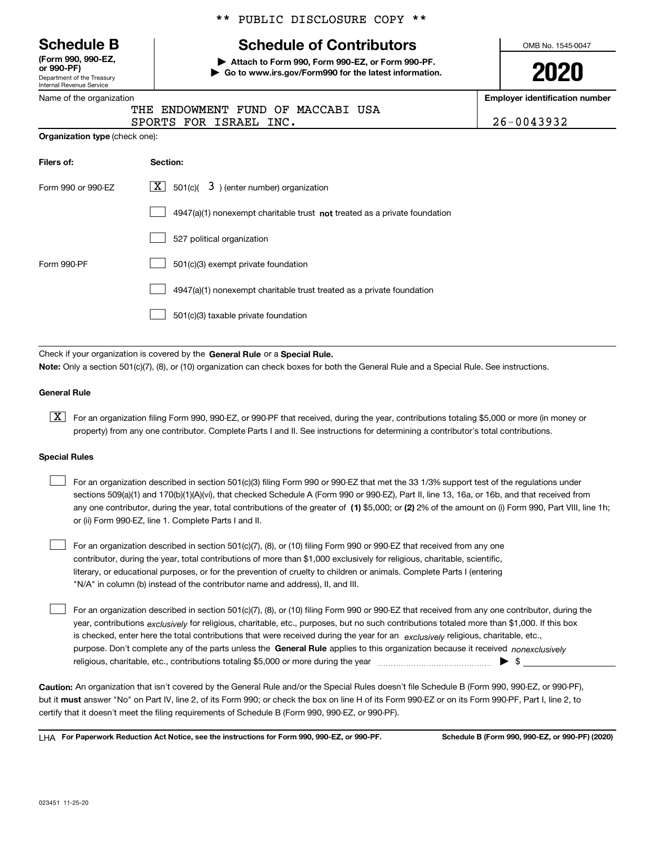Department of the Treasury Internal Revenue Service **(Form 990, 990-EZ, or 990-PF)**

#### Name of the organization

|  |  | ** PUBLIC DISCLOSURE COPY ** |  |  |
|--|--|------------------------------|--|--|
|--|--|------------------------------|--|--|

# **Schedule B Schedule of Contributors**

**| Attach to Form 990, Form 990-EZ, or Form 990-PF. | Go to www.irs.gov/Form990 for the latest information.** OMB No. 1545-0047

**2020**

**Employer identification number**

|  |  |                        | THE ENDOWMENT FUND OF MACCABI USA |  |            |
|--|--|------------------------|-----------------------------------|--|------------|
|  |  | SPORTS FOR ISRAEL INC. |                                   |  | 26-0043932 |

| <b>Organization type (check one):</b> |  |
|---------------------------------------|--|
|---------------------------------------|--|

| Filers of:         | Section:                                                                  |  |  |  |  |  |
|--------------------|---------------------------------------------------------------------------|--|--|--|--|--|
| Form 990 or 990-EZ | $\boxed{\textbf{X}}$ 501(c)( 3) (enter number) organization               |  |  |  |  |  |
|                    | 4947(a)(1) nonexempt charitable trust not treated as a private foundation |  |  |  |  |  |
|                    | 527 political organization                                                |  |  |  |  |  |
| Form 990-PF        | 501(c)(3) exempt private foundation                                       |  |  |  |  |  |
|                    | 4947(a)(1) nonexempt charitable trust treated as a private foundation     |  |  |  |  |  |
|                    | 501(c)(3) taxable private foundation                                      |  |  |  |  |  |

Check if your organization is covered by the **General Rule** or a **Special Rule. Note:**  Only a section 501(c)(7), (8), or (10) organization can check boxes for both the General Rule and a Special Rule. See instructions.

#### **General Rule**

 $\boxed{\textbf{X}}$  For an organization filing Form 990, 990-EZ, or 990-PF that received, during the year, contributions totaling \$5,000 or more (in money or property) from any one contributor. Complete Parts I and II. See instructions for determining a contributor's total contributions.

#### **Special Rules**

 $\mathcal{L}^{\text{max}}$ 

|  | For an organization described in section 501(c)(3) filing Form 990 or 990-EZ that met the 33 1/3% support test of the regulations under               |
|--|-------------------------------------------------------------------------------------------------------------------------------------------------------|
|  | sections 509(a)(1) and 170(b)(1)(A)(vi), that checked Schedule A (Form 990 or 990-EZ), Part II, line 13, 16a, or 16b, and that received from          |
|  | any one contributor, during the year, total contributions of the greater of (1) \$5,000; or (2) 2% of the amount on (i) Form 990, Part VIII, line 1h; |
|  | or (ii) Form 990-EZ, line 1. Complete Parts I and II.                                                                                                 |

For an organization described in section 501(c)(7), (8), or (10) filing Form 990 or 990-EZ that received from any one contributor, during the year, total contributions of more than \$1,000 exclusively for religious, charitable, scientific, literary, or educational purposes, or for the prevention of cruelty to children or animals. Complete Parts I (entering "N/A" in column (b) instead of the contributor name and address), II, and III.  $\mathcal{L}^{\text{max}}$ 

purpose. Don't complete any of the parts unless the **General Rule** applies to this organization because it received *nonexclusively* year, contributions <sub>exclusively</sub> for religious, charitable, etc., purposes, but no such contributions totaled more than \$1,000. If this box is checked, enter here the total contributions that were received during the year for an  $\;$ exclusively religious, charitable, etc., For an organization described in section 501(c)(7), (8), or (10) filing Form 990 or 990-EZ that received from any one contributor, during the religious, charitable, etc., contributions totaling \$5,000 or more during the year  $\Box$ — $\Box$   $\Box$ 

**Caution:**  An organization that isn't covered by the General Rule and/or the Special Rules doesn't file Schedule B (Form 990, 990-EZ, or 990-PF),  **must** but it answer "No" on Part IV, line 2, of its Form 990; or check the box on line H of its Form 990-EZ or on its Form 990-PF, Part I, line 2, to certify that it doesn't meet the filing requirements of Schedule B (Form 990, 990-EZ, or 990-PF).

**For Paperwork Reduction Act Notice, see the instructions for Form 990, 990-EZ, or 990-PF. Schedule B (Form 990, 990-EZ, or 990-PF) (2020)** LHA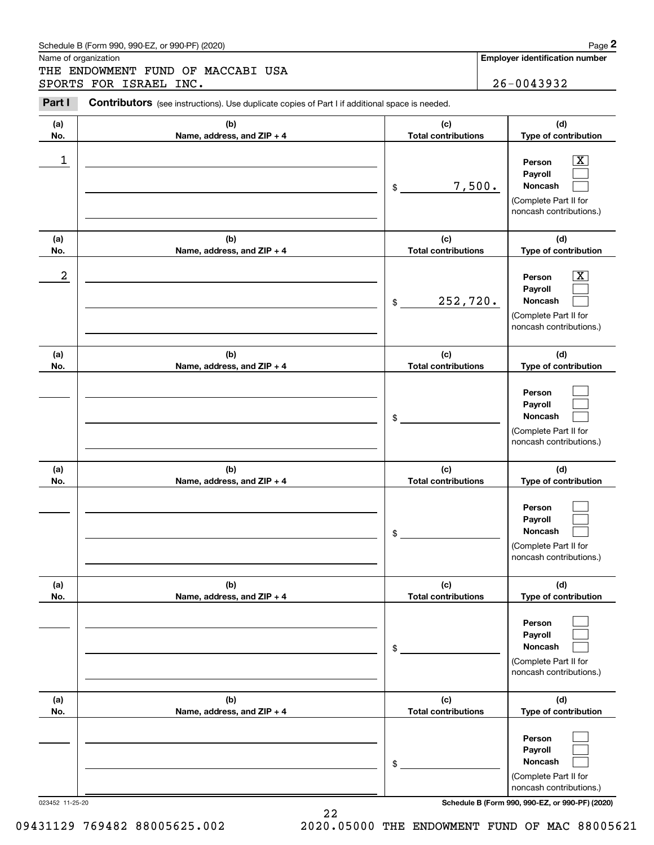### Schedule B (Form 990, 990-EZ, or 990-PF) (2020) **Page 2** Page 2

Name of organization

Chedule B (Form 990, 990-EZ, or 990-PF) (2020)<br> **2Part I 26-0043932**<br> **2PORTS FOR ISRAEL INC.**<br> **2PORTS FOR ISRAEL INC.**<br> **2PORTS FOR ISRAEL INC.** THE ENDOWMENT FUND OF MACCABI USA SPORTS FOR ISRAEL INC. 26-0043932

Contributors (see instructions). Use duplicate copies of Part I if additional space is needed.

| (a)<br>No.             | (b)<br>Name, address, and ZIP + 4 | (c)<br><b>Total contributions</b> | (d)<br>Type of contribution                                                                                                                                 |
|------------------------|-----------------------------------|-----------------------------------|-------------------------------------------------------------------------------------------------------------------------------------------------------------|
| 1                      |                                   | 7,500.<br>$\frac{1}{2}$           | $\overline{\mathbf{X}}$<br>Person<br>Payroll<br>Noncash<br>(Complete Part II for<br>noncash contributions.)                                                 |
| (a)<br>No.             | (b)<br>Name, address, and ZIP + 4 | (c)<br><b>Total contributions</b> | (d)<br>Type of contribution                                                                                                                                 |
| 2                      |                                   | 252,720.<br>$\frac{1}{2}$         | $\overline{\mathbf{X}}$<br>Person<br>Payroll<br>Noncash<br>(Complete Part II for<br>noncash contributions.)                                                 |
| (a)<br>No.             | (b)<br>Name, address, and ZIP + 4 | (c)<br><b>Total contributions</b> | (d)<br>Type of contribution                                                                                                                                 |
|                        |                                   | \$                                | Person<br>Payroll<br>Noncash<br>(Complete Part II for<br>noncash contributions.)                                                                            |
| (a)<br>No.             | (b)<br>Name, address, and ZIP + 4 | (c)<br><b>Total contributions</b> | (d)<br>Type of contribution                                                                                                                                 |
|                        |                                   | $$^{\circ}$                       | Person<br>Payroll<br>Noncash<br>(Complete Part II for<br>noncash contributions.)                                                                            |
| (a)<br>No.             | (b)<br>Name, address, and ZIP + 4 | (c)<br><b>Total contributions</b> | (d)<br>Type of contribution                                                                                                                                 |
|                        |                                   | \$                                | Person<br>Payroll<br>Noncash<br>(Complete Part II for<br>noncash contributions.)                                                                            |
| (a)                    | (b)                               | (c)                               | (d)                                                                                                                                                         |
| No.<br>023452 11-25-20 | Name, address, and ZIP + 4        | <b>Total contributions</b><br>\$  | Type of contribution<br>Person<br>Payroll<br>Noncash<br>(Complete Part II for<br>noncash contributions.)<br>Schedule B (Form 990, 990-EZ, or 990-PF) (2020) |

22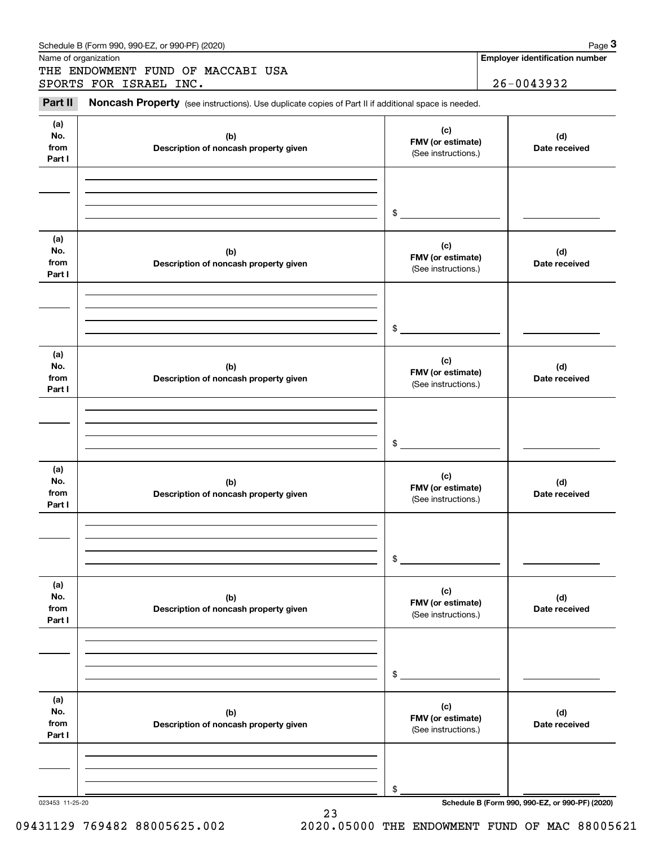| Schedule B (Form 990. 990-EZ. or 990-PF) (2020) |  | Page |  |
|-------------------------------------------------|--|------|--|
|-------------------------------------------------|--|------|--|

Name of organization

THE ENDOWMENT FUND OF MACCABI USA SPORTS FOR ISRAEL INC. 26-0043932

**Employer identification number**

#### **(a)No.fromPart I (c)FMV (or estimate) (b) Description of noncash property given (d) Date received (a)No.fromPart I (c) FMV (or estimate) (b) Description of noncash property given (d) Date received (a)No.fromPart I (c)FMV (or estimate) (b) Description of noncash property given (d) Date received (a) No.fromPart I (c) FMV (or estimate) (b)Description of noncash property given (d)Date received (a) No.fromPart I (c) FMV (or estimate) (b) Description of noncash property given (d) Date received (a) No.fromPart I (c)FMV (or estimate) (b)Description of noncash property given (d)Date received** Chedule B (Form 990, 990-EZ, or 990-PF) (2020)<br>
lame of organization<br> **3PORTS FOR ISRAEL INC.**<br> **3PORTS FOR ISRAEL INC.**<br> **26-0043932**<br> **29-0043932** (See instructions.) \$(See instructions.) \$(See instructions.) \$(See instructions.) \$(See instructions.) \$(See instructions.) \$

23

023453 11-25-20 **Schedule B (Form 990, 990-EZ, or 990-PF) (2020)**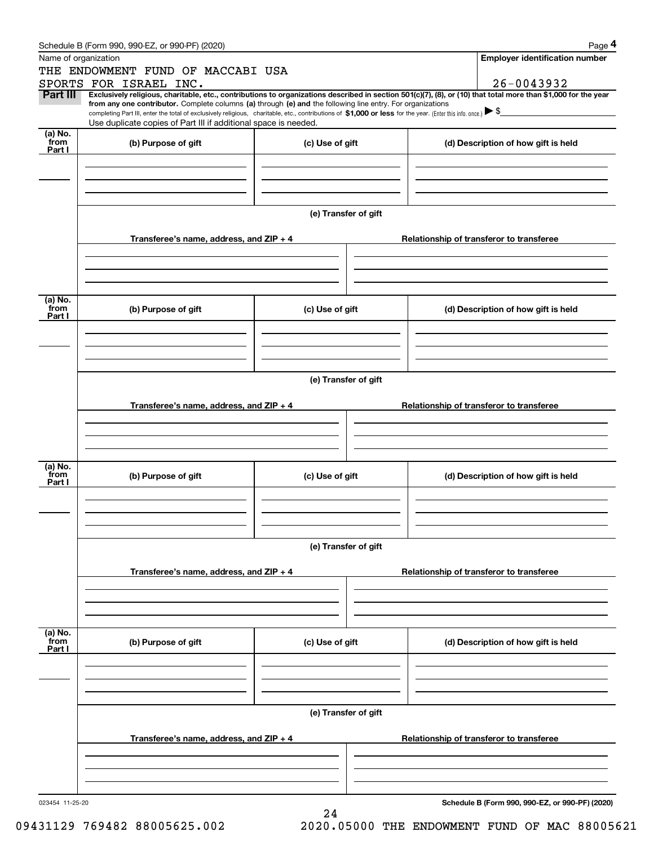|                           | Schedule B (Form 990, 990-EZ, or 990-PF) (2020)                                                                                                                                                                                                                              |                      |  | Page 4                                          |  |  |  |  |  |
|---------------------------|------------------------------------------------------------------------------------------------------------------------------------------------------------------------------------------------------------------------------------------------------------------------------|----------------------|--|-------------------------------------------------|--|--|--|--|--|
|                           | Name of organization                                                                                                                                                                                                                                                         |                      |  | <b>Employer identification number</b>           |  |  |  |  |  |
|                           | THE ENDOWMENT FUND OF MACCABI USA                                                                                                                                                                                                                                            |                      |  |                                                 |  |  |  |  |  |
|                           | SPORTS FOR ISRAEL INC.                                                                                                                                                                                                                                                       |                      |  | 26-0043932                                      |  |  |  |  |  |
| Part III                  | Exclusively religious, charitable, etc., contributions to organizations described in section 501(c)(7), (8), or (10) that total more than \$1,000 for the year<br>from any one contributor. Complete columns (a) through (e) and the following line entry. For organizations |                      |  |                                                 |  |  |  |  |  |
|                           | completing Part III, enter the total of exclusively religious, charitable, etc., contributions of \$1,000 or less for the year. (Enter this info. once.) $\blacktriangleright$ \$                                                                                            |                      |  |                                                 |  |  |  |  |  |
|                           | Use duplicate copies of Part III if additional space is needed.                                                                                                                                                                                                              |                      |  |                                                 |  |  |  |  |  |
| (a) No.<br>from           | (b) Purpose of gift                                                                                                                                                                                                                                                          | (c) Use of gift      |  | (d) Description of how gift is held             |  |  |  |  |  |
| Part I                    |                                                                                                                                                                                                                                                                              |                      |  |                                                 |  |  |  |  |  |
|                           |                                                                                                                                                                                                                                                                              |                      |  |                                                 |  |  |  |  |  |
|                           |                                                                                                                                                                                                                                                                              |                      |  |                                                 |  |  |  |  |  |
|                           |                                                                                                                                                                                                                                                                              |                      |  |                                                 |  |  |  |  |  |
|                           |                                                                                                                                                                                                                                                                              | (e) Transfer of gift |  |                                                 |  |  |  |  |  |
|                           |                                                                                                                                                                                                                                                                              |                      |  |                                                 |  |  |  |  |  |
|                           | Transferee's name, address, and $ZIP + 4$                                                                                                                                                                                                                                    |                      |  | Relationship of transferor to transferee        |  |  |  |  |  |
|                           |                                                                                                                                                                                                                                                                              |                      |  |                                                 |  |  |  |  |  |
|                           |                                                                                                                                                                                                                                                                              |                      |  |                                                 |  |  |  |  |  |
|                           |                                                                                                                                                                                                                                                                              |                      |  |                                                 |  |  |  |  |  |
| (a) No.                   |                                                                                                                                                                                                                                                                              |                      |  |                                                 |  |  |  |  |  |
| from<br>Part I            | (b) Purpose of gift                                                                                                                                                                                                                                                          | (c) Use of gift      |  | (d) Description of how gift is held             |  |  |  |  |  |
|                           |                                                                                                                                                                                                                                                                              |                      |  |                                                 |  |  |  |  |  |
|                           |                                                                                                                                                                                                                                                                              |                      |  |                                                 |  |  |  |  |  |
|                           |                                                                                                                                                                                                                                                                              |                      |  |                                                 |  |  |  |  |  |
|                           | (e) Transfer of gift                                                                                                                                                                                                                                                         |                      |  |                                                 |  |  |  |  |  |
|                           |                                                                                                                                                                                                                                                                              |                      |  |                                                 |  |  |  |  |  |
|                           | Transferee's name, address, and ZIP + 4                                                                                                                                                                                                                                      |                      |  | Relationship of transferor to transferee        |  |  |  |  |  |
|                           |                                                                                                                                                                                                                                                                              |                      |  |                                                 |  |  |  |  |  |
|                           |                                                                                                                                                                                                                                                                              |                      |  |                                                 |  |  |  |  |  |
|                           |                                                                                                                                                                                                                                                                              |                      |  |                                                 |  |  |  |  |  |
| (a) No.                   |                                                                                                                                                                                                                                                                              |                      |  |                                                 |  |  |  |  |  |
| from<br>Part I            | (b) Purpose of gift                                                                                                                                                                                                                                                          | (c) Use of gift      |  | (d) Description of how gift is held             |  |  |  |  |  |
|                           |                                                                                                                                                                                                                                                                              |                      |  |                                                 |  |  |  |  |  |
|                           |                                                                                                                                                                                                                                                                              |                      |  |                                                 |  |  |  |  |  |
|                           |                                                                                                                                                                                                                                                                              |                      |  |                                                 |  |  |  |  |  |
|                           |                                                                                                                                                                                                                                                                              |                      |  |                                                 |  |  |  |  |  |
|                           | (e) Transfer of gift                                                                                                                                                                                                                                                         |                      |  |                                                 |  |  |  |  |  |
|                           | Transferee's name, address, and ZIP + 4                                                                                                                                                                                                                                      |                      |  | Relationship of transferor to transferee        |  |  |  |  |  |
|                           |                                                                                                                                                                                                                                                                              |                      |  |                                                 |  |  |  |  |  |
|                           |                                                                                                                                                                                                                                                                              |                      |  |                                                 |  |  |  |  |  |
|                           |                                                                                                                                                                                                                                                                              |                      |  |                                                 |  |  |  |  |  |
|                           |                                                                                                                                                                                                                                                                              |                      |  |                                                 |  |  |  |  |  |
| (a) No.<br>from<br>Part I | (b) Purpose of gift                                                                                                                                                                                                                                                          | (c) Use of gift      |  | (d) Description of how gift is held             |  |  |  |  |  |
|                           |                                                                                                                                                                                                                                                                              |                      |  |                                                 |  |  |  |  |  |
|                           |                                                                                                                                                                                                                                                                              |                      |  |                                                 |  |  |  |  |  |
|                           |                                                                                                                                                                                                                                                                              |                      |  |                                                 |  |  |  |  |  |
|                           |                                                                                                                                                                                                                                                                              |                      |  |                                                 |  |  |  |  |  |
|                           |                                                                                                                                                                                                                                                                              | (e) Transfer of gift |  |                                                 |  |  |  |  |  |
|                           | Transferee's name, address, and ZIP + 4                                                                                                                                                                                                                                      |                      |  | Relationship of transferor to transferee        |  |  |  |  |  |
|                           |                                                                                                                                                                                                                                                                              |                      |  |                                                 |  |  |  |  |  |
|                           |                                                                                                                                                                                                                                                                              |                      |  |                                                 |  |  |  |  |  |
|                           |                                                                                                                                                                                                                                                                              |                      |  |                                                 |  |  |  |  |  |
|                           |                                                                                                                                                                                                                                                                              |                      |  |                                                 |  |  |  |  |  |
| 023454 11-25-20           |                                                                                                                                                                                                                                                                              | 24                   |  | Schedule B (Form 990, 990-EZ, or 990-PF) (2020) |  |  |  |  |  |
|                           |                                                                                                                                                                                                                                                                              |                      |  |                                                 |  |  |  |  |  |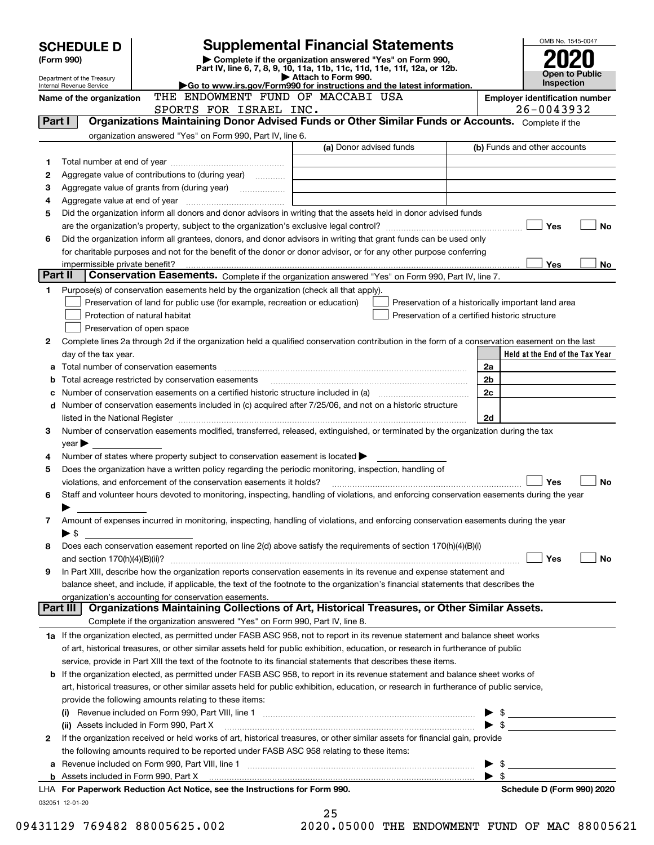|        | <b>Supplemental Financial Statements</b><br><b>SCHEDULE D</b>          |                                                                                                                                                                              |                                                                                                 |                                                     |                                 |  |  |
|--------|------------------------------------------------------------------------|------------------------------------------------------------------------------------------------------------------------------------------------------------------------------|-------------------------------------------------------------------------------------------------|-----------------------------------------------------|---------------------------------|--|--|
|        | Complete if the organization answered "Yes" on Form 990,<br>(Form 990) |                                                                                                                                                                              |                                                                                                 |                                                     |                                 |  |  |
|        | Department of the Treasury                                             |                                                                                                                                                                              | Part IV, line 6, 7, 8, 9, 10, 11a, 11b, 11c, 11d, 11e, 11f, 12a, or 12b.<br>Attach to Form 990. |                                                     | <b>Open to Public</b>           |  |  |
|        | Internal Revenue Service                                               | THE ENDOWMENT FUND OF MACCABI USA                                                                                                                                            | Go to www.irs.gov/Form990 for instructions and the latest information.                          |                                                     | Inspection                      |  |  |
|        | Name of the organization                                               |                                                                                                                                                                              | <b>Employer identification number</b><br>26-0043932                                             |                                                     |                                 |  |  |
| Part I |                                                                        | SPORTS FOR ISRAEL INC.<br>Organizations Maintaining Donor Advised Funds or Other Similar Funds or Accounts. Complete if the                                                  |                                                                                                 |                                                     |                                 |  |  |
|        |                                                                        | organization answered "Yes" on Form 990, Part IV, line 6.                                                                                                                    |                                                                                                 |                                                     |                                 |  |  |
|        |                                                                        |                                                                                                                                                                              | (a) Donor advised funds                                                                         |                                                     | (b) Funds and other accounts    |  |  |
| 1      |                                                                        |                                                                                                                                                                              |                                                                                                 |                                                     |                                 |  |  |
| 2      |                                                                        | Aggregate value of contributions to (during year)                                                                                                                            |                                                                                                 |                                                     |                                 |  |  |
| З      |                                                                        |                                                                                                                                                                              |                                                                                                 |                                                     |                                 |  |  |
| 4      |                                                                        |                                                                                                                                                                              |                                                                                                 |                                                     |                                 |  |  |
| 5      |                                                                        | Did the organization inform all donors and donor advisors in writing that the assets held in donor advised funds                                                             |                                                                                                 |                                                     |                                 |  |  |
|        |                                                                        |                                                                                                                                                                              |                                                                                                 |                                                     | Yes<br>No                       |  |  |
| 6      |                                                                        | Did the organization inform all grantees, donors, and donor advisors in writing that grant funds can be used only                                                            |                                                                                                 |                                                     |                                 |  |  |
|        |                                                                        | for charitable purposes and not for the benefit of the donor or donor advisor, or for any other purpose conferring                                                           |                                                                                                 |                                                     |                                 |  |  |
|        | impermissible private benefit?                                         |                                                                                                                                                                              |                                                                                                 |                                                     | <b>Yes</b><br>No                |  |  |
|        | Part II                                                                | Conservation Easements. Complete if the organization answered "Yes" on Form 990, Part IV, line 7.                                                                            |                                                                                                 |                                                     |                                 |  |  |
| 1      |                                                                        | Purpose(s) of conservation easements held by the organization (check all that apply).                                                                                        |                                                                                                 |                                                     |                                 |  |  |
|        |                                                                        | Preservation of land for public use (for example, recreation or education)                                                                                                   |                                                                                                 | Preservation of a historically important land area  |                                 |  |  |
|        |                                                                        | Protection of natural habitat                                                                                                                                                |                                                                                                 | Preservation of a certified historic structure      |                                 |  |  |
|        |                                                                        | Preservation of open space<br>Complete lines 2a through 2d if the organization held a qualified conservation contribution in the form of a conservation easement on the last |                                                                                                 |                                                     |                                 |  |  |
| 2      | day of the tax year.                                                   |                                                                                                                                                                              |                                                                                                 |                                                     | Held at the End of the Tax Year |  |  |
| а      |                                                                        | Total number of conservation easements                                                                                                                                       |                                                                                                 | 2a                                                  |                                 |  |  |
| b      |                                                                        | Total acreage restricted by conservation easements                                                                                                                           |                                                                                                 | 2 <sub>b</sub>                                      |                                 |  |  |
|        |                                                                        | Number of conservation easements on a certified historic structure included in (a) manufacture included in (a)                                                               |                                                                                                 | 2c                                                  |                                 |  |  |
|        |                                                                        | d Number of conservation easements included in (c) acquired after 7/25/06, and not on a historic structure                                                                   |                                                                                                 |                                                     |                                 |  |  |
|        |                                                                        |                                                                                                                                                                              |                                                                                                 | 2d                                                  |                                 |  |  |
| 3      |                                                                        | Number of conservation easements modified, transferred, released, extinguished, or terminated by the organization during the tax                                             |                                                                                                 |                                                     |                                 |  |  |
|        | $year \triangleright$                                                  |                                                                                                                                                                              |                                                                                                 |                                                     |                                 |  |  |
| 4      |                                                                        | Number of states where property subject to conservation easement is located $\blacktriangleright$                                                                            |                                                                                                 |                                                     |                                 |  |  |
| 5      |                                                                        | Does the organization have a written policy regarding the periodic monitoring, inspection, handling of                                                                       |                                                                                                 |                                                     |                                 |  |  |
|        |                                                                        | violations, and enforcement of the conservation easements it holds?                                                                                                          |                                                                                                 |                                                     | Yes<br><b>No</b>                |  |  |
| 6      |                                                                        | Staff and volunteer hours devoted to monitoring, inspecting, handling of violations, and enforcing conservation easements during the year                                    |                                                                                                 |                                                     |                                 |  |  |
|        |                                                                        |                                                                                                                                                                              |                                                                                                 |                                                     |                                 |  |  |
| 7      |                                                                        | Amount of expenses incurred in monitoring, inspecting, handling of violations, and enforcing conservation easements during the year                                          |                                                                                                 |                                                     |                                 |  |  |
|        | ▶ \$                                                                   |                                                                                                                                                                              |                                                                                                 |                                                     |                                 |  |  |
| 8      |                                                                        | Does each conservation easement reported on line 2(d) above satisfy the requirements of section 170(h)(4)(B)(i)                                                              |                                                                                                 |                                                     | Yes<br>No                       |  |  |
| 9      |                                                                        | In Part XIII, describe how the organization reports conservation easements in its revenue and expense statement and                                                          |                                                                                                 |                                                     |                                 |  |  |
|        |                                                                        | balance sheet, and include, if applicable, the text of the footnote to the organization's financial statements that describes the                                            |                                                                                                 |                                                     |                                 |  |  |
|        |                                                                        | organization's accounting for conservation easements.                                                                                                                        |                                                                                                 |                                                     |                                 |  |  |
|        | Part III                                                               | Organizations Maintaining Collections of Art, Historical Treasures, or Other Similar Assets.                                                                                 |                                                                                                 |                                                     |                                 |  |  |
|        |                                                                        | Complete if the organization answered "Yes" on Form 990, Part IV, line 8.                                                                                                    |                                                                                                 |                                                     |                                 |  |  |
|        |                                                                        | 1a If the organization elected, as permitted under FASB ASC 958, not to report in its revenue statement and balance sheet works                                              |                                                                                                 |                                                     |                                 |  |  |
|        |                                                                        | of art, historical treasures, or other similar assets held for public exhibition, education, or research in furtherance of public                                            |                                                                                                 |                                                     |                                 |  |  |
|        |                                                                        | service, provide in Part XIII the text of the footnote to its financial statements that describes these items.                                                               |                                                                                                 |                                                     |                                 |  |  |
|        |                                                                        | <b>b</b> If the organization elected, as permitted under FASB ASC 958, to report in its revenue statement and balance sheet works of                                         |                                                                                                 |                                                     |                                 |  |  |
|        |                                                                        | art, historical treasures, or other similar assets held for public exhibition, education, or research in furtherance of public service,                                      |                                                                                                 |                                                     |                                 |  |  |
|        |                                                                        | provide the following amounts relating to these items:                                                                                                                       |                                                                                                 |                                                     |                                 |  |  |
|        |                                                                        |                                                                                                                                                                              |                                                                                                 | $\blacktriangleright$ \$                            |                                 |  |  |
|        |                                                                        | (ii) Assets included in Form 990, Part X                                                                                                                                     |                                                                                                 |                                                     | $\bullet$ \$                    |  |  |
| 2      |                                                                        | If the organization received or held works of art, historical treasures, or other similar assets for financial gain, provide                                                 |                                                                                                 |                                                     |                                 |  |  |
|        |                                                                        | the following amounts required to be reported under FASB ASC 958 relating to these items:                                                                                    |                                                                                                 |                                                     |                                 |  |  |
|        |                                                                        | b Assets included in Form 990, Part X [11] Marten and Martin Martin Marten and Martin Martin Martin Martin Mar                                                               |                                                                                                 | $\blacktriangleright$ s<br>$\blacktriangleright$ \$ |                                 |  |  |
|        |                                                                        | LHA For Paperwork Reduction Act Notice, see the Instructions for Form 990.                                                                                                   |                                                                                                 |                                                     | Schedule D (Form 990) 2020      |  |  |
|        | 032051 12-01-20                                                        |                                                                                                                                                                              |                                                                                                 |                                                     |                                 |  |  |
|        |                                                                        |                                                                                                                                                                              | 25                                                                                              |                                                     |                                 |  |  |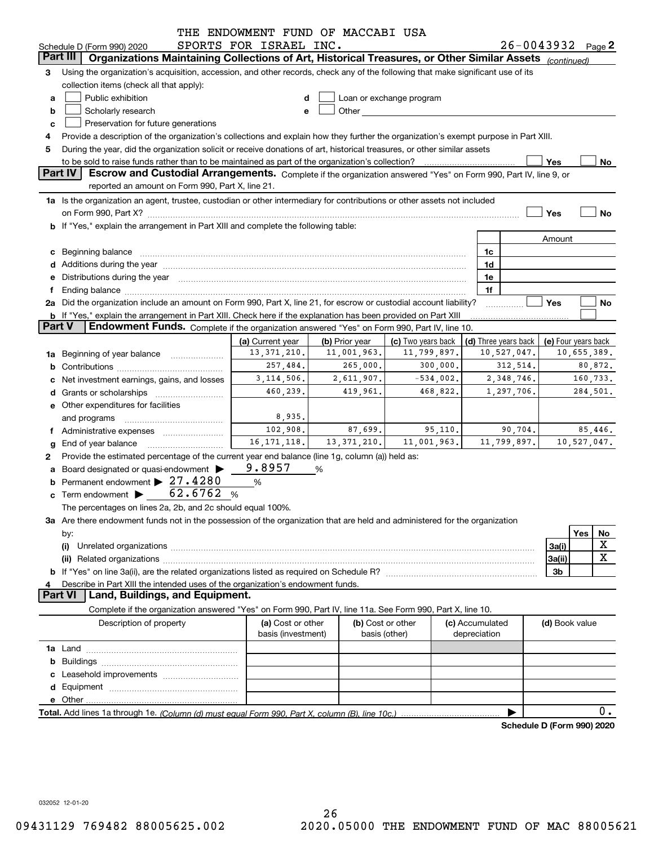|               |                                                                                                                                                                                                                                                                                                                                                      | THE ENDOWMENT FUND OF MACCABI USA            |                               |                                   |                                            |             |                |                            |
|---------------|------------------------------------------------------------------------------------------------------------------------------------------------------------------------------------------------------------------------------------------------------------------------------------------------------------------------------------------------------|----------------------------------------------|-------------------------------|-----------------------------------|--------------------------------------------|-------------|----------------|----------------------------|
|               | Schedule D (Form 990) 2020                                                                                                                                                                                                                                                                                                                           | SPORTS FOR ISRAEL INC.                       |                               |                                   |                                            |             |                | $26 - 0043932$ Page 2      |
| Part III      | Organizations Maintaining Collections of Art, Historical Treasures, or Other Similar Assets (continued)                                                                                                                                                                                                                                              |                                              |                               |                                   |                                            |             |                |                            |
| З             | Using the organization's acquisition, accession, and other records, check any of the following that make significant use of its                                                                                                                                                                                                                      |                                              |                               |                                   |                                            |             |                |                            |
|               | collection items (check all that apply):                                                                                                                                                                                                                                                                                                             |                                              |                               |                                   |                                            |             |                |                            |
| a             | Public exhibition                                                                                                                                                                                                                                                                                                                                    | d                                            |                               | Loan or exchange program          |                                            |             |                |                            |
| b             | Scholarly research                                                                                                                                                                                                                                                                                                                                   | e                                            |                               |                                   |                                            |             |                |                            |
| c             | Preservation for future generations                                                                                                                                                                                                                                                                                                                  |                                              |                               |                                   |                                            |             |                |                            |
| 4             | Provide a description of the organization's collections and explain how they further the organization's exempt purpose in Part XIII.                                                                                                                                                                                                                 |                                              |                               |                                   |                                            |             |                |                            |
| 5             | During the year, did the organization solicit or receive donations of art, historical treasures, or other similar assets                                                                                                                                                                                                                             |                                              |                               |                                   |                                            |             |                |                            |
|               | to be sold to raise funds rather than to be maintained as part of the organization's collection?                                                                                                                                                                                                                                                     |                                              |                               |                                   |                                            |             | Yes            | No                         |
|               | <b>Part IV</b><br>Escrow and Custodial Arrangements. Complete if the organization answered "Yes" on Form 990, Part IV, line 9, or                                                                                                                                                                                                                    |                                              |                               |                                   |                                            |             |                |                            |
|               | reported an amount on Form 990, Part X, line 21.                                                                                                                                                                                                                                                                                                     |                                              |                               |                                   |                                            |             |                |                            |
|               | 1a Is the organization an agent, trustee, custodian or other intermediary for contributions or other assets not included                                                                                                                                                                                                                             |                                              |                               |                                   |                                            |             |                |                            |
|               |                                                                                                                                                                                                                                                                                                                                                      |                                              |                               |                                   |                                            |             | Yes            | No                         |
|               | b If "Yes," explain the arrangement in Part XIII and complete the following table:                                                                                                                                                                                                                                                                   |                                              |                               |                                   |                                            |             |                |                            |
|               |                                                                                                                                                                                                                                                                                                                                                      |                                              |                               |                                   |                                            |             | Amount         |                            |
|               | c Beginning balance measurements and the contract of the contract of the contract of the contract of the contract of the contract of the contract of the contract of the contract of the contract of the contract of the contr                                                                                                                       |                                              |                               |                                   | 1c                                         |             |                |                            |
|               |                                                                                                                                                                                                                                                                                                                                                      |                                              |                               |                                   | 1d                                         |             |                |                            |
|               | e Distributions during the year manufactured and continuum and contact the year manufactured and contact the year manufactured and contact the year manufactured and contact the year manufactured and contact the year manufa                                                                                                                       |                                              |                               |                                   | 1e                                         |             |                |                            |
|               |                                                                                                                                                                                                                                                                                                                                                      |                                              |                               |                                   | 1f                                         |             |                |                            |
|               | Ending balance manufactured and contract the contract of the contract of the contract of the contract of the contract of the contract of the contract of the contract of the contract of the contract of the contract of the c<br>2a Did the organization include an amount on Form 990, Part X, line 21, for escrow or custodial account liability? |                                              |                               |                                   |                                            |             | Yes            | No                         |
|               | <b>b</b> If "Yes," explain the arrangement in Part XIII. Check here if the explanation has been provided on Part XIII                                                                                                                                                                                                                                |                                              |                               |                                   |                                            |             |                |                            |
| <b>Part V</b> | Endowment Funds. Complete if the organization answered "Yes" on Form 990, Part IV, line 10.                                                                                                                                                                                                                                                          |                                              |                               |                                   |                                            |             |                |                            |
|               |                                                                                                                                                                                                                                                                                                                                                      |                                              |                               |                                   |                                            |             |                |                            |
|               |                                                                                                                                                                                                                                                                                                                                                      | (a) Current year<br>13, 371, 210.            | (b) Prior year<br>11,001,963. | (c) Two years back<br>11,799,897. | (d) Three years back   (e) Four years back | 10,527,047. |                | 10,655,389.                |
| 1a            | Beginning of year balance                                                                                                                                                                                                                                                                                                                            |                                              |                               |                                   |                                            |             |                |                            |
|               |                                                                                                                                                                                                                                                                                                                                                      | 257,484.<br>265,000.<br>300,000.<br>312,514. |                               |                                   |                                            |             |                | 80,872.                    |
|               | Net investment earnings, gains, and losses                                                                                                                                                                                                                                                                                                           | 3, 114, 506.                                 | 2,611,907.                    | $-534,002$ .                      |                                            | 2,348,746.  |                | 160,733.                   |
|               |                                                                                                                                                                                                                                                                                                                                                      | 460,239.                                     | 419,961.                      | 468,822.                          |                                            | 1,297,706.  |                | 284,501.                   |
|               | e Other expenditures for facilities                                                                                                                                                                                                                                                                                                                  |                                              |                               |                                   |                                            |             |                |                            |
|               | and programs                                                                                                                                                                                                                                                                                                                                         | 8,935.                                       |                               |                                   |                                            |             |                |                            |
|               | Administrative expenses                                                                                                                                                                                                                                                                                                                              | 102,908.                                     | 87,699.                       | 95,110.                           |                                            | 90,704.     |                | 85,446.                    |
|               | End of year balance                                                                                                                                                                                                                                                                                                                                  | 16, 171, 118.                                | 13, 371, 210.                 | 11,001,963.                       |                                            | 11,799,897. |                | 10,527,047.                |
| 2             | Provide the estimated percentage of the current year end balance (line 1g, column (a)) held as:                                                                                                                                                                                                                                                      |                                              |                               |                                   |                                            |             |                |                            |
| a             | Board designated or quasi-endowment                                                                                                                                                                                                                                                                                                                  | 9.8957                                       | %                             |                                   |                                            |             |                |                            |
|               | Permanent endowment > 27.4280                                                                                                                                                                                                                                                                                                                        | %                                            |                               |                                   |                                            |             |                |                            |
|               | c Term endowment $\triangleright$ 62.6762                                                                                                                                                                                                                                                                                                            | %                                            |                               |                                   |                                            |             |                |                            |
|               | The percentages on lines 2a, 2b, and 2c should equal 100%.                                                                                                                                                                                                                                                                                           |                                              |                               |                                   |                                            |             |                |                            |
|               | 3a Are there endowment funds not in the possession of the organization that are held and administered for the organization                                                                                                                                                                                                                           |                                              |                               |                                   |                                            |             |                |                            |
|               | by:                                                                                                                                                                                                                                                                                                                                                  |                                              |                               |                                   |                                            |             |                | Yes<br>No                  |
|               | (i)                                                                                                                                                                                                                                                                                                                                                  |                                              |                               |                                   |                                            |             | 3a(i)          | X                          |
|               |                                                                                                                                                                                                                                                                                                                                                      |                                              |                               |                                   |                                            |             | 3a(ii)         | $\mathbf X$                |
|               |                                                                                                                                                                                                                                                                                                                                                      |                                              |                               |                                   |                                            |             | 3b             |                            |
|               | Describe in Part XIII the intended uses of the organization's endowment funds.                                                                                                                                                                                                                                                                       |                                              |                               |                                   |                                            |             |                |                            |
|               | Land, Buildings, and Equipment.<br><b>Part VI</b>                                                                                                                                                                                                                                                                                                    |                                              |                               |                                   |                                            |             |                |                            |
|               |                                                                                                                                                                                                                                                                                                                                                      |                                              |                               |                                   |                                            |             |                |                            |
|               | Complete if the organization answered "Yes" on Form 990, Part IV, line 11a. See Form 990, Part X, line 10.                                                                                                                                                                                                                                           |                                              |                               |                                   |                                            |             |                |                            |
|               | Description of property                                                                                                                                                                                                                                                                                                                              | (a) Cost or other                            |                               | (b) Cost or other                 | (c) Accumulated                            |             | (d) Book value |                            |
|               |                                                                                                                                                                                                                                                                                                                                                      | basis (investment)                           |                               | basis (other)                     | depreciation                               |             |                |                            |
|               |                                                                                                                                                                                                                                                                                                                                                      |                                              |                               |                                   |                                            |             |                |                            |
|               |                                                                                                                                                                                                                                                                                                                                                      |                                              |                               |                                   |                                            |             |                |                            |
|               |                                                                                                                                                                                                                                                                                                                                                      |                                              |                               |                                   |                                            |             |                |                            |
|               |                                                                                                                                                                                                                                                                                                                                                      |                                              |                               |                                   |                                            |             |                |                            |
|               |                                                                                                                                                                                                                                                                                                                                                      |                                              |                               |                                   |                                            |             |                |                            |
|               |                                                                                                                                                                                                                                                                                                                                                      |                                              |                               |                                   |                                            |             |                | 0.                         |
|               |                                                                                                                                                                                                                                                                                                                                                      |                                              |                               |                                   |                                            |             |                | Schedule D (Form 990) 2020 |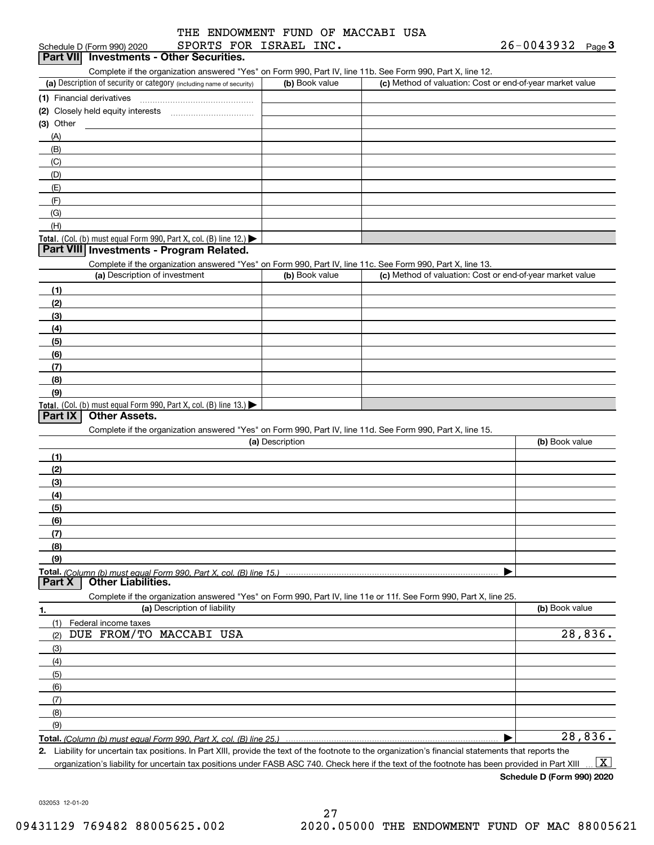|  |  |                        | THE ENDOWMENT FUND OF MACCABI USA |  |
|--|--|------------------------|-----------------------------------|--|
|  |  | SPORTS FOR ISRAEL INC. |                                   |  |

#### (a) Description of security or category (including name of security)  $\vert$  (b) Book value  $\vert$  (c) Total. (Col. (b) must equal Form 990, Part X, col. (B) line 12.) Total. (Col. (b) must equal Form 990, Part X, col. (B) line 13.) **(1)** Financial derivatives ~~~~~~~~~~~~~~~**(2)** Closely held equity interests **(3)** Other (a) Description of investment **b (b)** Book value **(1)(2) (3)(4) (5) (6)(7)(8)(9)(a) (b)**  Description**(1)(2) (3)(4)(5) (6)(7) (8)(9)Total.**  *(Column (b) must equal Form 990, Part X, col. (B) line 15.)* Schedule D (Form 990) 2020 S<code>PORTS FOR ISRAEL INC</code> .  $26-0043932$   $_{{\sf Page}}$ Complete if the organization answered "Yes" on Form 990, Part IV, line 11b. See Form 990, Part X, line 12.  $(b)$  Book value  $\vert$  (c) Method of valuation: Cost or end-of-year market value (A)(B)(C)(D)(E)(F)(G)(H)Complete if the organization answered "Yes" on Form 990, Part IV, line 11c. See Form 990, Part X, line 13. (c) Method of valuation: Cost or end-of-year market value Complete if the organization answered "Yes" on Form 990, Part IV, line 11d. See Form 990, Part X, line 15. (b) Book value  $\blacktriangleright$ Complete if the organization answered "Yes" on Form 990, Part IV, line 11e or 11f. See Form 990, Part X, line 25. **Schedule D (Form 990) 2020 SPORTS FO<br><b>Part VII Investments - Other Securities. Part VIII Investments - Program Related. Part IX Other Assets. Part X Other Liabilities.** SPORTS FOR ISRAEL INC.

| (a) Description of liability   | (b) Book value |
|--------------------------------|----------------|
| Federal income taxes           |                |
| DUE FROM/TO MACCABI USA<br>(2) | 28,836.        |
| $\qquad \qquad (3)$            |                |
| (4)                            |                |
| (5)                            |                |
| (6)                            |                |
| (7)                            |                |
| (8)                            |                |
| (9)                            |                |
|                                | 28, 8<br>36.   |

**2.**Liability for uncertain tax positions. In Part XIII, provide the text of the footnote to the organization's financial statements that reports the organization's liability for uncertain tax positions under FASB ASC 740. Check here if the text of the footnote has been provided in Part XIII  $\boxed{\text{X}}$ 

**Schedule D (Form 990) 2020**

032053 12-01-20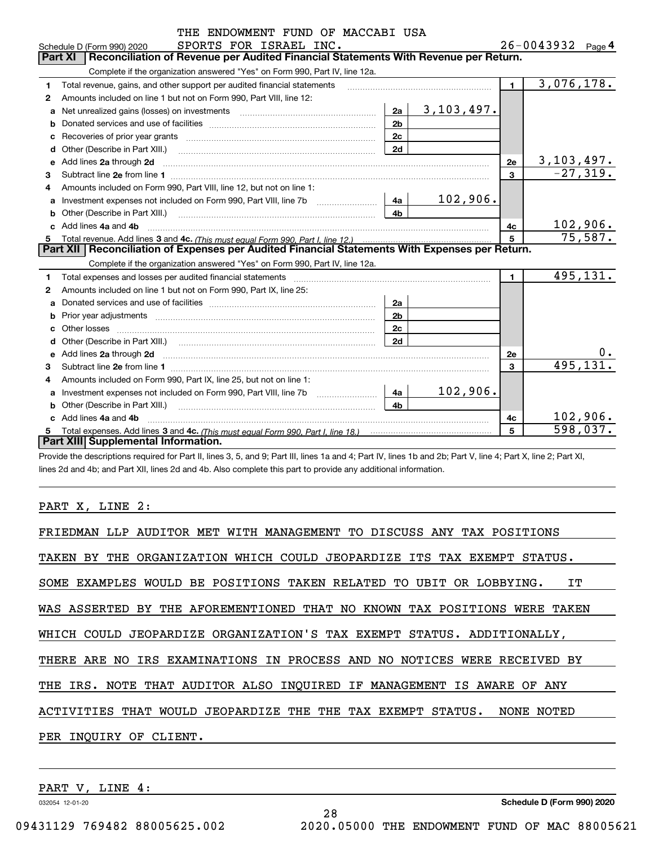|              | THE ENDOWMENT FUND OF MACCABI USA                                                                                          |                |                   |                |                               |
|--------------|----------------------------------------------------------------------------------------------------------------------------|----------------|-------------------|----------------|-------------------------------|
|              | SPORTS FOR ISRAEL INC.<br>Schedule D (Form 990) 2020                                                                       |                |                   |                | $26 - 0043932$ Page 4         |
|              | Reconciliation of Revenue per Audited Financial Statements With Revenue per Return.<br><b>Part XI</b>                      |                |                   |                |                               |
|              | Complete if the organization answered "Yes" on Form 990, Part IV, line 12a.                                                |                |                   |                |                               |
| 1            | Total revenue, gains, and other support per audited financial statements                                                   |                |                   | $\blacksquare$ | 3,076,178.                    |
| 2            | Amounts included on line 1 but not on Form 990, Part VIII, line 12:                                                        |                |                   |                |                               |
| a            |                                                                                                                            | 2a             | <u>3,103,497.</u> |                |                               |
| b            |                                                                                                                            | 2 <sub>b</sub> |                   |                |                               |
| с            |                                                                                                                            | 2 <sub>c</sub> |                   |                |                               |
| d            |                                                                                                                            | 2d             |                   |                |                               |
|              | e Add lines 2a through 2d                                                                                                  |                |                   | 2e             | $\frac{3,103,497.}{-27,319.}$ |
| 3            |                                                                                                                            |                |                   | 3              |                               |
| 4            | Amounts included on Form 990, Part VIII, line 12, but not on line 1:                                                       |                |                   |                |                               |
| a            |                                                                                                                            | 4a             | 102,906.          |                |                               |
| b            | Other (Describe in Part XIII.) <b>Construction Contract Construction</b> Chemistry Chemistry Chemistry Chemistry Chemistry | 4 <sub>b</sub> |                   |                |                               |
|              | Add lines 4a and 4b                                                                                                        |                |                   | 4c             | 102,906.                      |
| 5            |                                                                                                                            |                |                   |                | 75,587.                       |
|              | Part XII   Reconciliation of Expenses per Audited Financial Statements With Expenses per Return.                           |                |                   |                |                               |
|              | Complete if the organization answered "Yes" on Form 990, Part IV, line 12a.                                                |                |                   |                |                               |
| 1            |                                                                                                                            |                |                   | $\blacksquare$ | 495,131.                      |
| $\mathbf{2}$ | Amounts included on line 1 but not on Form 990, Part IX, line 25:                                                          |                |                   |                |                               |
| a            |                                                                                                                            | 2a             |                   |                |                               |
| b            |                                                                                                                            | 2 <sub>b</sub> |                   |                |                               |
| c            |                                                                                                                            | 2c             |                   |                |                               |
| d            |                                                                                                                            | 2d             |                   |                |                               |
| e            |                                                                                                                            |                |                   | <b>2e</b>      | 0.                            |
| 3            |                                                                                                                            |                |                   | 3              | 495, 131.                     |
| 4            | Amounts included on Form 990, Part IX, line 25, but not on line 1:                                                         |                |                   |                |                               |
| a            |                                                                                                                            | 4a             | 102,906.          |                |                               |
| b            | Other (Describe in Part XIII.)                                                                                             | 4 <sub>h</sub> |                   |                |                               |
|              | c Add lines 4a and 4b                                                                                                      |                |                   | 4c             | 102,906.                      |
| 5            |                                                                                                                            |                |                   | 5              | 598,037.                      |
|              | Part XIII Supplemental Information.                                                                                        |                |                   |                |                               |

Provide the descriptions required for Part II, lines 3, 5, and 9; Part III, lines 1a and 4; Part IV, lines 1b and 2b; Part V, line 4; Part X, line 2; Part XI, lines 2d and 4b; and Part XII, lines 2d and 4b. Also complete this part to provide any additional information.

PART X, LINE 2:

| FRIEDMAN LLP AUDITOR MET WITH MANAGEMENT TO DISCUSS ANY TAX POSITIONS     |
|---------------------------------------------------------------------------|
| TAKEN BY THE ORGANIZATION WHICH COULD JEOPARDIZE ITS TAX EXEMPT STATUS.   |
| SOME EXAMPLES WOULD BE POSITIONS TAKEN RELATED TO UBIT OR LOBBYING.<br>IT |
| WAS ASSERTED BY THE AFOREMENTIONED THAT NO KNOWN TAX POSITIONS WERE TAKEN |
| WHICH COULD JEOPARDIZE ORGANIZATION'S TAX EXEMPT STATUS. ADDITIONALLY,    |
| THERE ARE NO IRS EXAMINATIONS IN PROCESS AND NO NOTICES WERE RECEIVED BY  |
| THE IRS. NOTE THAT AUDITOR ALSO INOUIRED IF MANAGEMENT IS AWARE OF ANY    |
| ACTIVITIES THAT WOULD JEOPARDIZE THE THE TAX EXEMPT STATUS.<br>NONE NOTED |
| PER INQUIRY OF CLIENT.                                                    |

28

PART V, LINE 4:

032054 12-01-20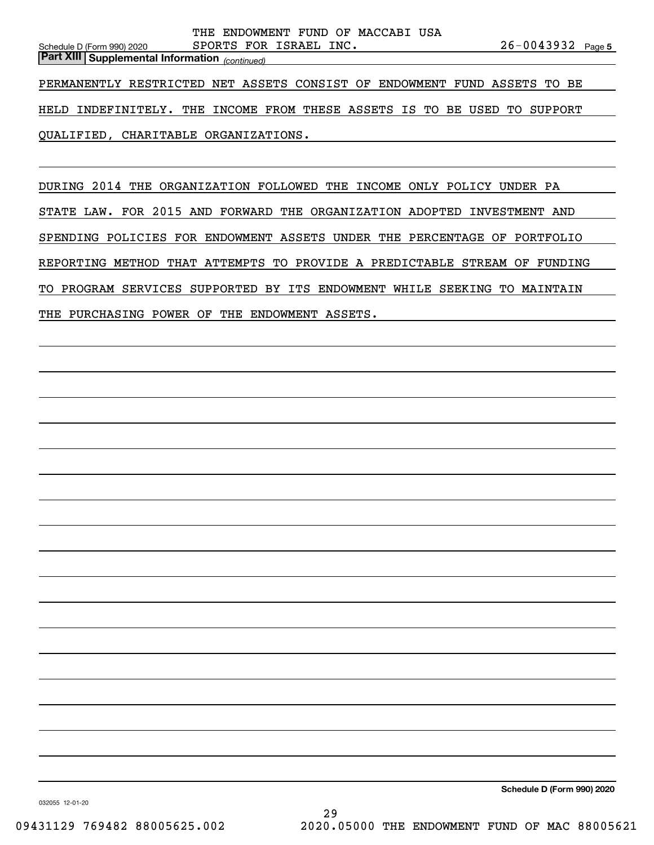QUALIFIED, CHARITABLE ORGANIZATIONS.

DURING 2014 THE ORGANIZATION FOLLOWED THE INCOME ONLY POLICY UNDER PA STATE LAW. FOR 2015 AND FORWARD THE ORGANIZATION ADOPTED INVESTMENT AND SPENDING POLICIES FOR ENDOWMENT ASSETS UNDER THE PERCENTAGE OF PORTFOLIO REPORTING METHOD THAT ATTEMPTS TO PROVIDE A PREDICTABLE STREAM OF FUNDING TO PROGRAM SERVICES SUPPORTED BY ITS ENDOWMENT WHILE SEEKING TO MAINTAIN THE PURCHASING POWER OF THE ENDOWMENT ASSETS.

**Schedule D (Form 990) 2020**

032055 12-01-20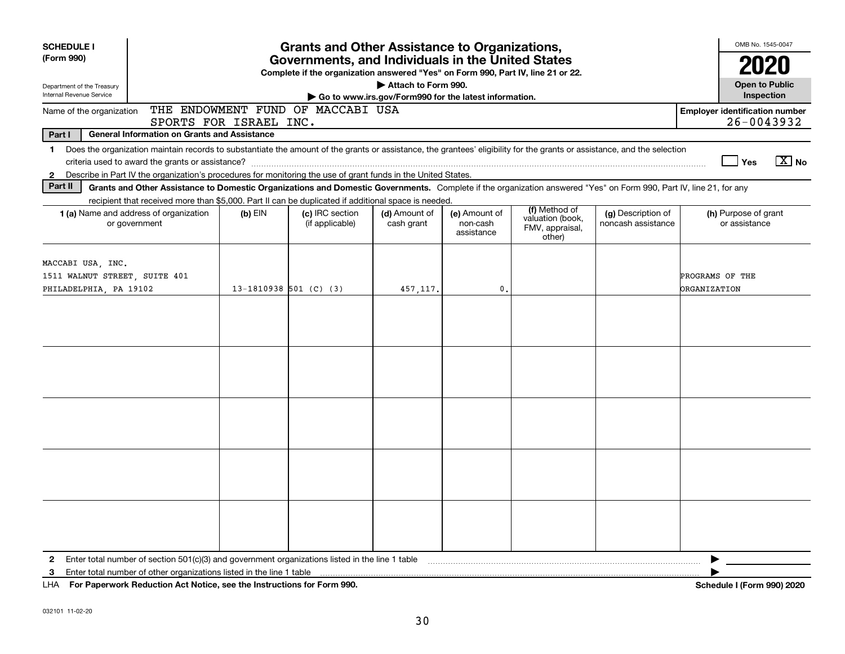| <b>SCHEDULE I</b>                                                                                                                                                                                                                                                                                                         |                        | <b>Grants and Other Assistance to Organizations,</b>                                                                                  |                                                                              |                                         |                                                                |                                          | OMB No. 1545-0047                                   |
|---------------------------------------------------------------------------------------------------------------------------------------------------------------------------------------------------------------------------------------------------------------------------------------------------------------------------|------------------------|---------------------------------------------------------------------------------------------------------------------------------------|------------------------------------------------------------------------------|-----------------------------------------|----------------------------------------------------------------|------------------------------------------|-----------------------------------------------------|
| (Form 990)                                                                                                                                                                                                                                                                                                                |                        | Governments, and Individuals in the United States<br>Complete if the organization answered "Yes" on Form 990, Part IV, line 21 or 22. |                                                                              |                                         |                                                                |                                          |                                                     |
| Department of the Treasury<br>Internal Revenue Service                                                                                                                                                                                                                                                                    |                        |                                                                                                                                       | Attach to Form 990.<br>Go to www.irs.gov/Form990 for the latest information. |                                         |                                                                |                                          | <b>Open to Public</b><br>Inspection                 |
| Name of the organization<br>SPORTS FOR ISRAEL INC.                                                                                                                                                                                                                                                                        |                        | THE ENDOWMENT FUND OF MACCABI USA                                                                                                     |                                                                              |                                         |                                                                |                                          | <b>Employer identification number</b><br>26-0043932 |
| Part I<br><b>General Information on Grants and Assistance</b>                                                                                                                                                                                                                                                             |                        |                                                                                                                                       |                                                                              |                                         |                                                                |                                          |                                                     |
| Does the organization maintain records to substantiate the amount of the grants or assistance, the grantees' eligibility for the grants or assistance, and the selection<br>$\mathbf{1}$<br>Describe in Part IV the organization's procedures for monitoring the use of grant funds in the United States.<br>$\mathbf{2}$ |                        |                                                                                                                                       |                                                                              |                                         |                                                                |                                          | $X$ No<br>Yes                                       |
| Part II<br>Grants and Other Assistance to Domestic Organizations and Domestic Governments. Complete if the organization answered "Yes" on Form 990, Part IV, line 21, for any                                                                                                                                             |                        |                                                                                                                                       |                                                                              |                                         |                                                                |                                          |                                                     |
| recipient that received more than \$5,000. Part II can be duplicated if additional space is needed.                                                                                                                                                                                                                       |                        |                                                                                                                                       |                                                                              |                                         |                                                                |                                          |                                                     |
| 1 (a) Name and address of organization<br>or government                                                                                                                                                                                                                                                                   | $(b)$ EIN              | (c) IRC section<br>(if applicable)                                                                                                    | (d) Amount of<br>cash grant                                                  | (e) Amount of<br>non-cash<br>assistance | (f) Method of<br>valuation (book,<br>FMV, appraisal,<br>other) | (g) Description of<br>noncash assistance | (h) Purpose of grant<br>or assistance               |
| MACCABI USA, INC.<br>1511 WALNUT STREET, SUITE 401<br>PHILADELPHIA, PA 19102                                                                                                                                                                                                                                              | 13-1810938 501 (C) (3) |                                                                                                                                       | 457,117.                                                                     | 0.                                      |                                                                |                                          | PROGRAMS OF THE<br><b>ORGANIZATION</b>              |
|                                                                                                                                                                                                                                                                                                                           |                        |                                                                                                                                       |                                                                              |                                         |                                                                |                                          |                                                     |
|                                                                                                                                                                                                                                                                                                                           |                        |                                                                                                                                       |                                                                              |                                         |                                                                |                                          |                                                     |
|                                                                                                                                                                                                                                                                                                                           |                        |                                                                                                                                       |                                                                              |                                         |                                                                |                                          |                                                     |
|                                                                                                                                                                                                                                                                                                                           |                        |                                                                                                                                       |                                                                              |                                         |                                                                |                                          |                                                     |
|                                                                                                                                                                                                                                                                                                                           |                        |                                                                                                                                       |                                                                              |                                         |                                                                |                                          |                                                     |
| Enter total number of section 501(c)(3) and government organizations listed in the line 1 table [1] table [1] table [1] table [1] table [1] table [1] table [1] table [1] table [1] table [1] table [1] table [1] table [1] ta<br>$\mathbf{2}$<br>3                                                                       |                        |                                                                                                                                       |                                                                              |                                         |                                                                |                                          | ▶                                                   |
| LITA  Pro Processo de Protection Art Nother and the Instrumental Arc Processo AOO                                                                                                                                                                                                                                         |                        |                                                                                                                                       |                                                                              |                                         |                                                                |                                          | 1.1070001000                                        |

**For Paperwork Reduction Act Notice, see the Instructions for Form 990. Schedule I (Form 990) 2020** LHA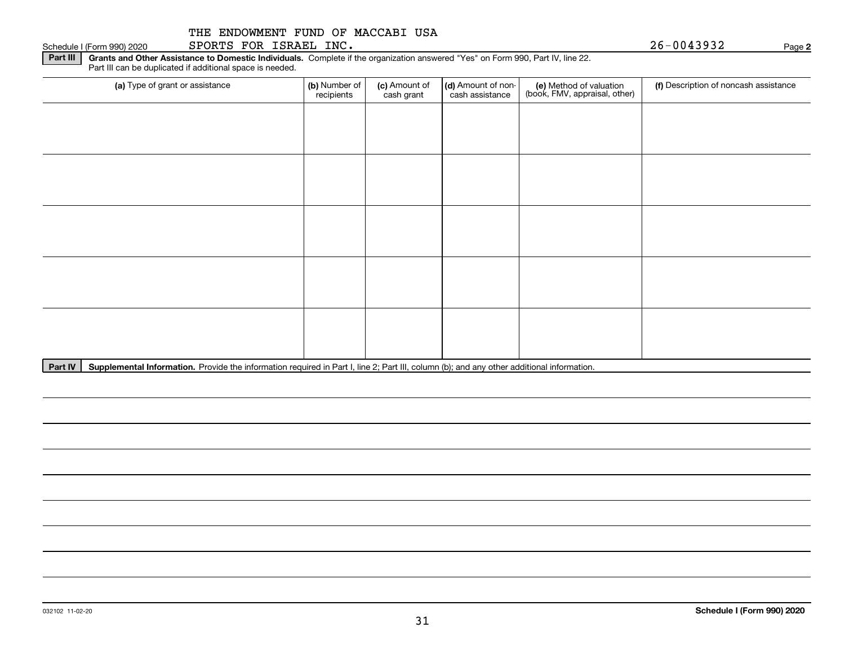**Part III | Grants and Other Assistance to Domestic Individuals. Complete if the organization answered "Yes" on Form 990, Part IV, line 22.** Part III can be duplicated if additional space is needed.

| (a) Type of grant or assistance | (b) Number of<br>recipients | (c) Amount of<br>cash grant | (d) Amount of non-<br>cash assistance | (e) Method of valuation<br>(book, FMV, appraisal, other) | (f) Description of noncash assistance |
|---------------------------------|-----------------------------|-----------------------------|---------------------------------------|----------------------------------------------------------|---------------------------------------|
|                                 |                             |                             |                                       |                                                          |                                       |
|                                 |                             |                             |                                       |                                                          |                                       |
|                                 |                             |                             |                                       |                                                          |                                       |
|                                 |                             |                             |                                       |                                                          |                                       |
|                                 |                             |                             |                                       |                                                          |                                       |
|                                 |                             |                             |                                       |                                                          |                                       |
|                                 |                             |                             |                                       |                                                          |                                       |
|                                 |                             |                             |                                       |                                                          |                                       |
|                                 |                             |                             |                                       |                                                          |                                       |
|                                 |                             |                             |                                       |                                                          |                                       |

Part IV | Supplemental Information. Provide the information required in Part I, line 2; Part III, column (b); and any other additional information.

Schedule I (Form 990) 2020 Page SPORTS FOR ISRAEL INC. 26-0043932

**2**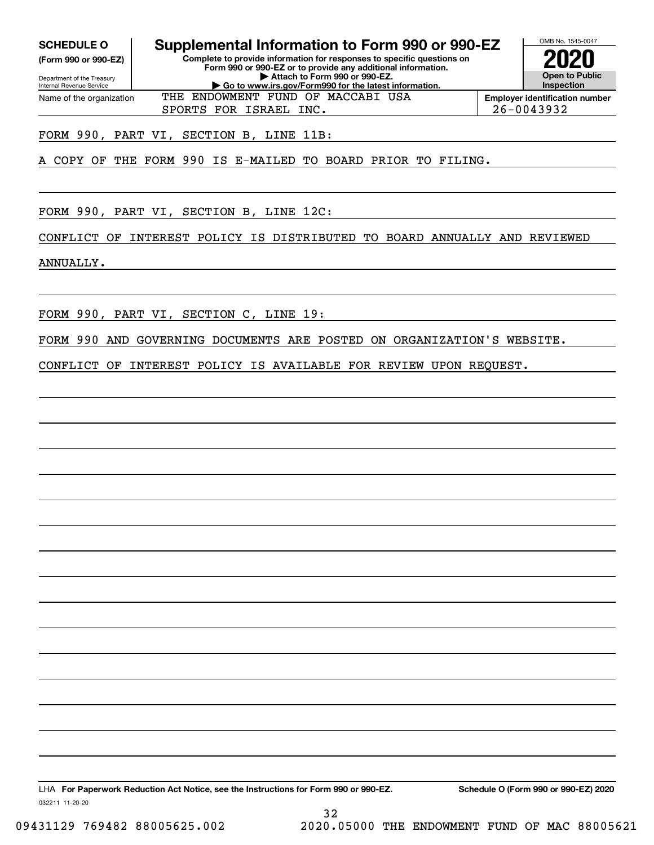**(Form 990 or 990-EZ)**

Department of the Treasury Internal Revenue Service Name of the organization

**SCHEDULE O Supplemental Information to Form 990 or 990-EZ**

**Complete to provide information for responses to specific questions on Form 990 or 990-EZ or to provide any additional information. | Attach to Form 990 or 990-EZ. | Go to www.irs.gov/Form990 for the latest information.**



**Employer identification number** SPORTS FOR ISRAEL INC. 26-0043932

FORM 990, PART VI, SECTION B, LINE 11B:

A COPY OF THE FORM 990 IS E-MAILED TO BOARD PRIOR TO FILING.

THE ENDOWMENT FUND OF MACCABI USA

FORM 990, PART VI, SECTION B, LINE 12C:

CONFLICT OF INTEREST POLICY IS DISTRIBUTED TO BOARD ANNUALLY AND REVIEWED

ANNUALLY.

FORM 990, PART VI, SECTION C, LINE 19:

FORM 990 AND GOVERNING DOCUMENTS ARE POSTED ON ORGANIZATION'S WEBSITE.

CONFLICT OF INTEREST POLICY IS AVAILABLE FOR REVIEW UPON REQUEST.

032211 11-20-20 LHA For Paperwork Reduction Act Notice, see the Instructions for Form 990 or 990-EZ. Schedule O (Form 990 or 990-EZ) 2020

32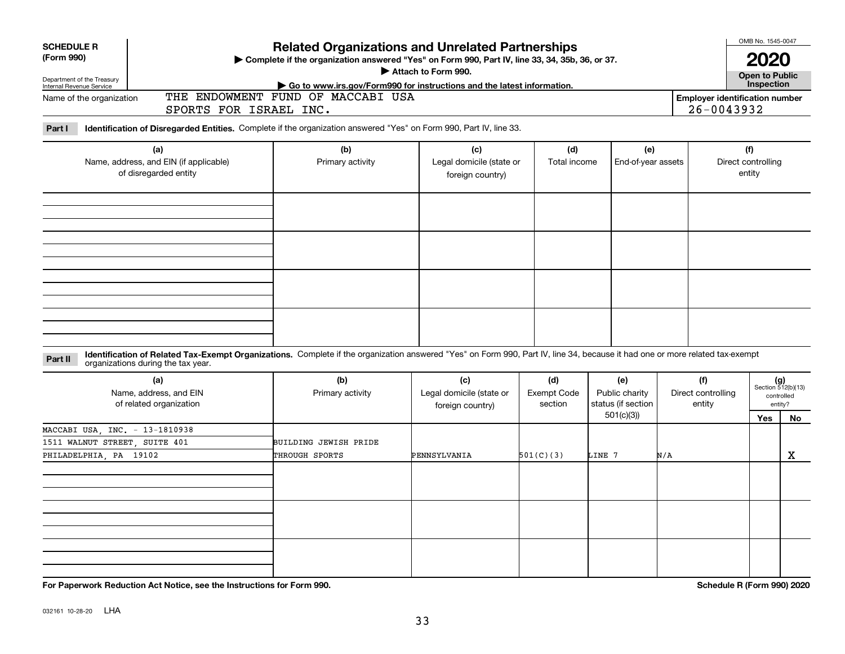|                                                                                  | <b>Related Organizations and Unrelated Partnerships</b><br>Attach to Form 990.<br>Go to www.irs.gov/Form990 for instructions and the latest information.   |                                                   |                                                       |                                                                                                                                                |                                                                                                                |                           |                    |                                                                                                                                                                                                                                                                                                                                         |  |  |
|----------------------------------------------------------------------------------|------------------------------------------------------------------------------------------------------------------------------------------------------------|---------------------------------------------------|-------------------------------------------------------|------------------------------------------------------------------------------------------------------------------------------------------------|----------------------------------------------------------------------------------------------------------------|---------------------------|--------------------|-----------------------------------------------------------------------------------------------------------------------------------------------------------------------------------------------------------------------------------------------------------------------------------------------------------------------------------------|--|--|
| Part I<br>(a)<br>Name, address, and EIN (if applicable)<br>of disregarded entity |                                                                                                                                                            | (c)<br>foreign country)                           | (d)                                                   |                                                                                                                                                |                                                                                                                |                           | (f)                |                                                                                                                                                                                                                                                                                                                                         |  |  |
|                                                                                  |                                                                                                                                                            |                                                   |                                                       |                                                                                                                                                |                                                                                                                |                           |                    |                                                                                                                                                                                                                                                                                                                                         |  |  |
|                                                                                  | (b)<br>Primary activity                                                                                                                                    | (c)<br>Legal domicile (state or                   | (d)<br><b>Exempt Code</b><br>section                  | (e)<br>Public charity<br>status (if section                                                                                                    |                                                                                                                | (f)<br>entity             |                    | $(g)$<br>Section 512(b)(13)<br>controlled<br>entity?                                                                                                                                                                                                                                                                                    |  |  |
|                                                                                  | BUILDING JEWISH PRIDE<br>THROUGH SPORTS                                                                                                                    | PENNSYLVANIA                                      | 501(C)(3)                                             | 501(c)(3)<br>LINE 7                                                                                                                            | N/A                                                                                                            |                           | Yes                | <b>No</b><br>x                                                                                                                                                                                                                                                                                                                          |  |  |
|                                                                                  |                                                                                                                                                            |                                                   |                                                       |                                                                                                                                                |                                                                                                                |                           |                    |                                                                                                                                                                                                                                                                                                                                         |  |  |
|                                                                                  | organizations during the tax year.<br>Name, address, and EIN<br>of related organization<br>MACCABI USA, INC. - 13-1810938<br>1511 WALNUT STREET, SUITE 401 | SPORTS FOR ISRAEL INC.<br>(b)<br>Primary activity | THE ENDOWMENT FUND OF MACCABI USA<br>foreign country) | Identification of Disregarded Entities. Complete if the organization answered "Yes" on Form 990, Part IV, line 33.<br>Legal domicile (state or | Complete if the organization answered "Yes" on Form 990, Part IV, line 33, 34, 35b, 36, or 37.<br>Total income | (e)<br>End-of-year assets | Direct controlling | OMB No. 1545-0047<br>2020<br><b>Open to Public</b><br>Inspection<br><b>Employer identification number</b><br>26-0043932<br>Direct controlling<br>entity<br>Identification of Related Tax-Exempt Organizations. Complete if the organization answered "Yes" on Form 990, Part IV, line 34, because it had one or more related tax-exempt |  |  |

**For Paperwork Reduction Act Notice, see the Instructions for Form 990. Schedule R (Form 990) 2020**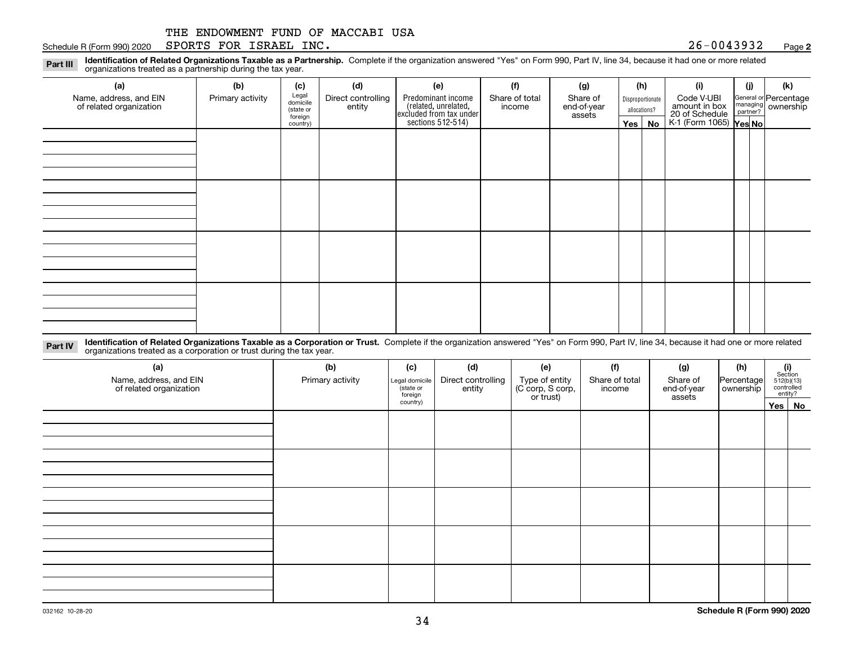#### Schedule R (Form 990) 2020  ${\tt SPORTS}$   ${\tt FOR}$   ${\tt ISRAEL}$   ${\tt INC}$  .  ${\tt QSE}$  . And  ${\tt QSE}$  .  ${\tt QSE}$  .  ${\tt QSE}$  .  ${\tt QSE}$  .  ${\tt QSE}$  .  ${\tt QSE}$  .  ${\tt QSE}$  .  ${\tt QSE}$  .  ${\tt QSE}$  .  ${\tt QSE}$  .  ${\tt QSE}$  .  ${\tt QSE}$  .  ${\tt QSE}$  .  ${\tt QSE}$  .  ${\tt$

**2**

**Identification of Related Organizations Taxable as a Partnership.** Complete if the organization answered "Yes" on Form 990, Part IV, line 34, because it had one or more related **Part III** organizations treated as a partnership during the tax year.

| (j)<br>(k)<br>General or Percentage<br>managing ownership<br>20 of Schedule<br>K-1 (Form 1065) Yes No |
|-------------------------------------------------------------------------------------------------------|
|                                                                                                       |
|                                                                                                       |
|                                                                                                       |
|                                                                                                       |
|                                                                                                       |
|                                                                                                       |
|                                                                                                       |
|                                                                                                       |
|                                                                                                       |
|                                                                                                       |
|                                                                                                       |
|                                                                                                       |
|                                                                                                       |
|                                                                                                       |
|                                                                                                       |
|                                                                                                       |
|                                                                                                       |
|                                                                                                       |
|                                                                                                       |
|                                                                                                       |
|                                                                                                       |

**Identification of Related Organizations Taxable as a Corporation or Trust.** Complete if the organization answered "Yes" on Form 990, Part IV, line 34, because it had one or more related **Part IV** organizations treated as a corporation or trust during the tax year.

| (a)<br>Name, address, and EIN<br>of related organization | (b)<br>Primary activity | (c)<br>Legal domicile<br>(state or<br>foreign | (d)<br>Direct controlling<br>entity | (e)<br>Type of entity<br>(C corp, S corp,<br>or trust) | (f)<br>Share of total<br>income | (g)<br>Share of<br>end-of-year<br>assets | (h)<br>Percentage<br>ownership | $\begin{array}{c} \textbf{(i)}\\ \text{Section}\\ 512 \text{(b)} \text{(13)}\\ \text{controlled}\\ \text{entity?} \end{array}$ |
|----------------------------------------------------------|-------------------------|-----------------------------------------------|-------------------------------------|--------------------------------------------------------|---------------------------------|------------------------------------------|--------------------------------|--------------------------------------------------------------------------------------------------------------------------------|
|                                                          |                         | country)                                      |                                     |                                                        |                                 |                                          |                                | Yes No                                                                                                                         |
|                                                          |                         |                                               |                                     |                                                        |                                 |                                          |                                |                                                                                                                                |
|                                                          |                         |                                               |                                     |                                                        |                                 |                                          |                                |                                                                                                                                |
|                                                          |                         |                                               |                                     |                                                        |                                 |                                          |                                |                                                                                                                                |
|                                                          |                         |                                               |                                     |                                                        |                                 |                                          |                                |                                                                                                                                |
|                                                          |                         |                                               |                                     |                                                        |                                 |                                          |                                |                                                                                                                                |
|                                                          |                         |                                               |                                     |                                                        |                                 |                                          |                                |                                                                                                                                |
|                                                          |                         |                                               |                                     |                                                        |                                 |                                          |                                |                                                                                                                                |
|                                                          |                         |                                               |                                     |                                                        |                                 |                                          |                                |                                                                                                                                |
|                                                          |                         |                                               |                                     |                                                        |                                 |                                          |                                |                                                                                                                                |
|                                                          |                         |                                               |                                     |                                                        |                                 |                                          |                                |                                                                                                                                |
|                                                          |                         |                                               |                                     |                                                        |                                 |                                          |                                |                                                                                                                                |
|                                                          |                         |                                               |                                     |                                                        |                                 |                                          |                                |                                                                                                                                |
|                                                          |                         |                                               |                                     |                                                        |                                 |                                          |                                |                                                                                                                                |
|                                                          |                         |                                               |                                     |                                                        |                                 |                                          |                                |                                                                                                                                |
|                                                          |                         |                                               |                                     |                                                        |                                 |                                          |                                |                                                                                                                                |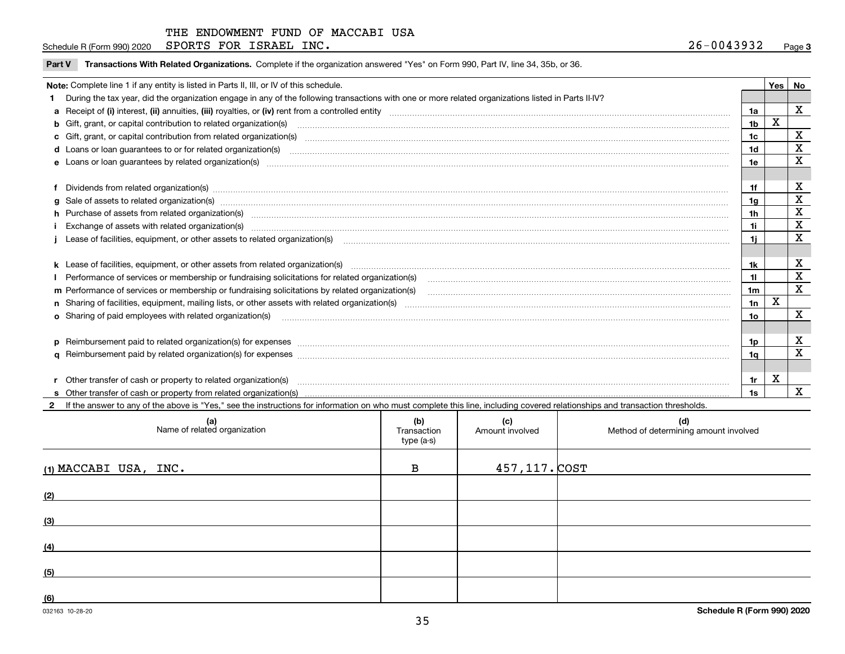Schedule R (Form 990) 2020  ${\tt SPORTS}$   ${\tt FOR}$   ${\tt ISRAEL}$   ${\tt INC}$  .  ${\tt QSE}$  . And  ${\tt QSE}$  .  ${\tt QSE}$  .  ${\tt QSE}$  .  ${\tt QSE}$  .  ${\tt QSE}$  .  ${\tt QSE}$  .  ${\tt QSE}$  .  ${\tt QSE}$  .  ${\tt QSE}$  .  ${\tt QSE}$  .  ${\tt QSE}$  .  ${\tt QSE}$  .  ${\tt QSE}$  .  ${\tt QSE}$  .  ${\tt$ 

**Part V** T**ransactions With Related Organizations.** Complete if the organization answered "Yes" on Form 990, Part IV, line 34, 35b, or 36.

| Note: Complete line 1 if any entity is listed in Parts II, III, or IV of this schedule.                                                                                                                                        |                 | Yes | <b>No</b>   |
|--------------------------------------------------------------------------------------------------------------------------------------------------------------------------------------------------------------------------------|-----------------|-----|-------------|
| During the tax year, did the organization engage in any of the following transactions with one or more related organizations listed in Parts II-IV?                                                                            |                 |     |             |
|                                                                                                                                                                                                                                | 1a              |     | X           |
| b Gift, grant, or capital contribution to related organization(s) manufaction contracts and contribution to related organization(s) manufaction contribution to related organization(s)                                        | 1b              | x   |             |
| c Gift, grant, or capital contribution from related organization(s) CONCORDIAL CONSERVITY OF Gift, grant, or capital contribution from related organization(s)                                                                 | 1 <sub>c</sub>  |     | X           |
|                                                                                                                                                                                                                                | 1d              |     | $\mathbf X$ |
| e Loans or loan guarantees by related organization(s) enconversements and construction of the construction of the constraint of the constraint of the constraint of the constraint of the constraint of the constraint of the  | 1e              |     | $\mathbf X$ |
|                                                                                                                                                                                                                                |                 |     |             |
| f Dividends from related organization(s) manufactured contains and contained a state of the contact of the contact of the contact of the contact of the contact of the contact of the contact of the contact of the contact of | 1f              |     | X           |
| g Sale of assets to related organization(s) www.assettion.com/www.assettion.com/www.assettion.com/www.assettion.com/www.assettion.com/www.assettion.com/www.assettion.com/www.assettion.com/www.assettion.com/www.assettion.co | 1a              |     | X           |
| h Purchase of assets from related organization(s) manufactured manufactured manufactured manufactured manufactured manufactured manufactured manufactured manufactured manufactured manufactured manufactured manufactured man | 1 <sub>h</sub>  |     | X           |
| i Exchange of assets with related organization(s) manufactured and content to the content of the content of the content of the content of the content of the content of the content of the content of the content of the conte | 1i              |     | X           |
| Lease of facilities, equipment, or other assets to related organization(s) manufactured content and content and content and content and content and content and content and content and content and content and content and co | 1i.             |     | X           |
|                                                                                                                                                                                                                                |                 |     |             |
|                                                                                                                                                                                                                                | 1k              |     | X           |
|                                                                                                                                                                                                                                | 11              |     | X           |
|                                                                                                                                                                                                                                | 1 <sub>m</sub>  |     | $\mathbf X$ |
|                                                                                                                                                                                                                                | 1n              | X   |             |
|                                                                                                                                                                                                                                | 10 <sub>o</sub> |     | X           |
|                                                                                                                                                                                                                                |                 |     |             |
|                                                                                                                                                                                                                                | 1p              |     | X           |
|                                                                                                                                                                                                                                | 1a              |     | X           |
|                                                                                                                                                                                                                                |                 |     |             |
| Other transfer of cash or property to related organization(s)                                                                                                                                                                  | 1r              | x   |             |
| s Other transfer of cash or property from related organization(s)                                                                                                                                                              | 1s              |     | X           |

**2**If the answer to any of the above is "Yes," see the instructions for information on who must complete this line, including covered relationships and transaction thresholds.

| (a)<br>Name of related organization | (b)<br>Transaction<br>type (a-s) | (c)<br>Amount involved | (d)<br>Method of determining amount involved |
|-------------------------------------|----------------------------------|------------------------|----------------------------------------------|
| (1) MACCABI USA, INC.               | $\mathbf{B}$                     | 457,117. COST          |                                              |
| (2)                                 |                                  |                        |                                              |
| (3)                                 |                                  |                        |                                              |
| (4)                                 |                                  |                        |                                              |
| (5)                                 |                                  |                        |                                              |
| (6)                                 |                                  |                        |                                              |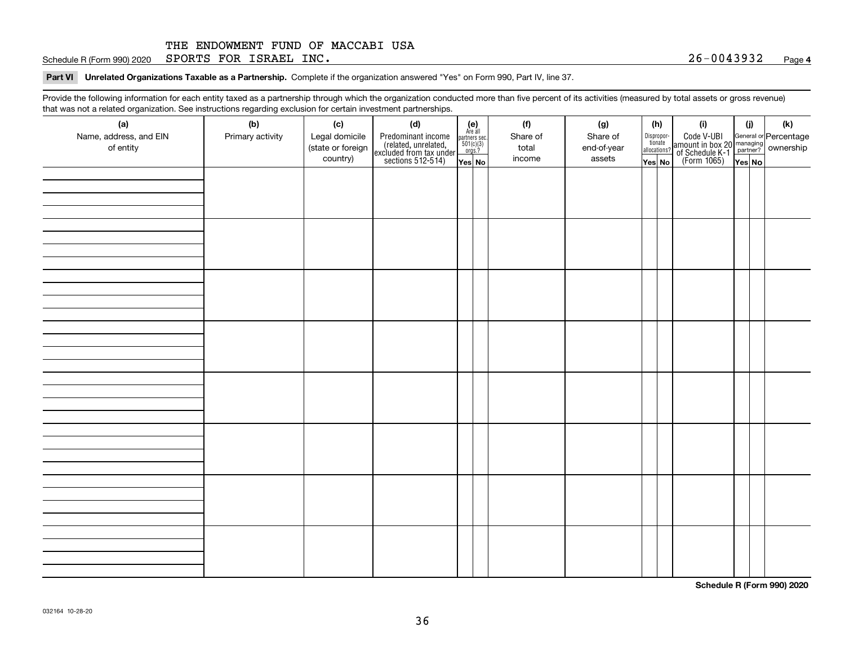Schedule R (Form 990) 2020  ${\tt SPORTS}$   ${\tt FOR}$   ${\tt ISRAEL}$   ${\tt INC}$  .  ${\tt QSE}$  . And  ${\tt QSE}$  .  ${\tt QSE}$  .  ${\tt QSE}$  .  ${\tt QSE}$  .  ${\tt QSE}$  .  ${\tt QSE}$  .  ${\tt QSE}$  .  ${\tt QSE}$  .  ${\tt QSE}$  .  ${\tt QSE}$  .  ${\tt QSE}$  .  ${\tt QSE}$  .  ${\tt QSE}$  .  ${\tt QSE}$  .  ${\tt$ 

**Part VI Unrelated Organizations Taxable as a Partnership. Complete if the organization answered "Yes" on Form 990, Part IV, line 37.** 

Provide the following information for each entity taxed as a partnership through which the organization conducted more than five percent of its activities (measured by total assets or gross revenue) that was not a related organization. See instructions regarding exclusion for certain investment partnerships.

| ັ                      | ັ<br>ັ           |                   | . .                                                                                        |                                                                                              |          |             |                                  |                                                                                                        |        |     |
|------------------------|------------------|-------------------|--------------------------------------------------------------------------------------------|----------------------------------------------------------------------------------------------|----------|-------------|----------------------------------|--------------------------------------------------------------------------------------------------------|--------|-----|
| (a)                    | (b)              | (c)               | (d)                                                                                        | (e)<br>Are all                                                                               | (f)      | (g)         | (h)                              | (i)                                                                                                    | (i)    | (k) |
| Name, address, and EIN | Primary activity | Legal domicile    |                                                                                            | $\begin{array}{c}\n\text{partners} & \text{sec.} \\ 501(c)(3) & \text{orgs.?} \n\end{array}$ | Share of | Share of    | Disproportionate<br>allocations? |                                                                                                        |        |     |
| of entity              |                  | (state or foreign |                                                                                            |                                                                                              | total    | end-of-year |                                  |                                                                                                        |        |     |
|                        |                  | country)          | Predominant income<br>(related, unrelated,<br>excluded from tax under<br>sections 512-514) | Yes No                                                                                       | income   | assets      | Yes No                           | Code V-UBI<br>amount in box 20 managing<br>of Schedule K-1 partner? ownership<br>(Form 1065)<br>ves No | Yes No |     |
|                        |                  |                   |                                                                                            |                                                                                              |          |             |                                  |                                                                                                        |        |     |
|                        |                  |                   |                                                                                            |                                                                                              |          |             |                                  |                                                                                                        |        |     |
|                        |                  |                   |                                                                                            |                                                                                              |          |             |                                  |                                                                                                        |        |     |
|                        |                  |                   |                                                                                            |                                                                                              |          |             |                                  |                                                                                                        |        |     |
|                        |                  |                   |                                                                                            |                                                                                              |          |             |                                  |                                                                                                        |        |     |
|                        |                  |                   |                                                                                            |                                                                                              |          |             |                                  |                                                                                                        |        |     |
|                        |                  |                   |                                                                                            |                                                                                              |          |             |                                  |                                                                                                        |        |     |
|                        |                  |                   |                                                                                            |                                                                                              |          |             |                                  |                                                                                                        |        |     |
|                        |                  |                   |                                                                                            |                                                                                              |          |             |                                  |                                                                                                        |        |     |
|                        |                  |                   |                                                                                            |                                                                                              |          |             |                                  |                                                                                                        |        |     |
|                        |                  |                   |                                                                                            |                                                                                              |          |             |                                  |                                                                                                        |        |     |
|                        |                  |                   |                                                                                            |                                                                                              |          |             |                                  |                                                                                                        |        |     |
|                        |                  |                   |                                                                                            |                                                                                              |          |             |                                  |                                                                                                        |        |     |
|                        |                  |                   |                                                                                            |                                                                                              |          |             |                                  |                                                                                                        |        |     |
|                        |                  |                   |                                                                                            |                                                                                              |          |             |                                  |                                                                                                        |        |     |
|                        |                  |                   |                                                                                            |                                                                                              |          |             |                                  |                                                                                                        |        |     |
|                        |                  |                   |                                                                                            |                                                                                              |          |             |                                  |                                                                                                        |        |     |
|                        |                  |                   |                                                                                            |                                                                                              |          |             |                                  |                                                                                                        |        |     |
|                        |                  |                   |                                                                                            |                                                                                              |          |             |                                  |                                                                                                        |        |     |
|                        |                  |                   |                                                                                            |                                                                                              |          |             |                                  |                                                                                                        |        |     |
|                        |                  |                   |                                                                                            |                                                                                              |          |             |                                  |                                                                                                        |        |     |
|                        |                  |                   |                                                                                            |                                                                                              |          |             |                                  |                                                                                                        |        |     |
|                        |                  |                   |                                                                                            |                                                                                              |          |             |                                  |                                                                                                        |        |     |
|                        |                  |                   |                                                                                            |                                                                                              |          |             |                                  |                                                                                                        |        |     |
|                        |                  |                   |                                                                                            |                                                                                              |          |             |                                  |                                                                                                        |        |     |
|                        |                  |                   |                                                                                            |                                                                                              |          |             |                                  |                                                                                                        |        |     |
|                        |                  |                   |                                                                                            |                                                                                              |          |             |                                  |                                                                                                        |        |     |
|                        |                  |                   |                                                                                            |                                                                                              |          |             |                                  |                                                                                                        |        |     |
|                        |                  |                   |                                                                                            |                                                                                              |          |             |                                  |                                                                                                        |        |     |
|                        |                  |                   |                                                                                            |                                                                                              |          |             |                                  |                                                                                                        |        |     |
|                        |                  |                   |                                                                                            |                                                                                              |          |             |                                  |                                                                                                        |        |     |
|                        |                  |                   |                                                                                            |                                                                                              |          |             |                                  |                                                                                                        |        |     |
|                        |                  |                   |                                                                                            |                                                                                              |          |             |                                  |                                                                                                        |        |     |
|                        |                  |                   |                                                                                            |                                                                                              |          |             |                                  |                                                                                                        |        |     |
|                        |                  |                   |                                                                                            |                                                                                              |          |             |                                  |                                                                                                        |        |     |
|                        |                  |                   |                                                                                            |                                                                                              |          |             |                                  |                                                                                                        |        |     |
|                        |                  |                   |                                                                                            |                                                                                              |          |             |                                  |                                                                                                        |        |     |

**Schedule R (Form 990) 2020**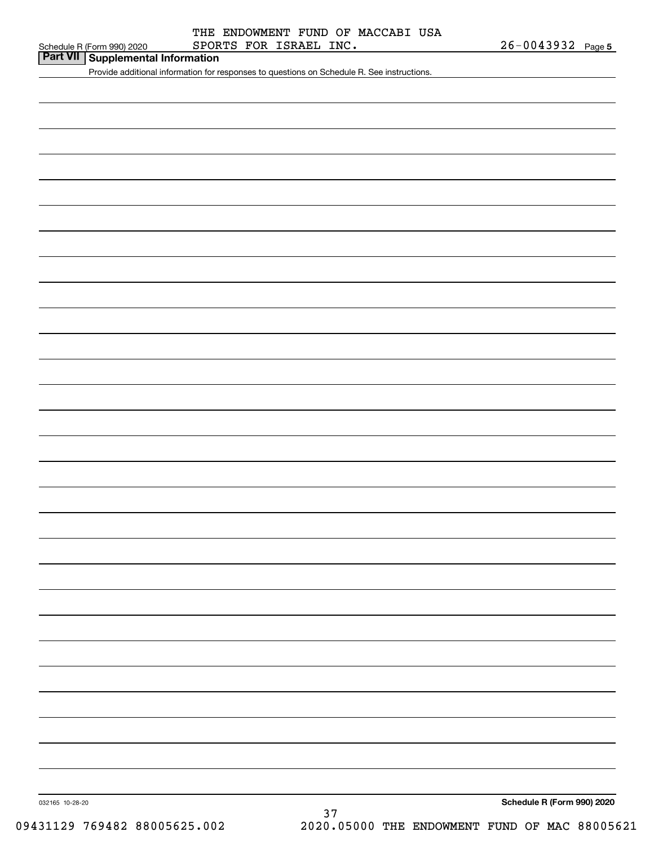**Part VII Supplemental Information**

Provide additional information for responses to questions on Schedule R. See instructions.

032165 10-28-20